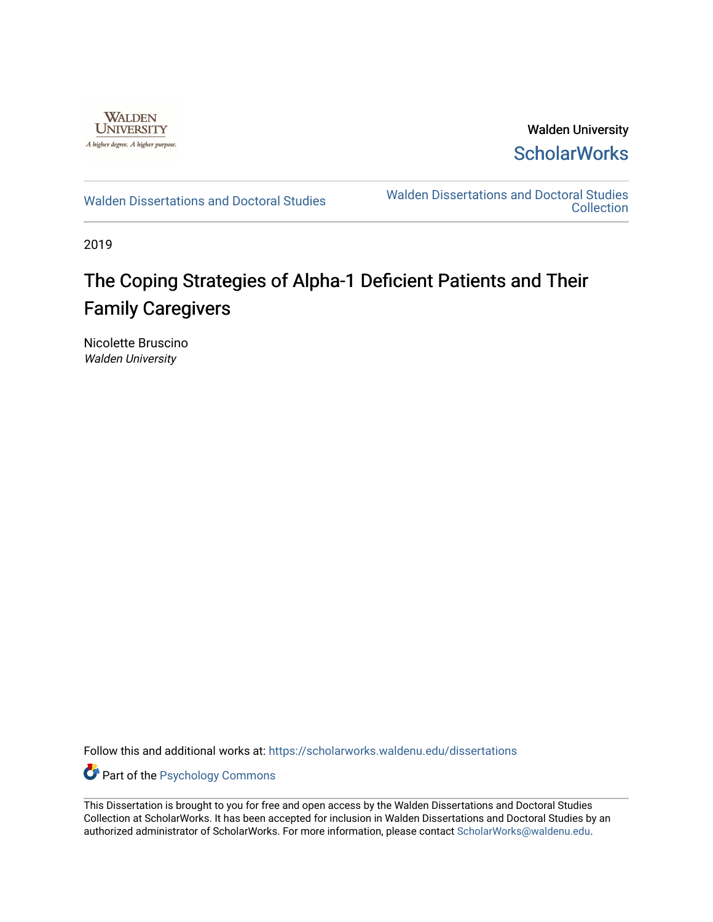

Walden University **ScholarWorks** 

[Walden Dissertations and Doctoral Studies](https://scholarworks.waldenu.edu/dissertations) Walden Dissertations and Doctoral Studies **Collection** 

2019

# The Coping Strategies of Alpha-1 Deficient Patients and Their Family Caregivers

Nicolette Bruscino Walden University

Follow this and additional works at: [https://scholarworks.waldenu.edu/dissertations](https://scholarworks.waldenu.edu/dissertations?utm_source=scholarworks.waldenu.edu%2Fdissertations%2F7275&utm_medium=PDF&utm_campaign=PDFCoverPages)

Part of the [Psychology Commons](http://network.bepress.com/hgg/discipline/404?utm_source=scholarworks.waldenu.edu%2Fdissertations%2F7275&utm_medium=PDF&utm_campaign=PDFCoverPages) 

This Dissertation is brought to you for free and open access by the Walden Dissertations and Doctoral Studies Collection at ScholarWorks. It has been accepted for inclusion in Walden Dissertations and Doctoral Studies by an authorized administrator of ScholarWorks. For more information, please contact [ScholarWorks@waldenu.edu](mailto:ScholarWorks@waldenu.edu).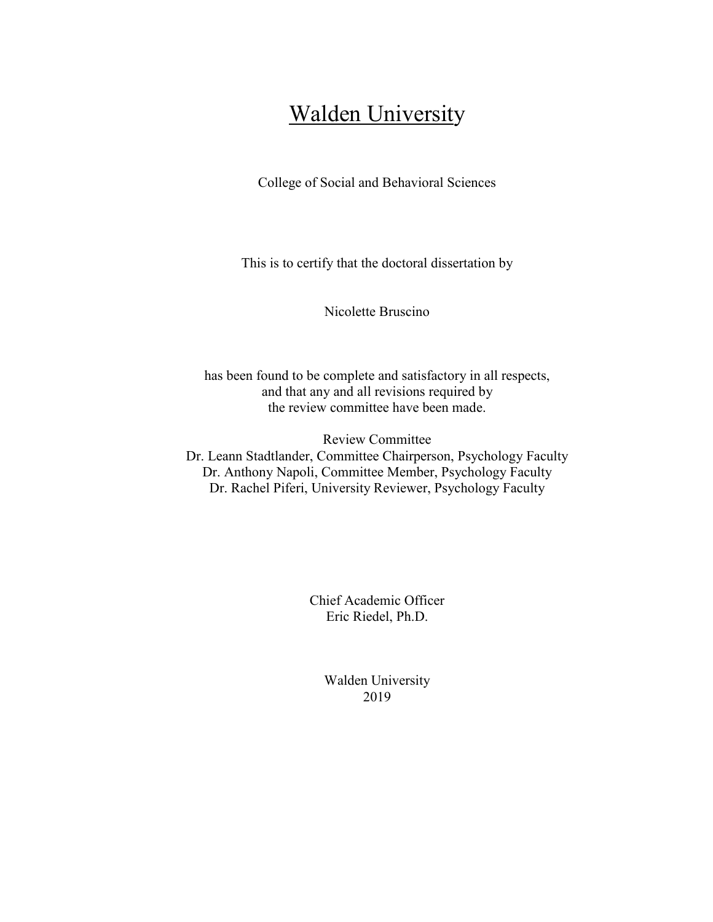# **Walden University**

College of Social and Behavioral Sciences

This is to certify that the doctoral dissertation by

Nicolette Bruscino

has been found to be complete and satisfactory in all respects, and that any and all revisions required by the review committee have been made.

Review Committee Dr. Leann Stadtlander, Committee Chairperson, Psychology Faculty Dr. Anthony Napoli, Committee Member, Psychology Faculty Dr. Rachel Piferi, University Reviewer, Psychology Faculty

> Chief Academic Officer Eric Riedel, Ph.D.

> > Walden University 2019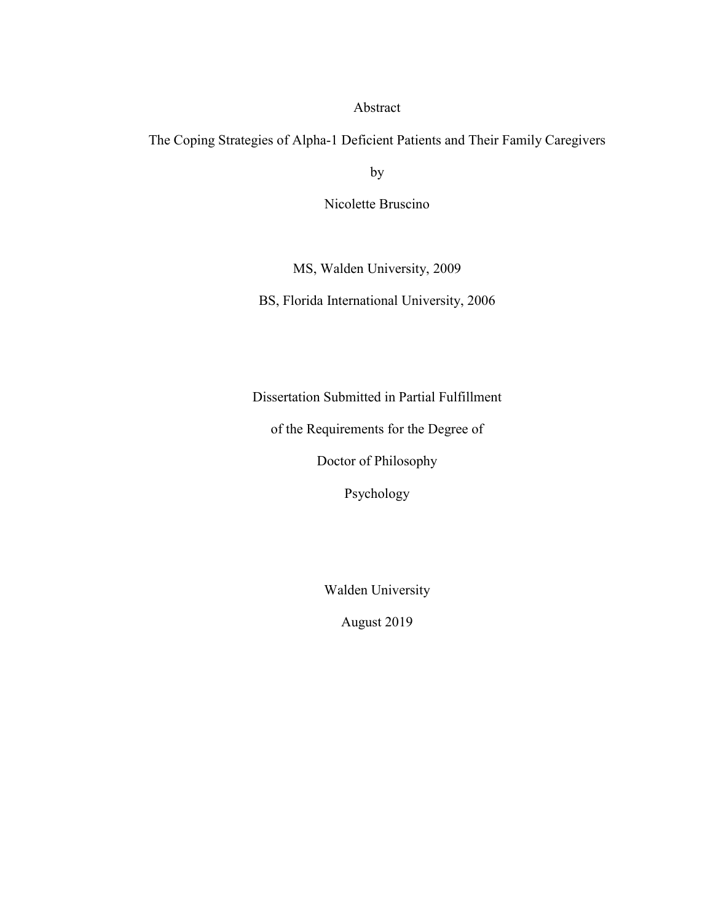## Abstract

The Coping Strategies of Alpha-1 Deficient Patients and Their Family Caregivers

by

Nicolette Bruscino

MS, Walden University, 2009

BS, Florida International University, 2006

Dissertation Submitted in Partial Fulfillment

of the Requirements for the Degree of

Doctor of Philosophy

Psychology

Walden University

August 2019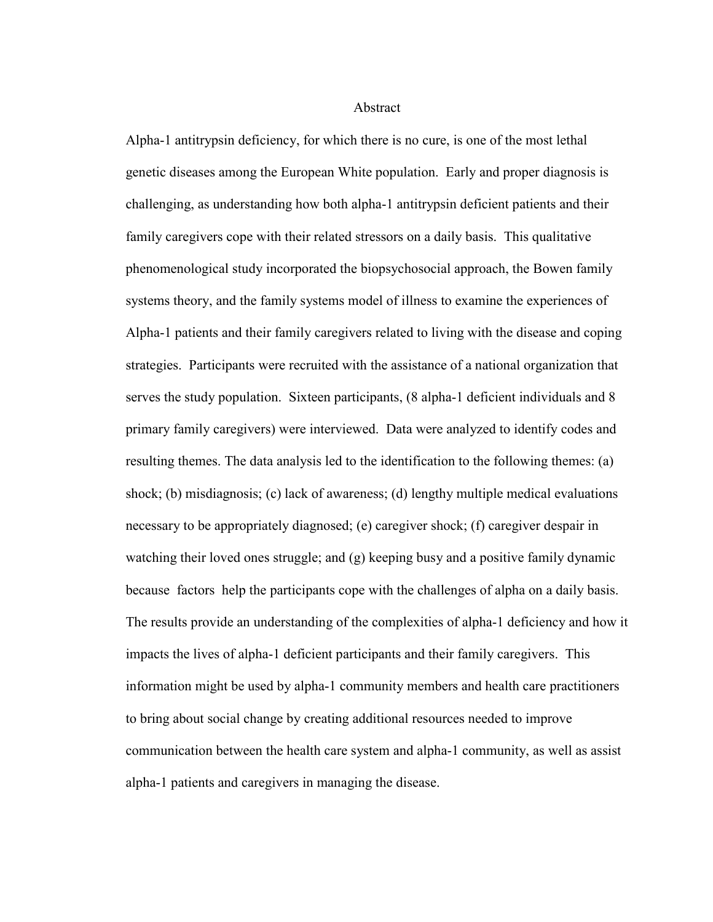Abstract

Alpha-1 antitrypsin deficiency, for which there is no cure, is one of the most lethal genetic diseases among the European White population. Early and proper diagnosis is challenging, as understanding how both alpha-1 antitrypsin deficient patients and their family caregivers cope with their related stressors on a daily basis. This qualitative phenomenological study incorporated the biopsychosocial approach, the Bowen family systems theory, and the family systems model of illness to examine the experiences of Alpha-1 patients and their family caregivers related to living with the disease and coping strategies. Participants were recruited with the assistance of a national organization that serves the study population. Sixteen participants, (8 alpha-1 deficient individuals and 8 primary family caregivers) were interviewed. Data were analyzed to identify codes and resulting themes. The data analysis led to the identification to the following themes: (a) shock; (b) misdiagnosis; (c) lack of awareness; (d) lengthy multiple medical evaluations necessary to be appropriately diagnosed; (e) caregiver shock; (f) caregiver despair in watching their loved ones struggle; and (g) keeping busy and a positive family dynamic because factors help the participants cope with the challenges of alpha on a daily basis. The results provide an understanding of the complexities of alpha-1 deficiency and how it impacts the lives of alpha-1 deficient participants and their family caregivers. This information might be used by alpha-1 community members and health care practitioners to bring about social change by creating additional resources needed to improve communication between the health care system and alpha-1 community, as well as assist alpha-1 patients and caregivers in managing the disease.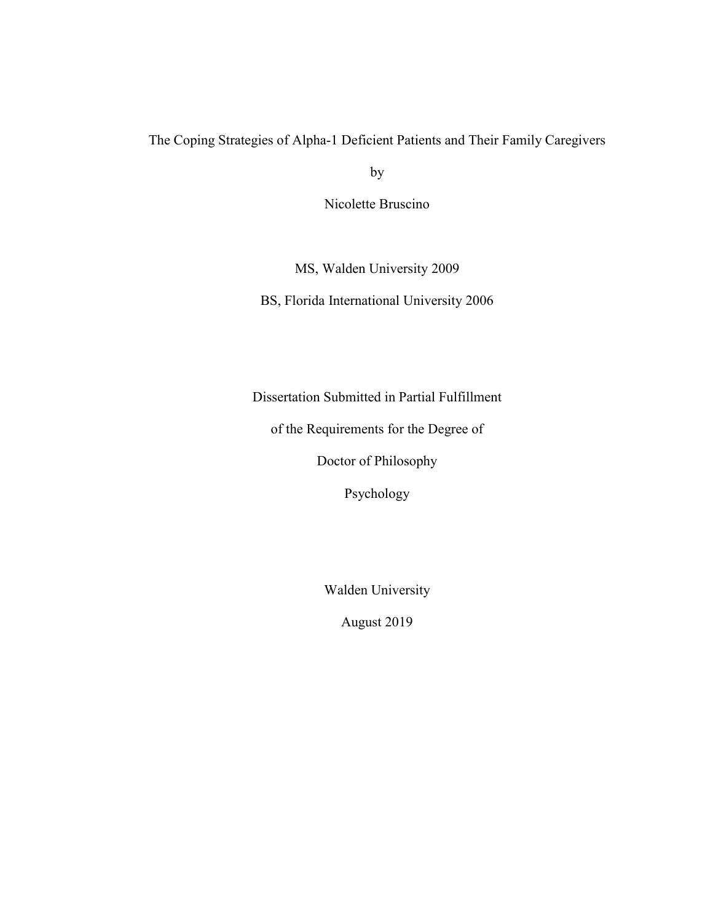# The Coping Strategies of Alpha-1 Deficient Patients and Their Family Caregivers

by

Nicolette Bruscino

MS, Walden University 2009

BS, Florida International University 2006

Dissertation Submitted in Partial Fulfillment

of the Requirements for the Degree of

Doctor of Philosophy

Psychology

Walden University

August 2019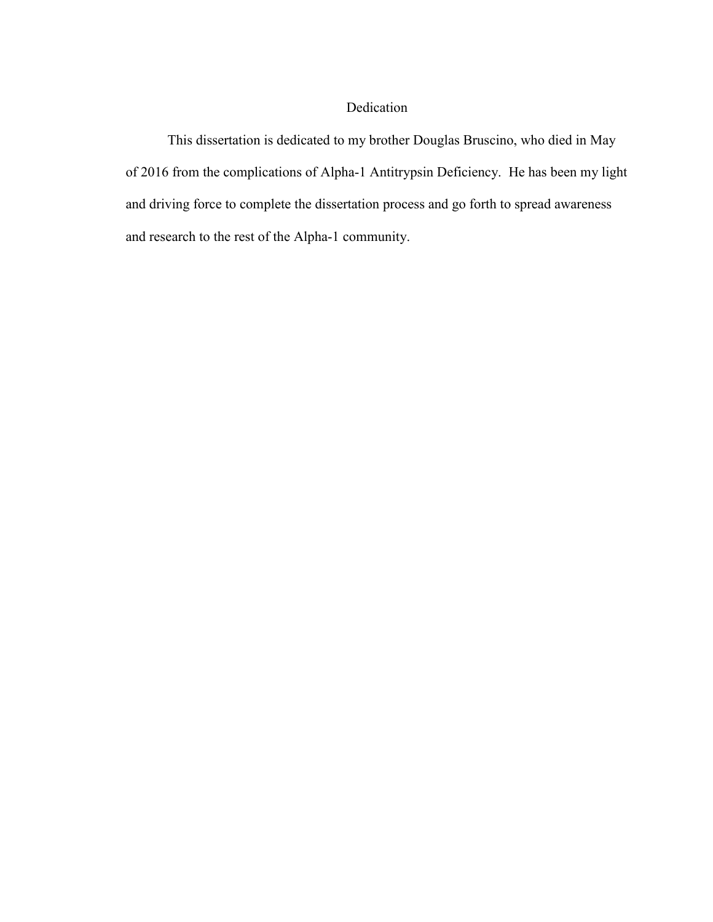## Dedication

This dissertation is dedicated to my brother Douglas Bruscino, who died in May of 2016 from the complications of Alpha-1 Antitrypsin Deficiency. He has been my light and driving force to complete the dissertation process and go forth to spread awareness and research to the rest of the Alpha-1 community.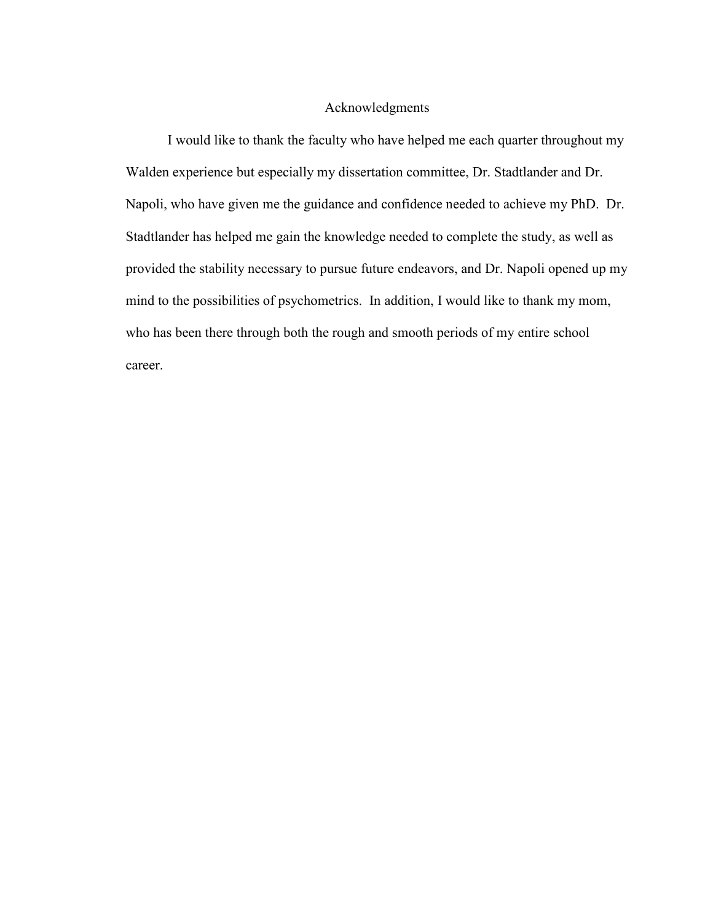## Acknowledgments

I would like to thank the faculty who have helped me each quarter throughout my Walden experience but especially my dissertation committee, Dr. Stadtlander and Dr. Napoli, who have given me the guidance and confidence needed to achieve my PhD. Dr. Stadtlander has helped me gain the knowledge needed to complete the study, as well as provided the stability necessary to pursue future endeavors, and Dr. Napoli opened up my mind to the possibilities of psychometrics. In addition, I would like to thank my mom, who has been there through both the rough and smooth periods of my entire school career.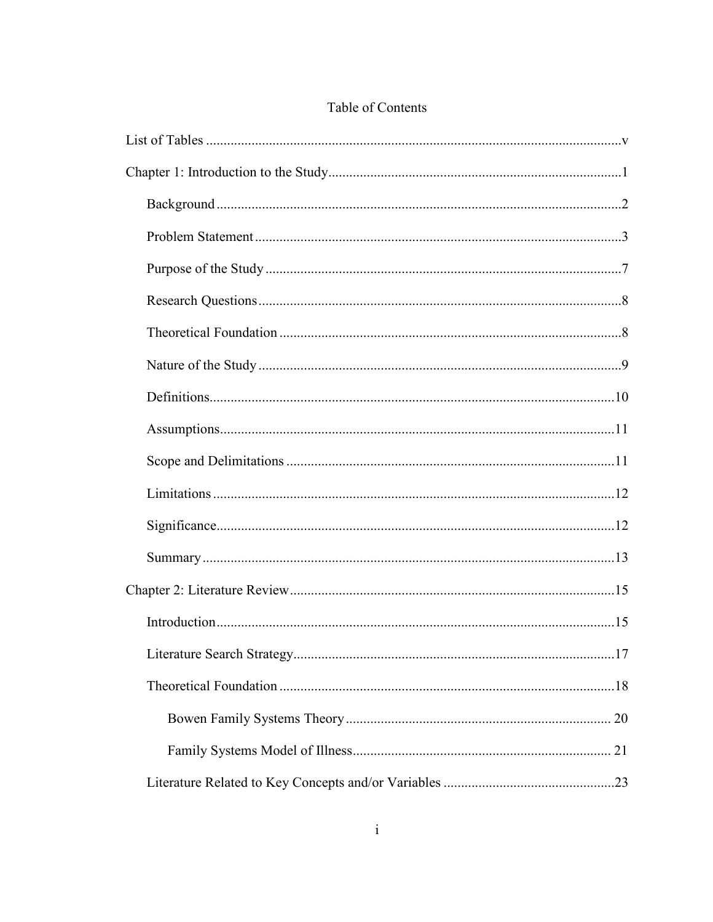# Table of Contents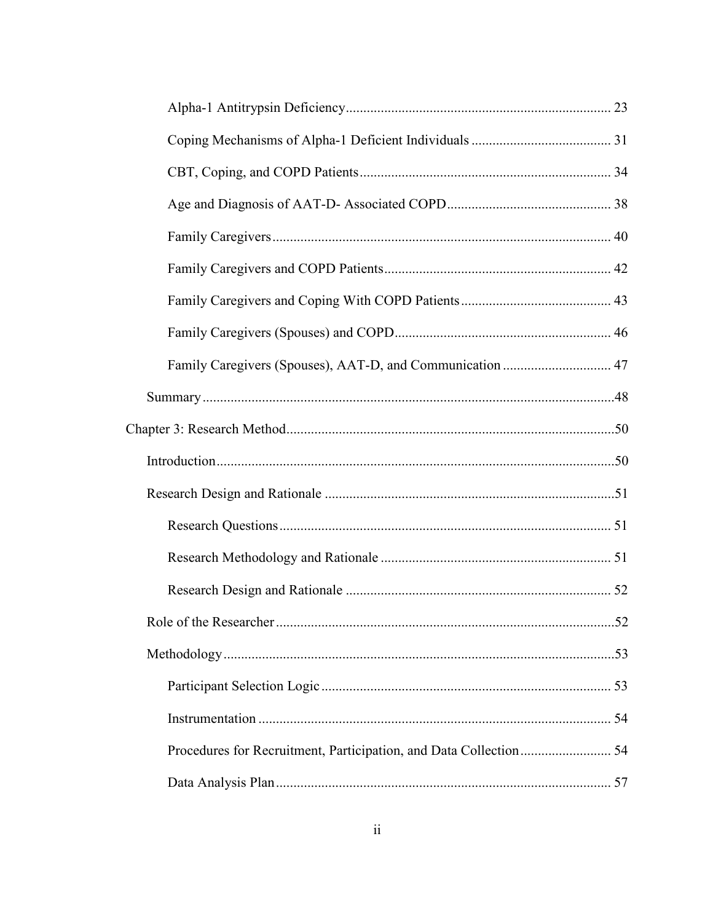| Family Caregivers (Spouses), AAT-D, and Communication  47 |     |
|-----------------------------------------------------------|-----|
|                                                           |     |
|                                                           |     |
|                                                           |     |
|                                                           |     |
|                                                           |     |
|                                                           |     |
|                                                           |     |
|                                                           | .52 |
|                                                           |     |
|                                                           |     |
|                                                           |     |
|                                                           |     |
|                                                           |     |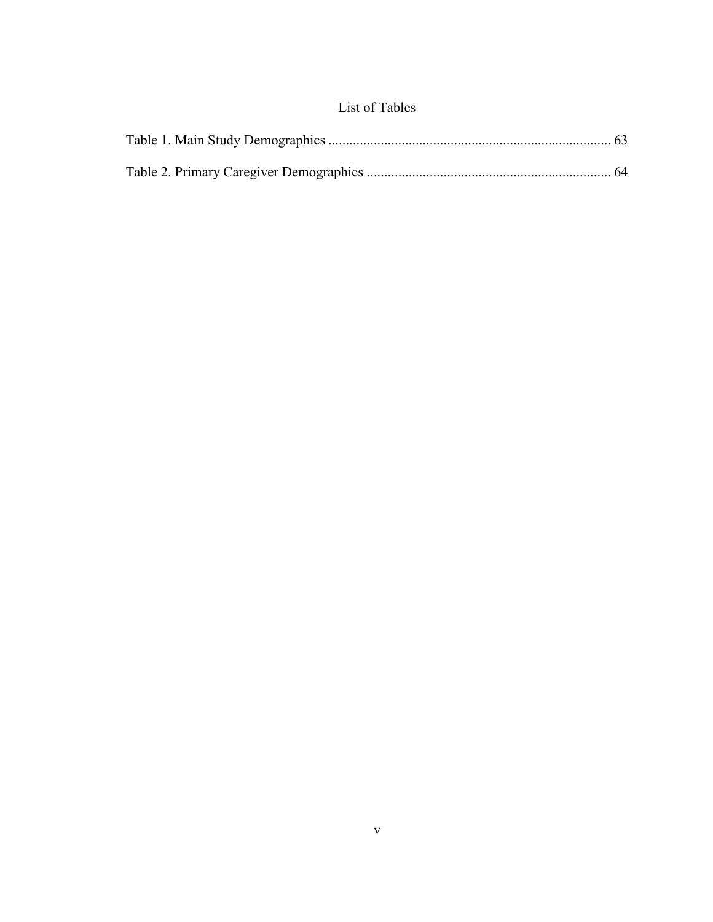# List of Tables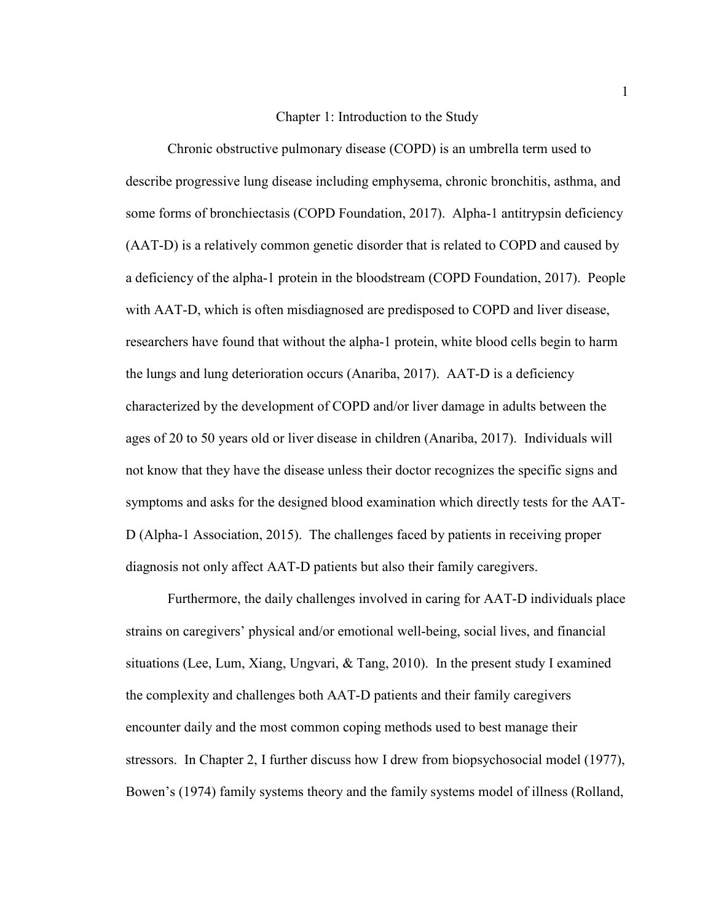#### Chapter 1: Introduction to the Study

Chronic obstructive pulmonary disease (COPD) is an umbrella term used to describe progressive lung disease including emphysema, chronic bronchitis, asthma, and some forms of bronchiectasis (COPD Foundation, 2017). Alpha-1 antitrypsin deficiency (AAT-D) is a relatively common genetic disorder that is related to COPD and caused by a deficiency of the alpha-1 protein in the bloodstream (COPD Foundation, 2017). People with AAT-D, which is often misdiagnosed are predisposed to COPD and liver disease, researchers have found that without the alpha-1 protein, white blood cells begin to harm the lungs and lung deterioration occurs (Anariba, 2017). AAT-D is a deficiency characterized by the development of COPD and/or liver damage in adults between the ages of 20 to 50 years old or liver disease in children (Anariba, 2017). Individuals will not know that they have the disease unless their doctor recognizes the specific signs and symptoms and asks for the designed blood examination which directly tests for the AAT-D (Alpha-1 Association, 2015). The challenges faced by patients in receiving proper diagnosis not only affect AAT-D patients but also their family caregivers.

Furthermore, the daily challenges involved in caring for AAT-D individuals place strains on caregivers' physical and/or emotional well-being, social lives, and financial situations (Lee, Lum, Xiang, Ungvari, & Tang, 2010). In the present study I examined the complexity and challenges both AAT-D patients and their family caregivers encounter daily and the most common coping methods used to best manage their stressors. In Chapter 2, I further discuss how I drew from biopsychosocial model (1977), Bowen's (1974) family systems theory and the family systems model of illness (Rolland,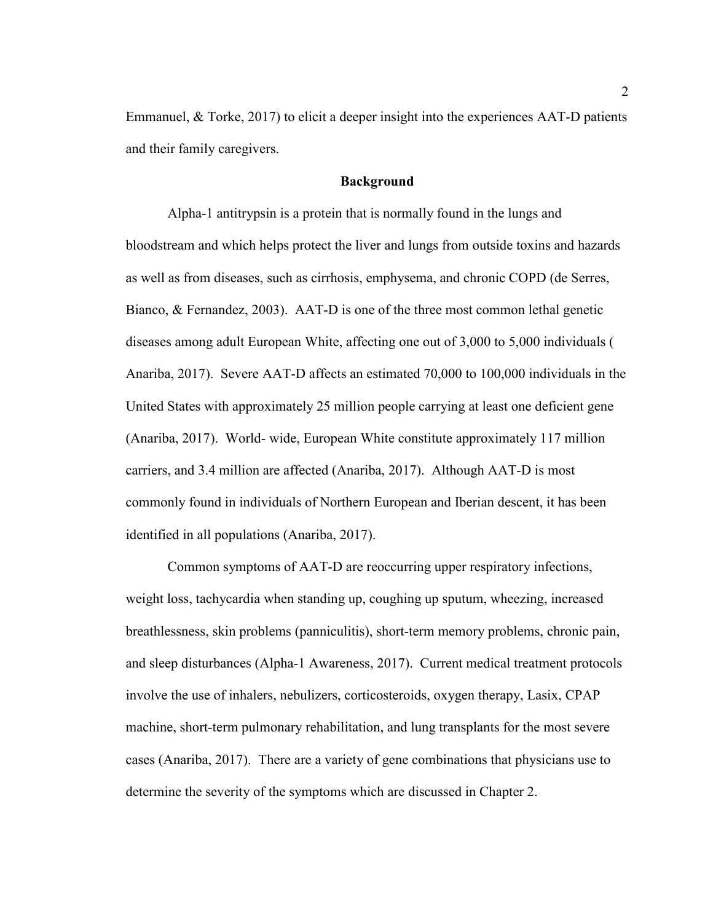Emmanuel, & Torke, 2017) to elicit a deeper insight into the experiences AAT-D patients and their family caregivers.

## **Background**

Alpha-1 antitrypsin is a protein that is normally found in the lungs and bloodstream and which helps protect the liver and lungs from outside toxins and hazards as well as from diseases, such as cirrhosis, emphysema, and chronic COPD (de Serres, Bianco, & Fernandez, 2003). AAT-D is one of the three most common lethal genetic diseases among adult European White, affecting one out of 3,000 to 5,000 individuals ( Anariba, 2017). Severe AAT-D affects an estimated 70,000 to 100,000 individuals in the United States with approximately 25 million people carrying at least one deficient gene (Anariba, 2017). World- wide, European White constitute approximately 117 million carriers, and 3.4 million are affected (Anariba, 2017). Although AAT-D is most commonly found in individuals of Northern European and Iberian descent, it has been identified in all populations (Anariba, 2017).

Common symptoms of AAT-D are reoccurring upper respiratory infections, weight loss, tachycardia when standing up, coughing up sputum, wheezing, increased breathlessness, skin problems (panniculitis), short-term memory problems, chronic pain, and sleep disturbances (Alpha-1 Awareness, 2017). Current medical treatment protocols involve the use of inhalers, nebulizers, corticosteroids, oxygen therapy, Lasix, CPAP machine, short-term pulmonary rehabilitation, and lung transplants for the most severe cases (Anariba, 2017). There are a variety of gene combinations that physicians use to determine the severity of the symptoms which are discussed in Chapter 2.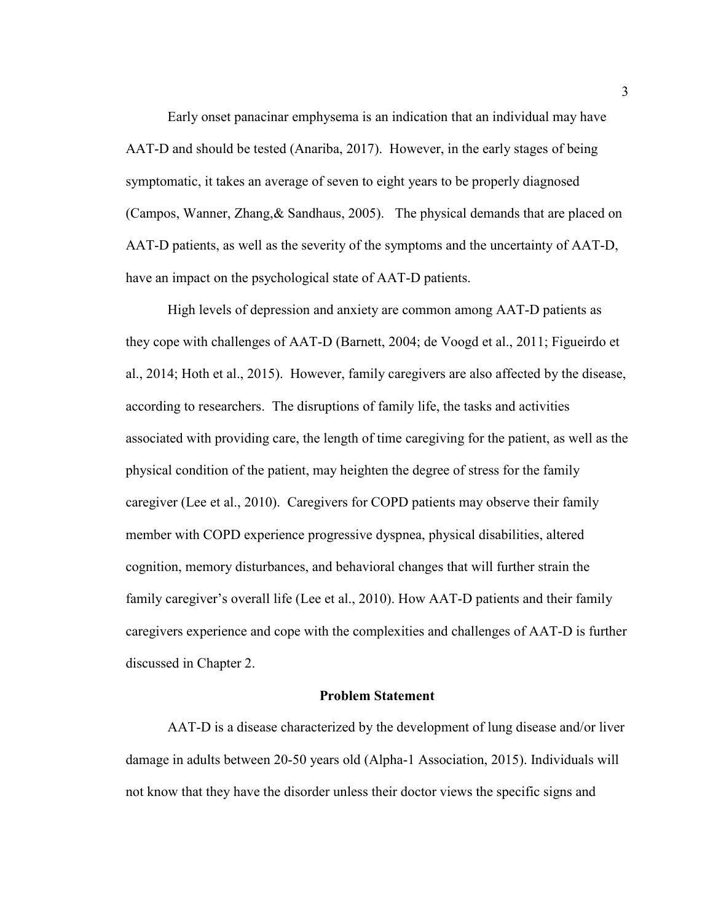Early onset panacinar emphysema is an indication that an individual may have AAT-D and should be tested (Anariba, 2017). However, in the early stages of being symptomatic, it takes an average of seven to eight years to be properly diagnosed (Campos, Wanner, Zhang,& Sandhaus, 2005). The physical demands that are placed on AAT-D patients, as well as the severity of the symptoms and the uncertainty of AAT-D, have an impact on the psychological state of AAT-D patients.

High levels of depression and anxiety are common among AAT-D patients as they cope with challenges of AAT-D (Barnett, 2004; de Voogd et al., 2011; Figueirdo et al., 2014; Hoth et al., 2015). However, family caregivers are also affected by the disease, according to researchers. The disruptions of family life, the tasks and activities associated with providing care, the length of time caregiving for the patient, as well as the physical condition of the patient, may heighten the degree of stress for the family caregiver (Lee et al., 2010). Caregivers for COPD patients may observe their family member with COPD experience progressive dyspnea, physical disabilities, altered cognition, memory disturbances, and behavioral changes that will further strain the family caregiver's overall life (Lee et al., 2010). How AAT-D patients and their family caregivers experience and cope with the complexities and challenges of AAT-D is further discussed in Chapter 2.

## **Problem Statement**

AAT-D is a disease characterized by the development of lung disease and/or liver damage in adults between 20-50 years old (Alpha-1 Association, 2015). Individuals will not know that they have the disorder unless their doctor views the specific signs and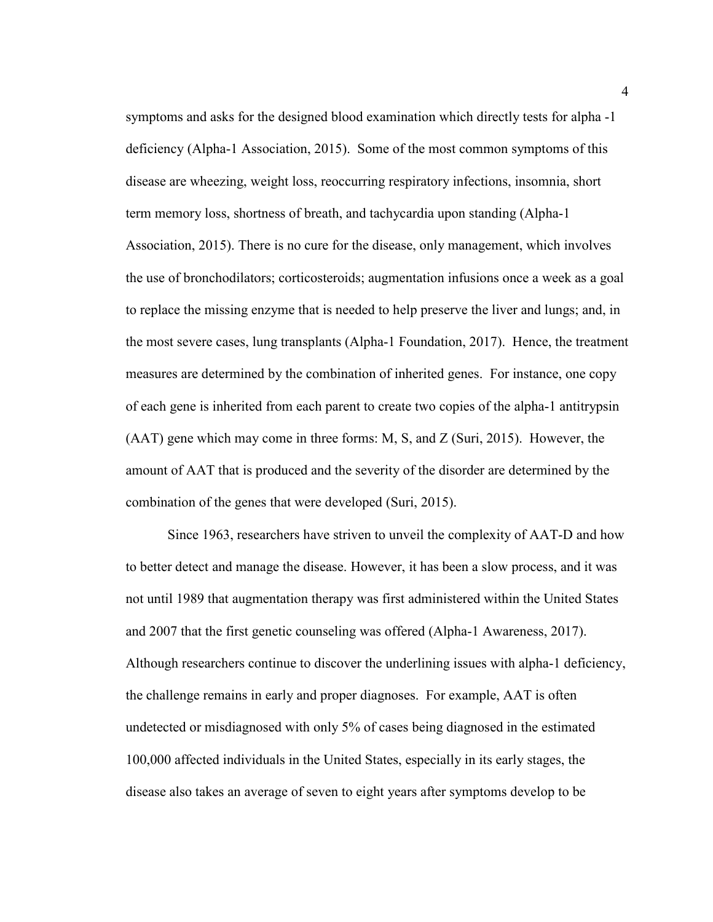symptoms and asks for the designed blood examination which directly tests for alpha -1 deficiency (Alpha-1 Association, 2015). Some of the most common symptoms of this disease are wheezing, weight loss, reoccurring respiratory infections, insomnia, short term memory loss, shortness of breath, and tachycardia upon standing (Alpha-1 Association, 2015). There is no cure for the disease, only management, which involves the use of bronchodilators; corticosteroids; augmentation infusions once a week as a goal to replace the missing enzyme that is needed to help preserve the liver and lungs; and, in the most severe cases, lung transplants (Alpha-1 Foundation, 2017). Hence, the treatment measures are determined by the combination of inherited genes. For instance, one copy of each gene is inherited from each parent to create two copies of the alpha-1 antitrypsin (AAT) gene which may come in three forms: M, S, and Z (Suri, 2015). However, the amount of AAT that is produced and the severity of the disorder are determined by the combination of the genes that were developed (Suri, 2015).

Since 1963, researchers have striven to unveil the complexity of AAT-D and how to better detect and manage the disease. However, it has been a slow process, and it was not until 1989 that augmentation therapy was first administered within the United States and 2007 that the first genetic counseling was offered (Alpha-1 Awareness, 2017). Although researchers continue to discover the underlining issues with alpha-1 deficiency, the challenge remains in early and proper diagnoses. For example, AAT is often undetected or misdiagnosed with only 5% of cases being diagnosed in the estimated 100,000 affected individuals in the United States, especially in its early stages, the disease also takes an average of seven to eight years after symptoms develop to be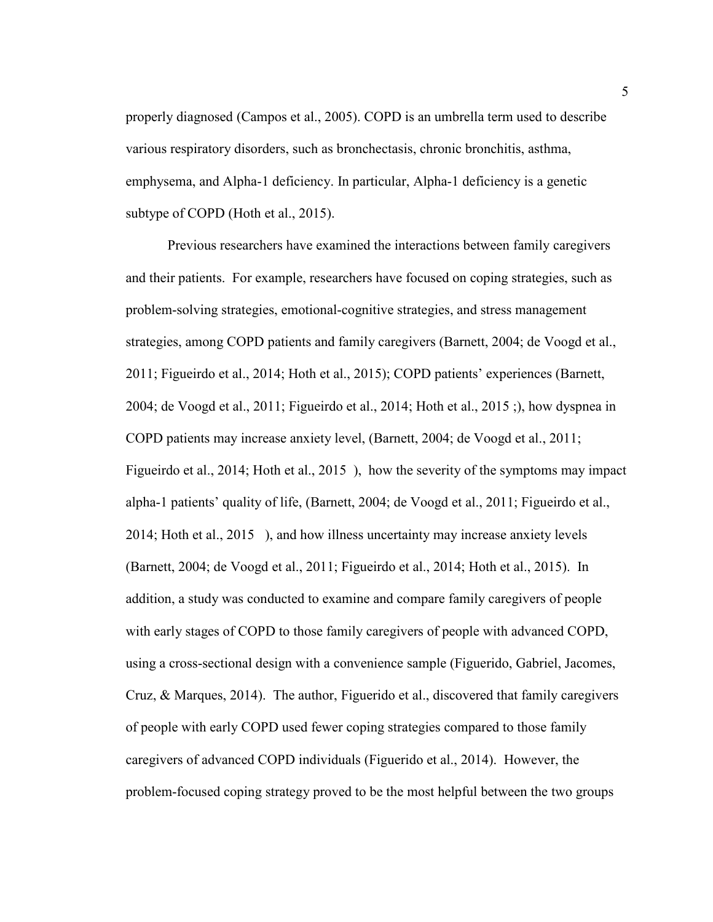properly diagnosed (Campos et al., 2005). COPD is an umbrella term used to describe various respiratory disorders, such as bronchectasis, chronic bronchitis, asthma, emphysema, and Alpha-1 deficiency. In particular, Alpha-1 deficiency is a genetic subtype of COPD (Hoth et al., 2015).

Previous researchers have examined the interactions between family caregivers and their patients. For example, researchers have focused on coping strategies, such as problem-solving strategies, emotional-cognitive strategies, and stress management strategies, among COPD patients and family caregivers (Barnett, 2004; de Voogd et al., 2011; Figueirdo et al., 2014; Hoth et al., 2015); COPD patients' experiences (Barnett, 2004; de Voogd et al., 2011; Figueirdo et al., 2014; Hoth et al., 2015 ;), how dyspnea in COPD patients may increase anxiety level, (Barnett, 2004; de Voogd et al., 2011; Figueirdo et al., 2014; Hoth et al., 2015 ), how the severity of the symptoms may impact alpha-1 patients' quality of life, (Barnett, 2004; de Voogd et al., 2011; Figueirdo et al., 2014; Hoth et al., 2015 ), and how illness uncertainty may increase anxiety levels (Barnett, 2004; de Voogd et al., 2011; Figueirdo et al., 2014; Hoth et al., 2015). In addition, a study was conducted to examine and compare family caregivers of people with early stages of COPD to those family caregivers of people with advanced COPD, using a cross-sectional design with a convenience sample (Figuerido, Gabriel, Jacomes, Cruz, & Marques, 2014). The author, Figuerido et al., discovered that family caregivers of people with early COPD used fewer coping strategies compared to those family caregivers of advanced COPD individuals (Figuerido et al., 2014). However, the problem-focused coping strategy proved to be the most helpful between the two groups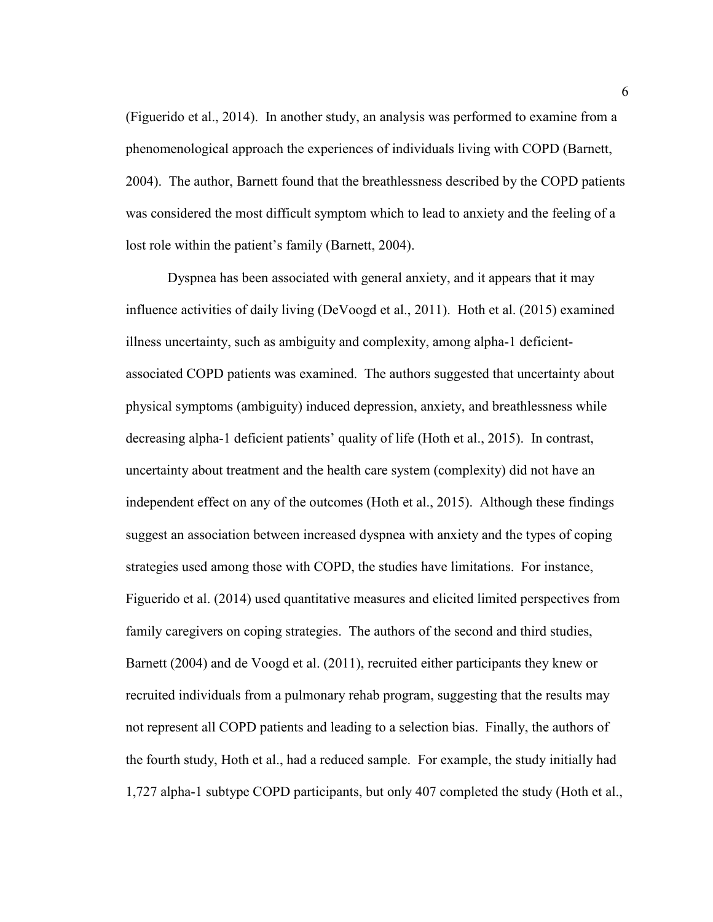(Figuerido et al., 2014). In another study, an analysis was performed to examine from a phenomenological approach the experiences of individuals living with COPD (Barnett, 2004). The author, Barnett found that the breathlessness described by the COPD patients was considered the most difficult symptom which to lead to anxiety and the feeling of a lost role within the patient's family (Barnett, 2004).

Dyspnea has been associated with general anxiety, and it appears that it may influence activities of daily living (DeVoogd et al., 2011). Hoth et al. (2015) examined illness uncertainty, such as ambiguity and complexity, among alpha-1 deficientassociated COPD patients was examined. The authors suggested that uncertainty about physical symptoms (ambiguity) induced depression, anxiety, and breathlessness while decreasing alpha-1 deficient patients' quality of life (Hoth et al., 2015). In contrast, uncertainty about treatment and the health care system (complexity) did not have an independent effect on any of the outcomes (Hoth et al., 2015). Although these findings suggest an association between increased dyspnea with anxiety and the types of coping strategies used among those with COPD, the studies have limitations. For instance, Figuerido et al. (2014) used quantitative measures and elicited limited perspectives from family caregivers on coping strategies. The authors of the second and third studies, Barnett (2004) and de Voogd et al. (2011), recruited either participants they knew or recruited individuals from a pulmonary rehab program, suggesting that the results may not represent all COPD patients and leading to a selection bias. Finally, the authors of the fourth study, Hoth et al., had a reduced sample. For example, the study initially had 1,727 alpha-1 subtype COPD participants, but only 407 completed the study (Hoth et al.,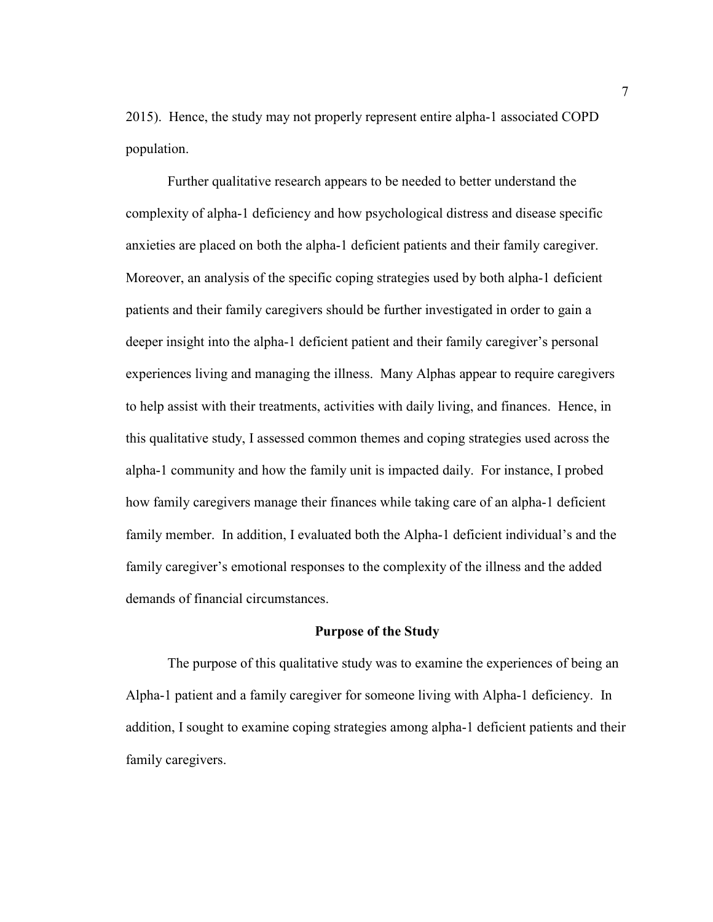2015). Hence, the study may not properly represent entire alpha-1 associated COPD population.

Further qualitative research appears to be needed to better understand the complexity of alpha-1 deficiency and how psychological distress and disease specific anxieties are placed on both the alpha-1 deficient patients and their family caregiver. Moreover, an analysis of the specific coping strategies used by both alpha-1 deficient patients and their family caregivers should be further investigated in order to gain a deeper insight into the alpha-1 deficient patient and their family caregiver's personal experiences living and managing the illness. Many Alphas appear to require caregivers to help assist with their treatments, activities with daily living, and finances. Hence, in this qualitative study, I assessed common themes and coping strategies used across the alpha-1 community and how the family unit is impacted daily. For instance, I probed how family caregivers manage their finances while taking care of an alpha-1 deficient family member. In addition, I evaluated both the Alpha-1 deficient individual's and the family caregiver's emotional responses to the complexity of the illness and the added demands of financial circumstances.

## **Purpose of the Study**

The purpose of this qualitative study was to examine the experiences of being an Alpha-1 patient and a family caregiver for someone living with Alpha-1 deficiency. In addition, I sought to examine coping strategies among alpha-1 deficient patients and their family caregivers.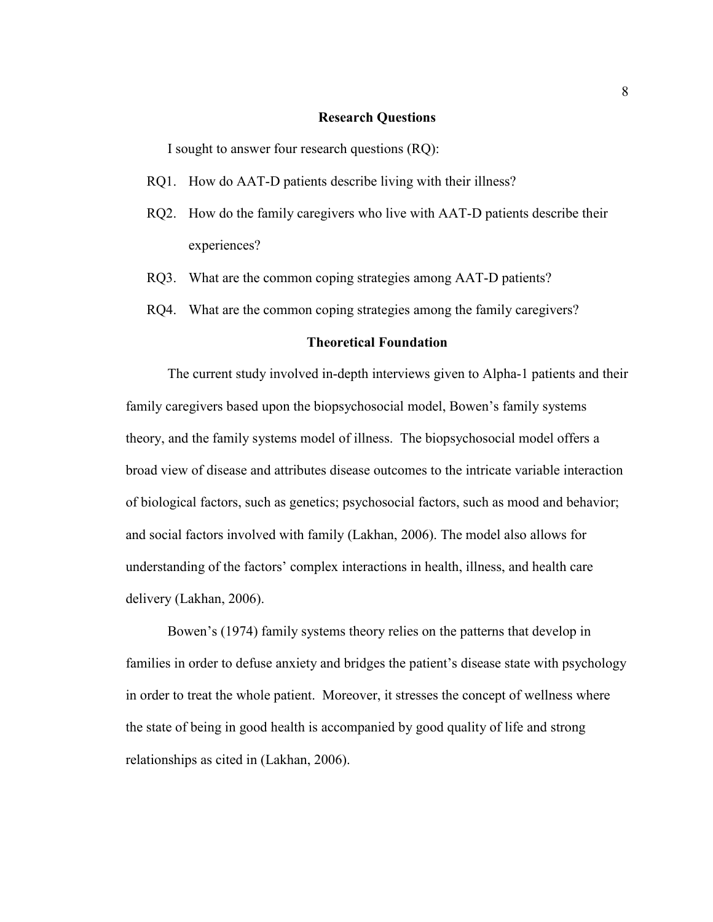#### **Research Questions**

I sought to answer four research questions (RQ):

- RQ1. How do AAT-D patients describe living with their illness?
- RQ2. How do the family caregivers who live with AAT-D patients describe their experiences?
- RQ3. What are the common coping strategies among AAT-D patients?
- RQ4. What are the common coping strategies among the family caregivers?

## **Theoretical Foundation**

The current study involved in-depth interviews given to Alpha-1 patients and their family caregivers based upon the biopsychosocial model, Bowen's family systems theory, and the family systems model of illness. The biopsychosocial model offers a broad view of disease and attributes disease outcomes to the intricate variable interaction of biological factors, such as genetics; psychosocial factors, such as mood and behavior; and social factors involved with family (Lakhan, 2006). The model also allows for understanding of the factors' complex interactions in health, illness, and health care delivery (Lakhan, 2006).

Bowen's (1974) family systems theory relies on the patterns that develop in families in order to defuse anxiety and bridges the patient's disease state with psychology in order to treat the whole patient. Moreover, it stresses the concept of wellness where the state of being in good health is accompanied by good quality of life and strong relationships as cited in (Lakhan, 2006).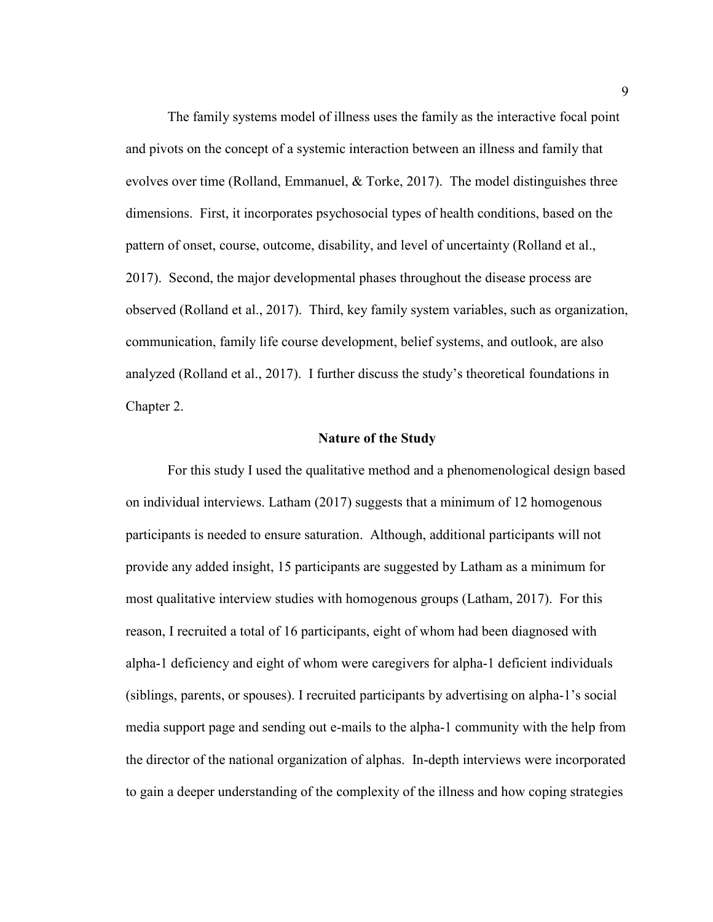The family systems model of illness uses the family as the interactive focal point and pivots on the concept of a systemic interaction between an illness and family that evolves over time (Rolland, Emmanuel,  $&$  Torke, 2017). The model distinguishes three dimensions. First, it incorporates psychosocial types of health conditions, based on the pattern of onset, course, outcome, disability, and level of uncertainty (Rolland et al., 2017). Second, the major developmental phases throughout the disease process are observed (Rolland et al., 2017). Third, key family system variables, such as organization, communication, family life course development, belief systems, and outlook, are also analyzed (Rolland et al., 2017). I further discuss the study's theoretical foundations in Chapter 2.

## **Nature of the Study**

For this study I used the qualitative method and a phenomenological design based on individual interviews. Latham (2017) suggests that a minimum of 12 homogenous participants is needed to ensure saturation. Although, additional participants will not provide any added insight, 15 participants are suggested by Latham as a minimum for most qualitative interview studies with homogenous groups (Latham, 2017). For this reason, I recruited a total of 16 participants, eight of whom had been diagnosed with alpha-1 deficiency and eight of whom were caregivers for alpha-1 deficient individuals (siblings, parents, or spouses). I recruited participants by advertising on alpha-1's social media support page and sending out e-mails to the alpha-1 community with the help from the director of the national organization of alphas. In-depth interviews were incorporated to gain a deeper understanding of the complexity of the illness and how coping strategies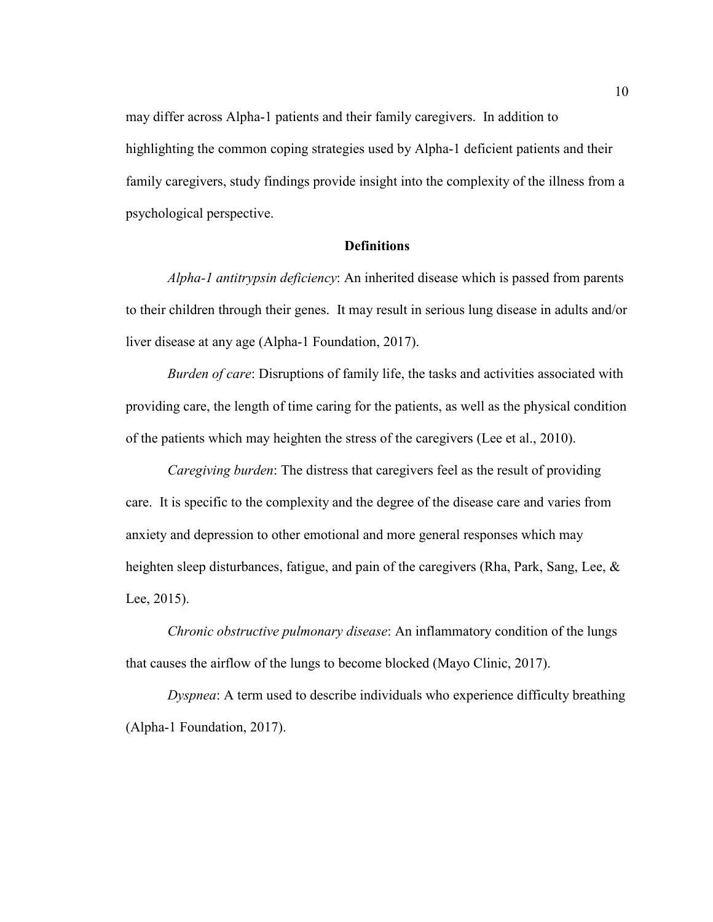may differ across Alpha-1 patients and their family caregivers. In addition to highlighting the common coping strategies used by Alpha-1 deficient patients and their family caregivers, study findings provide insight into the complexity of the illness from a psychological perspective.

## **Definitions**

*Alpha-1 antitrypsin deficiency*: An inherited disease which is passed from parents to their children through their genes. It may result in serious lung disease in adults and/or liver disease at any age (Alpha-1 Foundation, 2017).

*Burden of care*: Disruptions of family life, the tasks and activities associated with providing care, the length of time caring for the patients, as well as the physical condition of the patients which may heighten the stress of the caregivers (Lee et al., 2010).

*Caregiving burden*: The distress that caregivers feel as the result of providing care. It is specific to the complexity and the degree of the disease care and varies from anxiety and depression to other emotional and more general responses which may heighten sleep disturbances, fatigue, and pain of the caregivers (Rha, Park, Sang, Lee, & Lee, 2015).

*Chronic obstructive pulmonary disease*: An inflammatory condition of the lungs that causes the airflow of the lungs to become blocked (Mayo Clinic, 2017).

*Dyspnea*: A term used to describe individuals who experience difficulty breathing (Alpha-1 Foundation, 2017).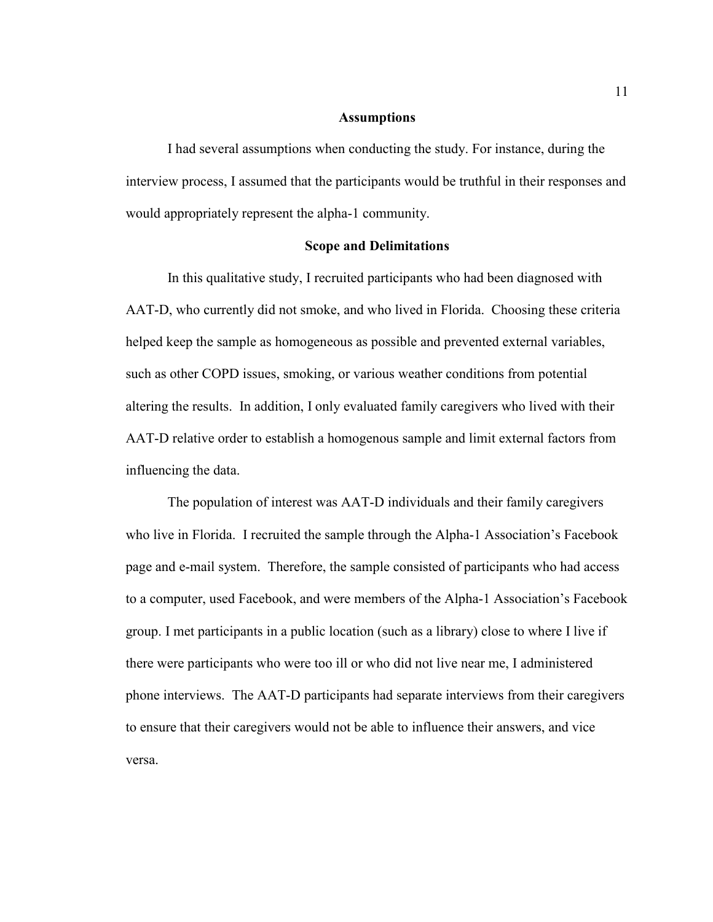## **Assumptions**

I had several assumptions when conducting the study. For instance, during the interview process, I assumed that the participants would be truthful in their responses and would appropriately represent the alpha-1 community.

#### **Scope and Delimitations**

 In this qualitative study, I recruited participants who had been diagnosed with AAT-D, who currently did not smoke, and who lived in Florida. Choosing these criteria helped keep the sample as homogeneous as possible and prevented external variables, such as other COPD issues, smoking, or various weather conditions from potential altering the results. In addition, I only evaluated family caregivers who lived with their AAT-D relative order to establish a homogenous sample and limit external factors from influencing the data.

The population of interest was AAT-D individuals and their family caregivers who live in Florida. I recruited the sample through the Alpha-1 Association's Facebook page and e-mail system. Therefore, the sample consisted of participants who had access to a computer, used Facebook, and were members of the Alpha-1 Association's Facebook group. I met participants in a public location (such as a library) close to where I live if there were participants who were too ill or who did not live near me, I administered phone interviews. The AAT-D participants had separate interviews from their caregivers to ensure that their caregivers would not be able to influence their answers, and vice versa.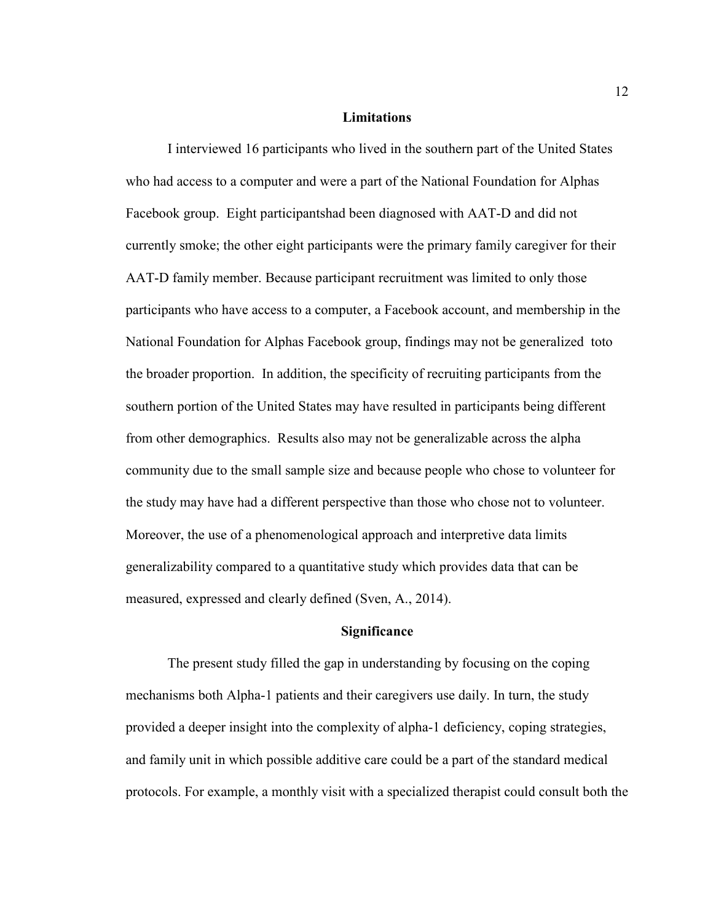### **Limitations**

I interviewed 16 participants who lived in the southern part of the United States who had access to a computer and were a part of the National Foundation for Alphas Facebook group. Eight participantshad been diagnosed with AAT-D and did not currently smoke; the other eight participants were the primary family caregiver for their AAT-D family member. Because participant recruitment was limited to only those participants who have access to a computer, a Facebook account, and membership in the National Foundation for Alphas Facebook group, findings may not be generalized toto the broader proportion. In addition, the specificity of recruiting participants from the southern portion of the United States may have resulted in participants being different from other demographics. Results also may not be generalizable across the alpha community due to the small sample size and because people who chose to volunteer for the study may have had a different perspective than those who chose not to volunteer. Moreover, the use of a phenomenological approach and interpretive data limits generalizability compared to a quantitative study which provides data that can be measured, expressed and clearly defined (Sven, A., 2014).

## **Significance**

The present study filled the gap in understanding by focusing on the coping mechanisms both Alpha-1 patients and their caregivers use daily. In turn, the study provided a deeper insight into the complexity of alpha-1 deficiency, coping strategies, and family unit in which possible additive care could be a part of the standard medical protocols. For example, a monthly visit with a specialized therapist could consult both the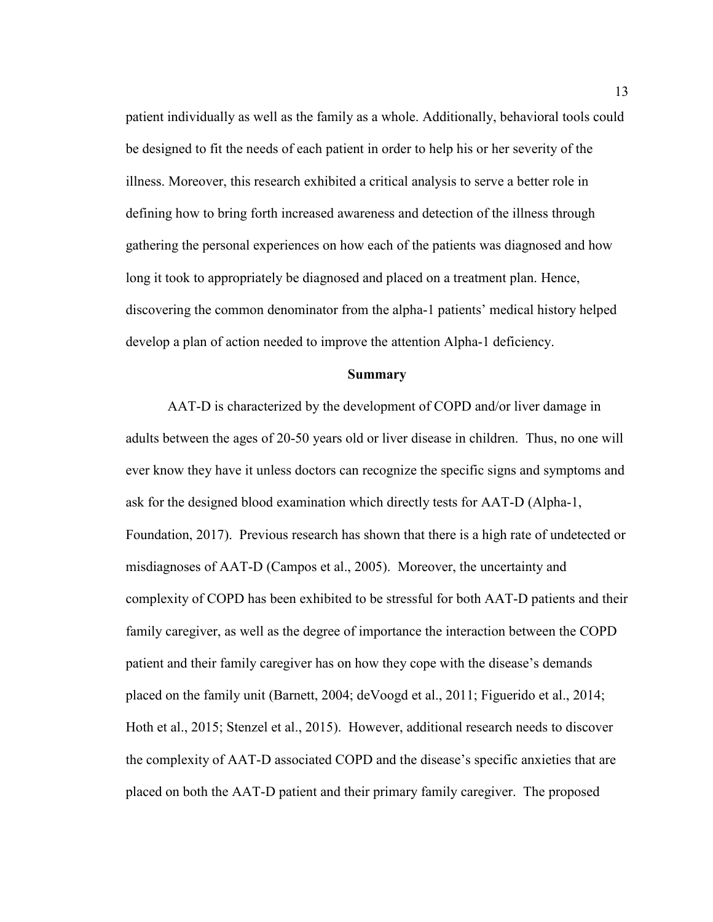patient individually as well as the family as a whole. Additionally, behavioral tools could be designed to fit the needs of each patient in order to help his or her severity of the illness. Moreover, this research exhibited a critical analysis to serve a better role in defining how to bring forth increased awareness and detection of the illness through gathering the personal experiences on how each of the patients was diagnosed and how long it took to appropriately be diagnosed and placed on a treatment plan. Hence, discovering the common denominator from the alpha-1 patients' medical history helped develop a plan of action needed to improve the attention Alpha-1 deficiency.

#### **Summary**

AAT-D is characterized by the development of COPD and/or liver damage in adults between the ages of 20-50 years old or liver disease in children. Thus, no one will ever know they have it unless doctors can recognize the specific signs and symptoms and ask for the designed blood examination which directly tests for AAT-D (Alpha-1, Foundation, 2017). Previous research has shown that there is a high rate of undetected or misdiagnoses of AAT-D (Campos et al., 2005). Moreover, the uncertainty and complexity of COPD has been exhibited to be stressful for both AAT-D patients and their family caregiver, as well as the degree of importance the interaction between the COPD patient and their family caregiver has on how they cope with the disease's demands placed on the family unit (Barnett, 2004; deVoogd et al., 2011; Figuerido et al., 2014; Hoth et al., 2015; Stenzel et al., 2015). However, additional research needs to discover the complexity of AAT-D associated COPD and the disease's specific anxieties that are placed on both the AAT-D patient and their primary family caregiver. The proposed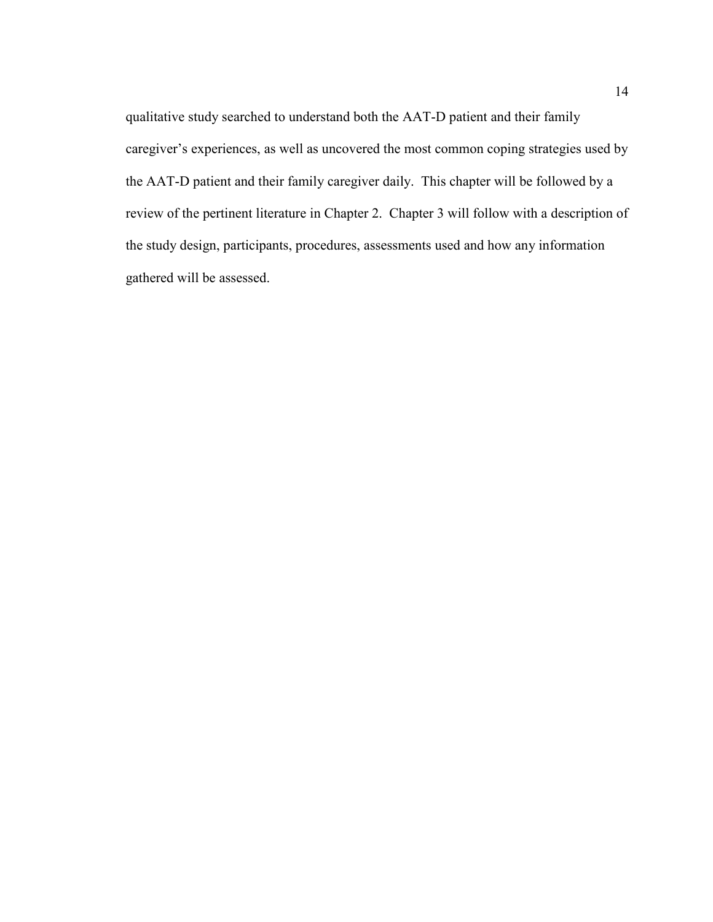qualitative study searched to understand both the AAT-D patient and their family caregiver's experiences, as well as uncovered the most common coping strategies used by the AAT-D patient and their family caregiver daily. This chapter will be followed by a review of the pertinent literature in Chapter 2. Chapter 3 will follow with a description of the study design, participants, procedures, assessments used and how any information gathered will be assessed.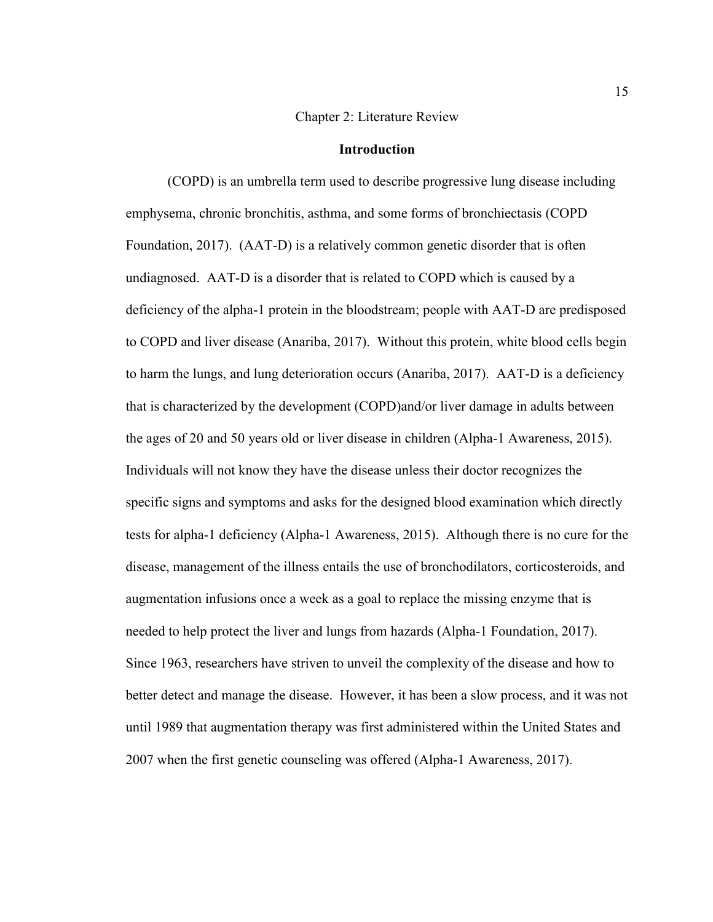#### Chapter 2: Literature Review

## **Introduction**

(COPD) is an umbrella term used to describe progressive lung disease including emphysema, chronic bronchitis, asthma, and some forms of bronchiectasis (COPD Foundation, 2017). (AAT-D) is a relatively common genetic disorder that is often undiagnosed. AAT-D is a disorder that is related to COPD which is caused by a deficiency of the alpha-1 protein in the bloodstream; people with AAT-D are predisposed to COPD and liver disease (Anariba, 2017). Without this protein, white blood cells begin to harm the lungs, and lung deterioration occurs (Anariba, 2017). AAT-D is a deficiency that is characterized by the development (COPD)and/or liver damage in adults between the ages of 20 and 50 years old or liver disease in children (Alpha-1 Awareness, 2015). Individuals will not know they have the disease unless their doctor recognizes the specific signs and symptoms and asks for the designed blood examination which directly tests for alpha-1 deficiency (Alpha-1 Awareness, 2015). Although there is no cure for the disease, management of the illness entails the use of bronchodilators, corticosteroids, and augmentation infusions once a week as a goal to replace the missing enzyme that is needed to help protect the liver and lungs from hazards (Alpha-1 Foundation, 2017). Since 1963, researchers have striven to unveil the complexity of the disease and how to better detect and manage the disease. However, it has been a slow process, and it was not until 1989 that augmentation therapy was first administered within the United States and 2007 when the first genetic counseling was offered (Alpha-1 Awareness, 2017).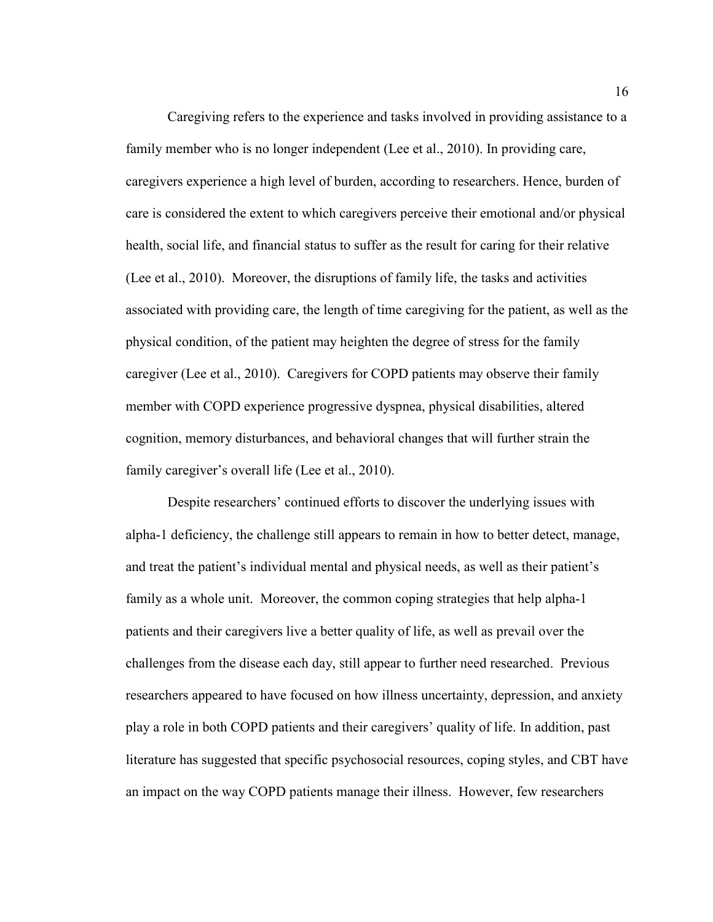Caregiving refers to the experience and tasks involved in providing assistance to a family member who is no longer independent (Lee et al., 2010). In providing care, caregivers experience a high level of burden, according to researchers. Hence, burden of care is considered the extent to which caregivers perceive their emotional and/or physical health, social life, and financial status to suffer as the result for caring for their relative (Lee et al., 2010). Moreover, the disruptions of family life, the tasks and activities associated with providing care, the length of time caregiving for the patient, as well as the physical condition, of the patient may heighten the degree of stress for the family caregiver (Lee et al., 2010). Caregivers for COPD patients may observe their family member with COPD experience progressive dyspnea, physical disabilities, altered cognition, memory disturbances, and behavioral changes that will further strain the family caregiver's overall life (Lee et al., 2010).

Despite researchers' continued efforts to discover the underlying issues with alpha-1 deficiency, the challenge still appears to remain in how to better detect, manage, and treat the patient's individual mental and physical needs, as well as their patient's family as a whole unit. Moreover, the common coping strategies that help alpha-1 patients and their caregivers live a better quality of life, as well as prevail over the challenges from the disease each day, still appear to further need researched. Previous researchers appeared to have focused on how illness uncertainty, depression, and anxiety play a role in both COPD patients and their caregivers' quality of life. In addition, past literature has suggested that specific psychosocial resources, coping styles, and CBT have an impact on the way COPD patients manage their illness. However, few researchers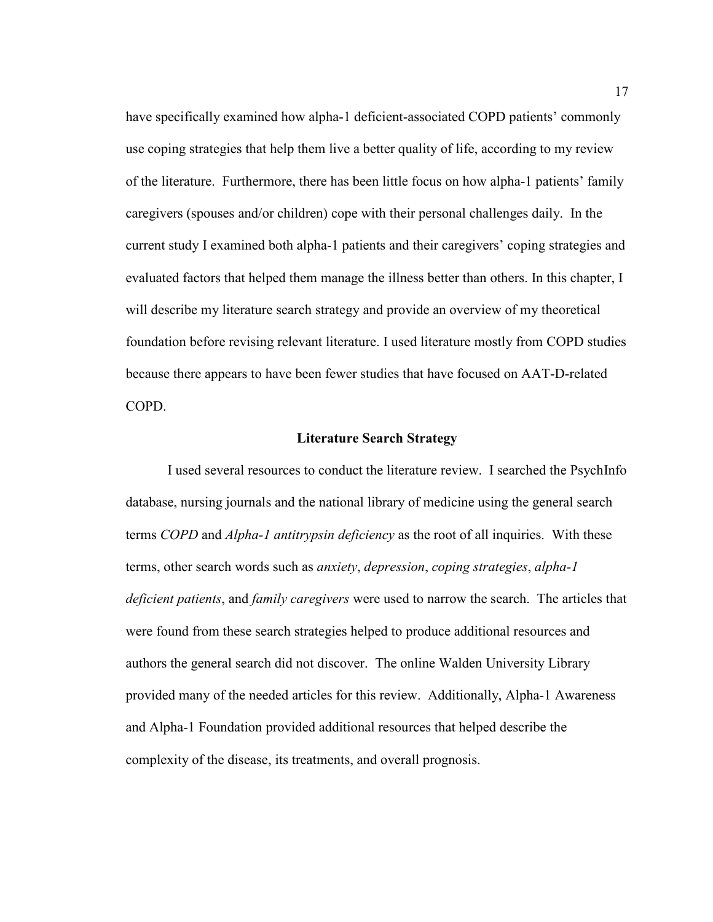have specifically examined how alpha-1 deficient-associated COPD patients' commonly use coping strategies that help them live a better quality of life, according to my review of the literature. Furthermore, there has been little focus on how alpha-1 patients' family caregivers (spouses and/or children) cope with their personal challenges daily. In the current study I examined both alpha-1 patients and their caregivers' coping strategies and evaluated factors that helped them manage the illness better than others. In this chapter, I will describe my literature search strategy and provide an overview of my theoretical foundation before revising relevant literature. I used literature mostly from COPD studies because there appears to have been fewer studies that have focused on AAT-D-related COPD.

## **Literature Search Strategy**

I used several resources to conduct the literature review. I searched the PsychInfo database, nursing journals and the national library of medicine using the general search terms *COPD* and *Alpha-1 antitrypsin deficiency* as the root of all inquiries. With these terms, other search words such as *anxiety*, *depression*, *coping strategies*, *alpha-1 deficient patients*, and *family caregivers* were used to narrow the search. The articles that were found from these search strategies helped to produce additional resources and authors the general search did not discover. The online Walden University Library provided many of the needed articles for this review. Additionally, Alpha-1 Awareness and Alpha-1 Foundation provided additional resources that helped describe the complexity of the disease, its treatments, and overall prognosis.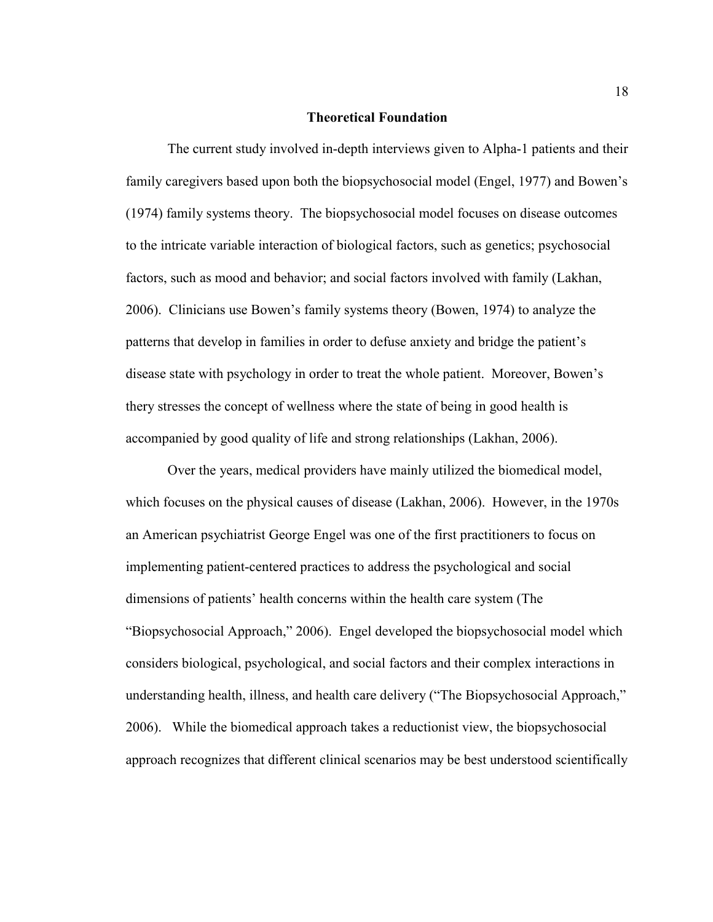## **Theoretical Foundation**

The current study involved in-depth interviews given to Alpha-1 patients and their family caregivers based upon both the biopsychosocial model (Engel, 1977) and Bowen's (1974) family systems theory. The biopsychosocial model focuses on disease outcomes to the intricate variable interaction of biological factors, such as genetics; psychosocial factors, such as mood and behavior; and social factors involved with family (Lakhan, 2006). Clinicians use Bowen's family systems theory (Bowen, 1974) to analyze the patterns that develop in families in order to defuse anxiety and bridge the patient's disease state with psychology in order to treat the whole patient. Moreover, Bowen's thery stresses the concept of wellness where the state of being in good health is accompanied by good quality of life and strong relationships (Lakhan, 2006).

Over the years, medical providers have mainly utilized the biomedical model, which focuses on the physical causes of disease (Lakhan, 2006). However, in the 1970s an American psychiatrist George Engel was one of the first practitioners to focus on implementing patient-centered practices to address the psychological and social dimensions of patients' health concerns within the health care system (The "Biopsychosocial Approach," 2006). Engel developed the biopsychosocial model which considers biological, psychological, and social factors and their complex interactions in understanding health, illness, and health care delivery ("The Biopsychosocial Approach," 2006). While the biomedical approach takes a reductionist view, the biopsychosocial approach recognizes that different clinical scenarios may be best understood scientifically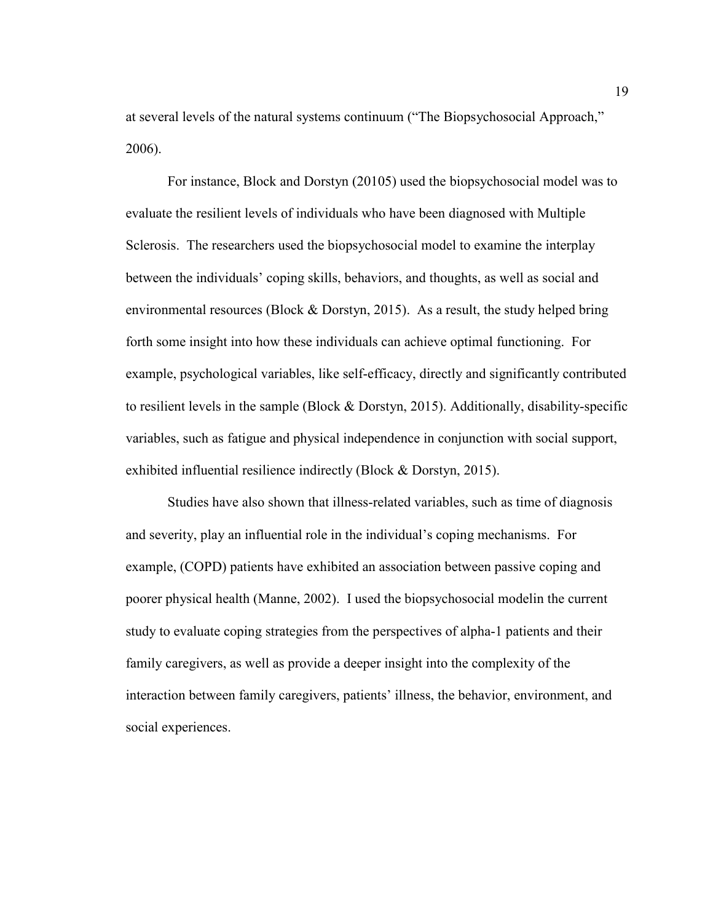at several levels of the natural systems continuum ("The Biopsychosocial Approach," 2006).

For instance, Block and Dorstyn (20105) used the biopsychosocial model was to evaluate the resilient levels of individuals who have been diagnosed with Multiple Sclerosis. The researchers used the biopsychosocial model to examine the interplay between the individuals' coping skills, behaviors, and thoughts, as well as social and environmental resources (Block & Dorstyn, 2015). As a result, the study helped bring forth some insight into how these individuals can achieve optimal functioning. For example, psychological variables, like self-efficacy, directly and significantly contributed to resilient levels in the sample (Block & Dorstyn, 2015). Additionally, disability-specific variables, such as fatigue and physical independence in conjunction with social support, exhibited influential resilience indirectly (Block & Dorstyn, 2015).

Studies have also shown that illness-related variables, such as time of diagnosis and severity, play an influential role in the individual's coping mechanisms. For example, (COPD) patients have exhibited an association between passive coping and poorer physical health (Manne, 2002). I used the biopsychosocial modelin the current study to evaluate coping strategies from the perspectives of alpha-1 patients and their family caregivers, as well as provide a deeper insight into the complexity of the interaction between family caregivers, patients' illness, the behavior, environment, and social experiences.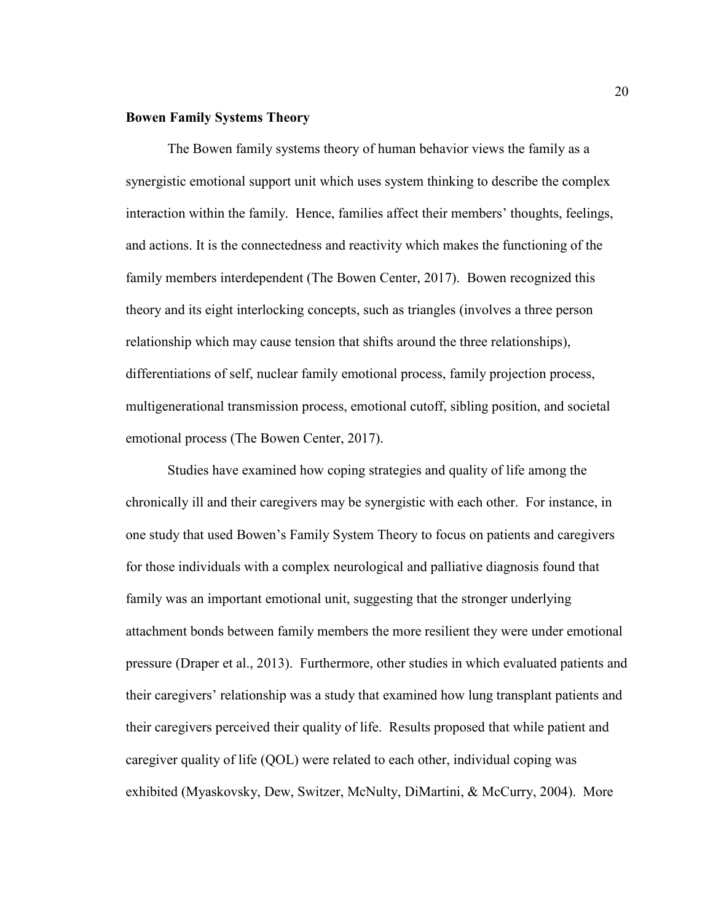## **Bowen Family Systems Theory**

The Bowen family systems theory of human behavior views the family as a synergistic emotional support unit which uses system thinking to describe the complex interaction within the family. Hence, families affect their members' thoughts, feelings, and actions. It is the connectedness and reactivity which makes the functioning of the family members interdependent (The Bowen Center, 2017). Bowen recognized this theory and its eight interlocking concepts, such as triangles (involves a three person relationship which may cause tension that shifts around the three relationships), differentiations of self, nuclear family emotional process, family projection process, multigenerational transmission process, emotional cutoff, sibling position, and societal emotional process (The Bowen Center, 2017).

Studies have examined how coping strategies and quality of life among the chronically ill and their caregivers may be synergistic with each other. For instance, in one study that used Bowen's Family System Theory to focus on patients and caregivers for those individuals with a complex neurological and palliative diagnosis found that family was an important emotional unit, suggesting that the stronger underlying attachment bonds between family members the more resilient they were under emotional pressure (Draper et al., 2013). Furthermore, other studies in which evaluated patients and their caregivers' relationship was a study that examined how lung transplant patients and their caregivers perceived their quality of life. Results proposed that while patient and caregiver quality of life (QOL) were related to each other, individual coping was exhibited (Myaskovsky, Dew, Switzer, McNulty, DiMartini, & McCurry, 2004). More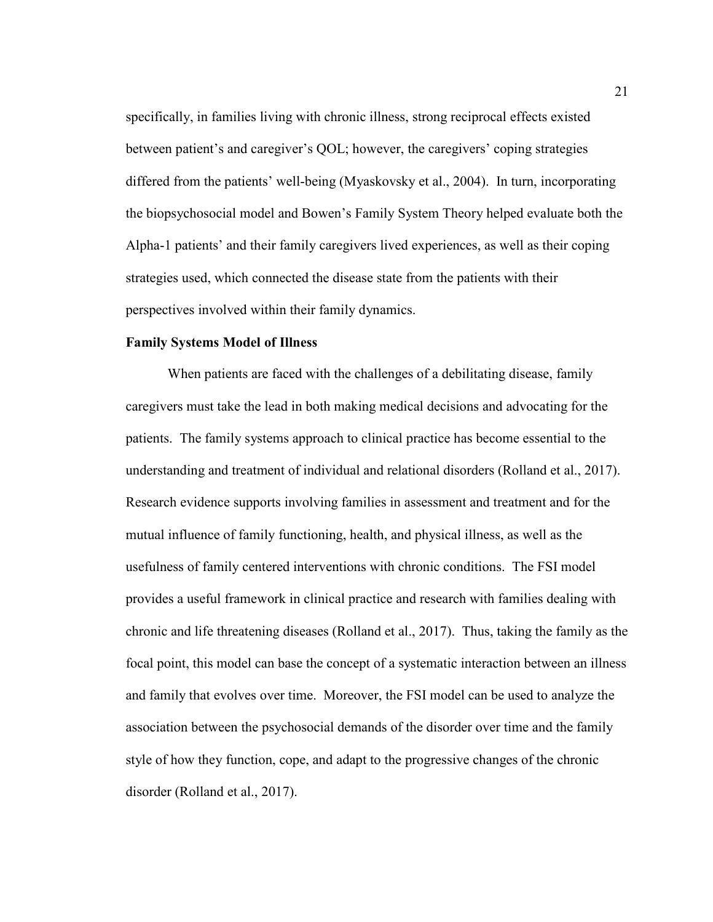specifically, in families living with chronic illness, strong reciprocal effects existed between patient's and caregiver's QOL; however, the caregivers' coping strategies differed from the patients' well-being (Myaskovsky et al., 2004). In turn, incorporating the biopsychosocial model and Bowen's Family System Theory helped evaluate both the Alpha-1 patients' and their family caregivers lived experiences, as well as their coping strategies used, which connected the disease state from the patients with their perspectives involved within their family dynamics.

## **Family Systems Model of Illness**

When patients are faced with the challenges of a debilitating disease, family caregivers must take the lead in both making medical decisions and advocating for the patients. The family systems approach to clinical practice has become essential to the understanding and treatment of individual and relational disorders (Rolland et al., 2017). Research evidence supports involving families in assessment and treatment and for the mutual influence of family functioning, health, and physical illness, as well as the usefulness of family centered interventions with chronic conditions. The FSI model provides a useful framework in clinical practice and research with families dealing with chronic and life threatening diseases (Rolland et al., 2017). Thus, taking the family as the focal point, this model can base the concept of a systematic interaction between an illness and family that evolves over time. Moreover, the FSI model can be used to analyze the association between the psychosocial demands of the disorder over time and the family style of how they function, cope, and adapt to the progressive changes of the chronic disorder (Rolland et al., 2017).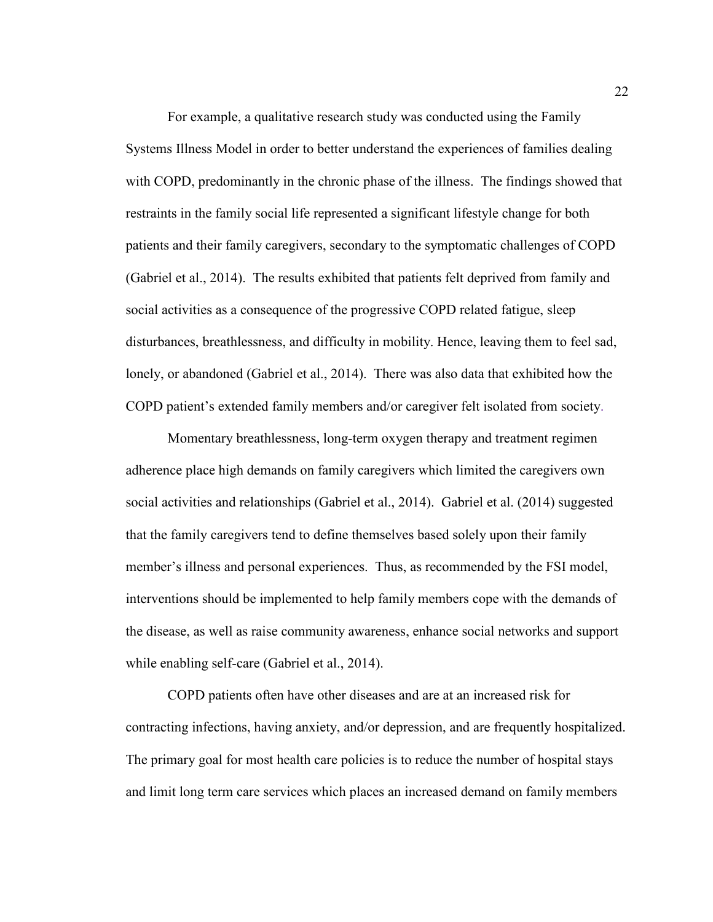For example, a qualitative research study was conducted using the Family Systems Illness Model in order to better understand the experiences of families dealing with COPD, predominantly in the chronic phase of the illness. The findings showed that restraints in the family social life represented a significant lifestyle change for both patients and their family caregivers, secondary to the symptomatic challenges of COPD (Gabriel et al., 2014). The results exhibited that patients felt deprived from family and social activities as a consequence of the progressive COPD related fatigue, sleep disturbances, breathlessness, and difficulty in mobility. Hence, leaving them to feel sad, lonely, or abandoned (Gabriel et al., 2014). There was also data that exhibited how the COPD patient's extended family members and/or caregiver felt isolated from society.

Momentary breathlessness, long-term oxygen therapy and treatment regimen adherence place high demands on family caregivers which limited the caregivers own social activities and relationships (Gabriel et al., 2014). Gabriel et al. (2014) suggested that the family caregivers tend to define themselves based solely upon their family member's illness and personal experiences. Thus, as recommended by the FSI model, interventions should be implemented to help family members cope with the demands of the disease, as well as raise community awareness, enhance social networks and support while enabling self-care (Gabriel et al., 2014).

 COPD patients often have other diseases and are at an increased risk for contracting infections, having anxiety, and/or depression, and are frequently hospitalized. The primary goal for most health care policies is to reduce the number of hospital stays and limit long term care services which places an increased demand on family members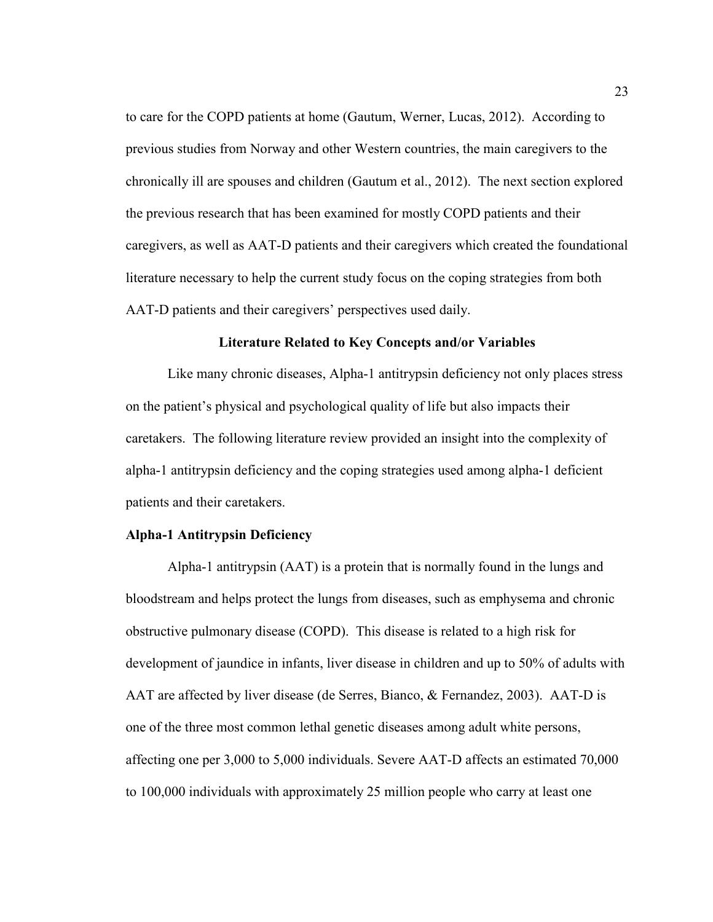to care for the COPD patients at home (Gautum, Werner, Lucas, 2012). According to previous studies from Norway and other Western countries, the main caregivers to the chronically ill are spouses and children (Gautum et al., 2012). The next section explored the previous research that has been examined for mostly COPD patients and their caregivers, as well as AAT-D patients and their caregivers which created the foundational literature necessary to help the current study focus on the coping strategies from both AAT-D patients and their caregivers' perspectives used daily.

## **Literature Related to Key Concepts and/or Variables**

Like many chronic diseases, Alpha-1 antitrypsin deficiency not only places stress on the patient's physical and psychological quality of life but also impacts their caretakers. The following literature review provided an insight into the complexity of alpha-1 antitrypsin deficiency and the coping strategies used among alpha-1 deficient patients and their caretakers.

## **Alpha-1 Antitrypsin Deficiency**

Alpha-1 antitrypsin (AAT) is a protein that is normally found in the lungs and bloodstream and helps protect the lungs from diseases, such as emphysema and chronic obstructive pulmonary disease (COPD). This disease is related to a high risk for development of jaundice in infants, liver disease in children and up to 50% of adults with AAT are affected by liver disease (de Serres, Bianco, & Fernandez, 2003). AAT-D is one of the three most common lethal genetic diseases among adult white persons, affecting one per 3,000 to 5,000 individuals. Severe AAT-D affects an estimated 70,000 to 100,000 individuals with approximately 25 million people who carry at least one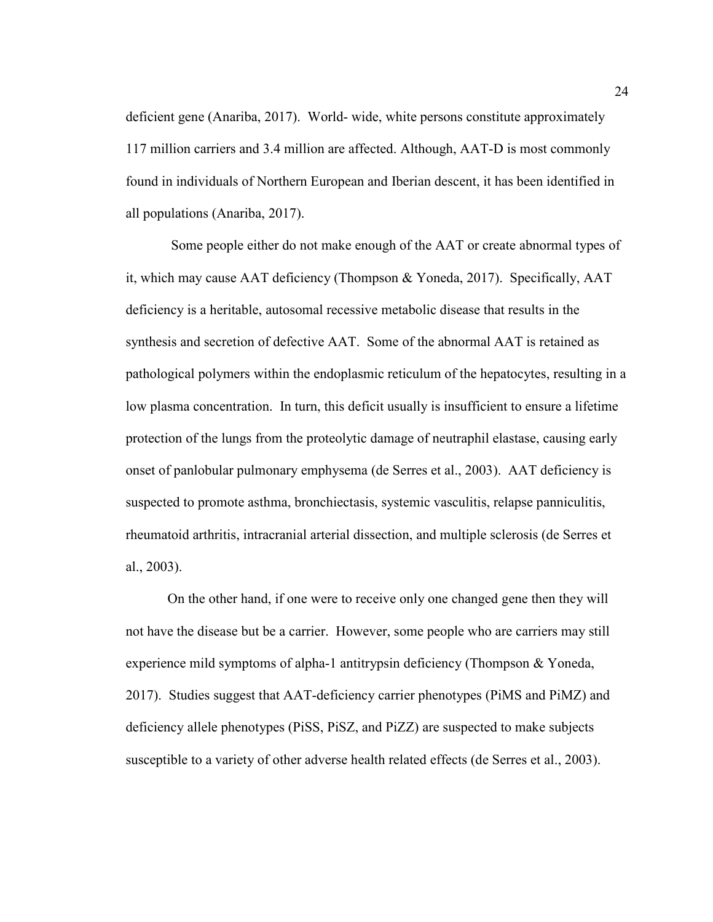deficient gene (Anariba, 2017). World- wide, white persons constitute approximately 117 million carriers and 3.4 million are affected. Although, AAT-D is most commonly found in individuals of Northern European and Iberian descent, it has been identified in all populations (Anariba, 2017).

Some people either do not make enough of the AAT or create abnormal types of it, which may cause AAT deficiency (Thompson & Yoneda, 2017). Specifically, AAT deficiency is a heritable, autosomal recessive metabolic disease that results in the synthesis and secretion of defective AAT. Some of the abnormal AAT is retained as pathological polymers within the endoplasmic reticulum of the hepatocytes, resulting in a low plasma concentration. In turn, this deficit usually is insufficient to ensure a lifetime protection of the lungs from the proteolytic damage of neutraphil elastase, causing early onset of panlobular pulmonary emphysema (de Serres et al., 2003). AAT deficiency is suspected to promote asthma, bronchiectasis, systemic vasculitis, relapse panniculitis, rheumatoid arthritis, intracranial arterial dissection, and multiple sclerosis (de Serres et al., 2003).

On the other hand, if one were to receive only one changed gene then they will not have the disease but be a carrier. However, some people who are carriers may still experience mild symptoms of alpha-1 antitrypsin deficiency (Thompson & Yoneda, 2017). Studies suggest that AAT-deficiency carrier phenotypes (PiMS and PiMZ) and deficiency allele phenotypes (PiSS, PiSZ, and PiZZ) are suspected to make subjects susceptible to a variety of other adverse health related effects (de Serres et al., 2003).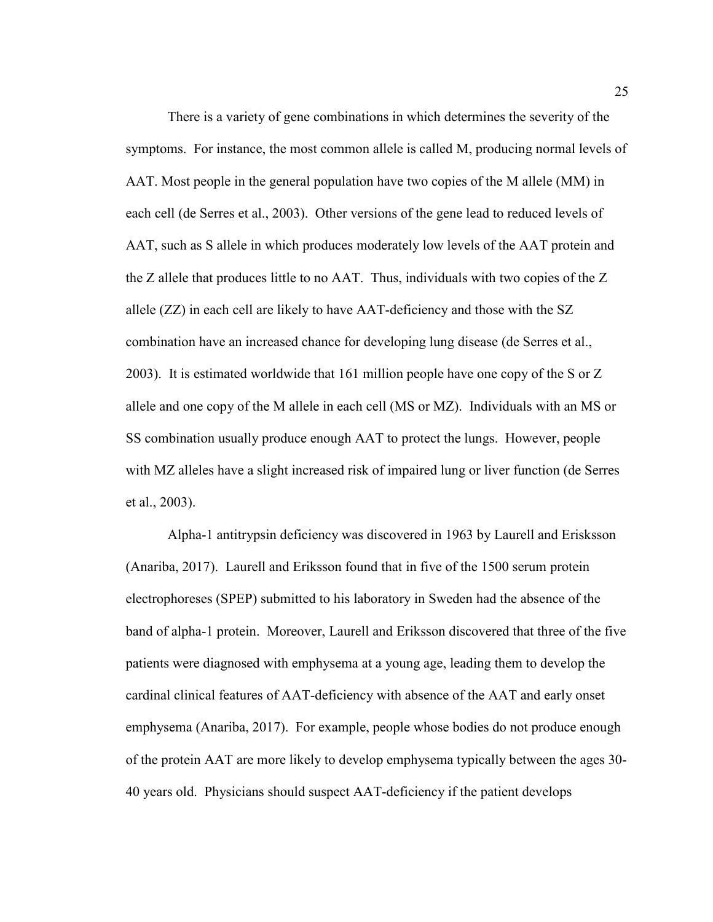There is a variety of gene combinations in which determines the severity of the symptoms. For instance, the most common allele is called M, producing normal levels of AAT. Most people in the general population have two copies of the M allele (MM) in each cell (de Serres et al., 2003). Other versions of the gene lead to reduced levels of AAT, such as S allele in which produces moderately low levels of the AAT protein and the Z allele that produces little to no AAT. Thus, individuals with two copies of the Z allele (ZZ) in each cell are likely to have AAT-deficiency and those with the SZ combination have an increased chance for developing lung disease (de Serres et al., 2003). It is estimated worldwide that 161 million people have one copy of the S or Z allele and one copy of the M allele in each cell (MS or MZ). Individuals with an MS or SS combination usually produce enough AAT to protect the lungs. However, people with MZ alleles have a slight increased risk of impaired lung or liver function (de Serres et al., 2003).

Alpha-1 antitrypsin deficiency was discovered in 1963 by Laurell and Erisksson (Anariba, 2017). Laurell and Eriksson found that in five of the 1500 serum protein electrophoreses (SPEP) submitted to his laboratory in Sweden had the absence of the band of alpha-1 protein. Moreover, Laurell and Eriksson discovered that three of the five patients were diagnosed with emphysema at a young age, leading them to develop the cardinal clinical features of AAT-deficiency with absence of the AAT and early onset emphysema (Anariba, 2017). For example, people whose bodies do not produce enough of the protein AAT are more likely to develop emphysema typically between the ages 30- 40 years old. Physicians should suspect AAT-deficiency if the patient develops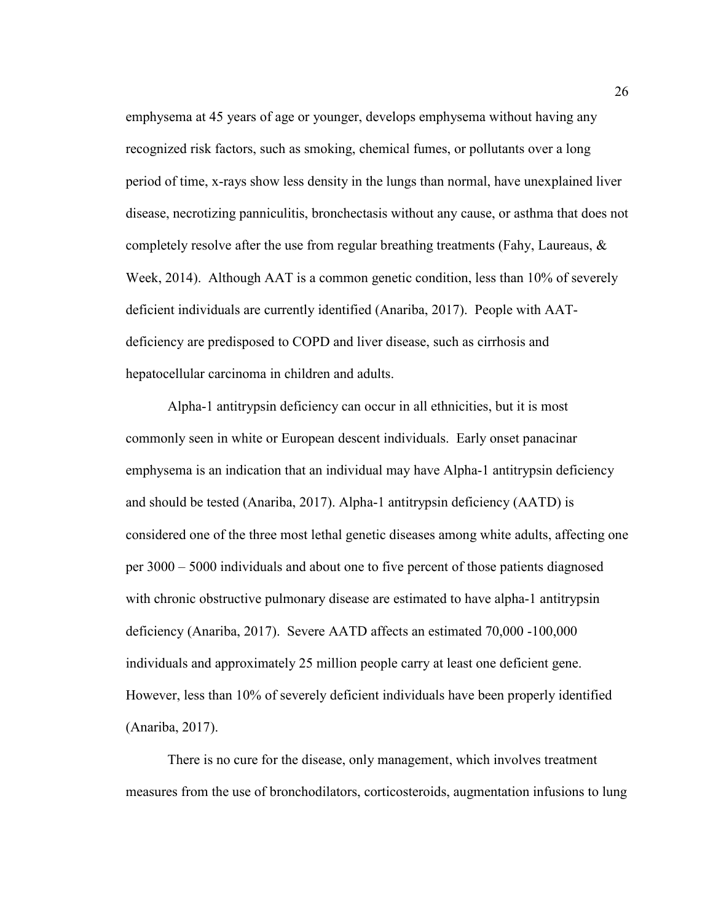emphysema at 45 years of age or younger, develops emphysema without having any recognized risk factors, such as smoking, chemical fumes, or pollutants over a long period of time, x-rays show less density in the lungs than normal, have unexplained liver disease, necrotizing panniculitis, bronchectasis without any cause, or asthma that does not completely resolve after the use from regular breathing treatments (Fahy, Laureaus, & Week, 2014). Although AAT is a common genetic condition, less than 10% of severely deficient individuals are currently identified (Anariba, 2017). People with AATdeficiency are predisposed to COPD and liver disease, such as cirrhosis and hepatocellular carcinoma in children and adults.

Alpha-1 antitrypsin deficiency can occur in all ethnicities, but it is most commonly seen in white or European descent individuals. Early onset panacinar emphysema is an indication that an individual may have Alpha-1 antitrypsin deficiency and should be tested (Anariba, 2017). Alpha-1 antitrypsin deficiency (AATD) is considered one of the three most lethal genetic diseases among white adults, affecting one per 3000 – 5000 individuals and about one to five percent of those patients diagnosed with chronic obstructive pulmonary disease are estimated to have alpha-1 antitrypsin deficiency (Anariba, 2017). Severe AATD affects an estimated 70,000 -100,000 individuals and approximately 25 million people carry at least one deficient gene. However, less than 10% of severely deficient individuals have been properly identified (Anariba, 2017).

There is no cure for the disease, only management, which involves treatment measures from the use of bronchodilators, corticosteroids, augmentation infusions to lung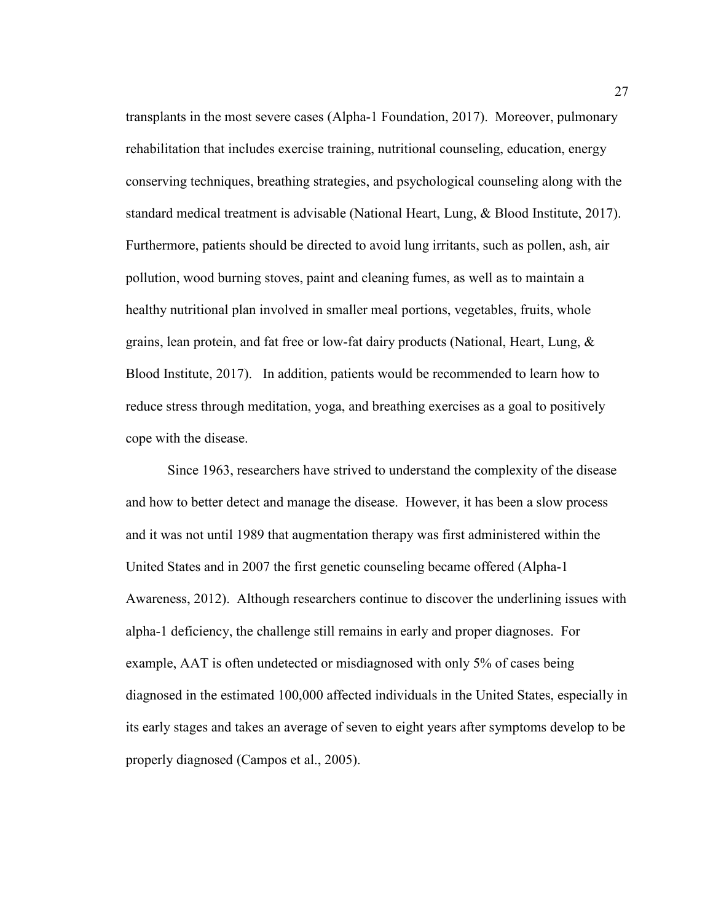transplants in the most severe cases (Alpha-1 Foundation, 2017). Moreover, pulmonary rehabilitation that includes exercise training, nutritional counseling, education, energy conserving techniques, breathing strategies, and psychological counseling along with the standard medical treatment is advisable (National Heart, Lung, & Blood Institute, 2017). Furthermore, patients should be directed to avoid lung irritants, such as pollen, ash, air pollution, wood burning stoves, paint and cleaning fumes, as well as to maintain a healthy nutritional plan involved in smaller meal portions, vegetables, fruits, whole grains, lean protein, and fat free or low-fat dairy products (National, Heart, Lung, & Blood Institute, 2017). In addition, patients would be recommended to learn how to reduce stress through meditation, yoga, and breathing exercises as a goal to positively cope with the disease.

Since 1963, researchers have strived to understand the complexity of the disease and how to better detect and manage the disease. However, it has been a slow process and it was not until 1989 that augmentation therapy was first administered within the United States and in 2007 the first genetic counseling became offered (Alpha-1 Awareness, 2012). Although researchers continue to discover the underlining issues with alpha-1 deficiency, the challenge still remains in early and proper diagnoses. For example, AAT is often undetected or misdiagnosed with only 5% of cases being diagnosed in the estimated 100,000 affected individuals in the United States, especially in its early stages and takes an average of seven to eight years after symptoms develop to be properly diagnosed (Campos et al., 2005).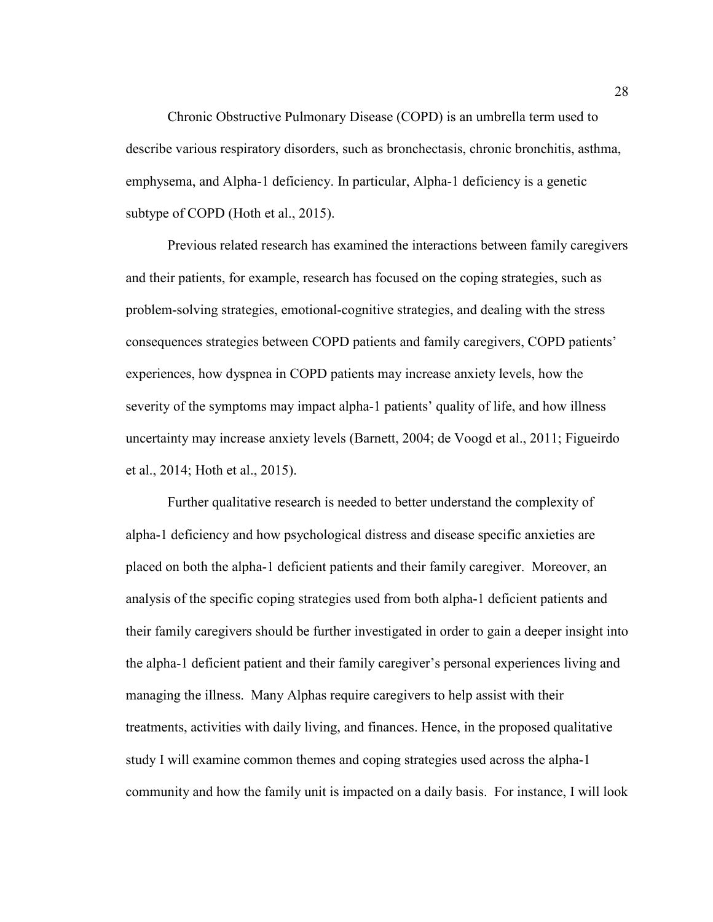Chronic Obstructive Pulmonary Disease (COPD) is an umbrella term used to describe various respiratory disorders, such as bronchectasis, chronic bronchitis, asthma, emphysema, and Alpha-1 deficiency. In particular, Alpha-1 deficiency is a genetic subtype of COPD (Hoth et al., 2015).

Previous related research has examined the interactions between family caregivers and their patients, for example, research has focused on the coping strategies, such as problem-solving strategies, emotional-cognitive strategies, and dealing with the stress consequences strategies between COPD patients and family caregivers, COPD patients' experiences, how dyspnea in COPD patients may increase anxiety levels, how the severity of the symptoms may impact alpha-1 patients' quality of life, and how illness uncertainty may increase anxiety levels (Barnett, 2004; de Voogd et al., 2011; Figueirdo et al., 2014; Hoth et al., 2015).

Further qualitative research is needed to better understand the complexity of alpha-1 deficiency and how psychological distress and disease specific anxieties are placed on both the alpha-1 deficient patients and their family caregiver. Moreover, an analysis of the specific coping strategies used from both alpha-1 deficient patients and their family caregivers should be further investigated in order to gain a deeper insight into the alpha-1 deficient patient and their family caregiver's personal experiences living and managing the illness. Many Alphas require caregivers to help assist with their treatments, activities with daily living, and finances. Hence, in the proposed qualitative study I will examine common themes and coping strategies used across the alpha-1 community and how the family unit is impacted on a daily basis. For instance, I will look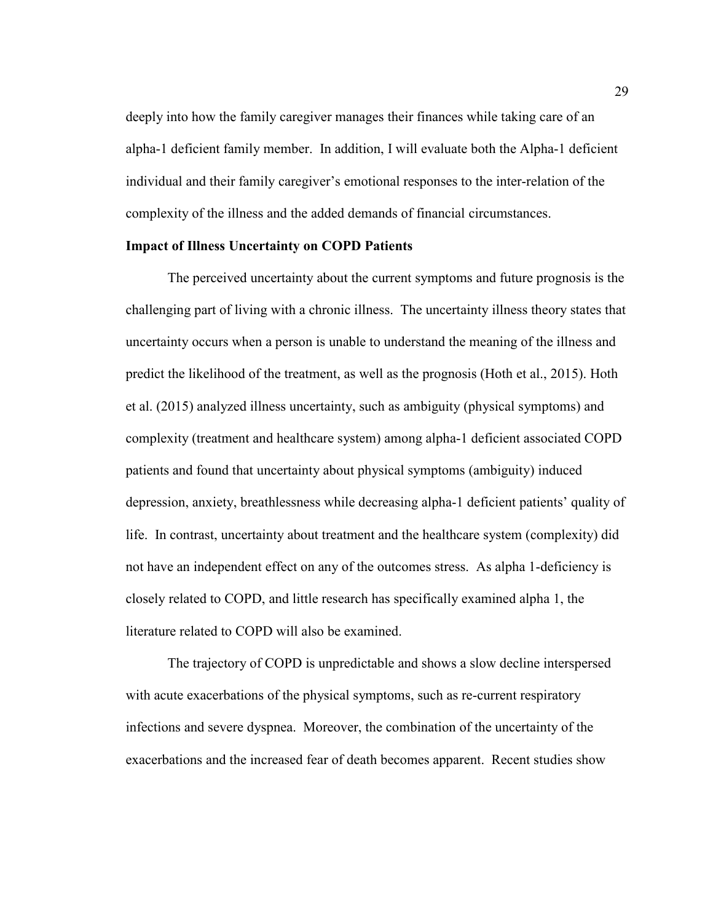deeply into how the family caregiver manages their finances while taking care of an alpha-1 deficient family member. In addition, I will evaluate both the Alpha-1 deficient individual and their family caregiver's emotional responses to the inter-relation of the complexity of the illness and the added demands of financial circumstances.

### **Impact of Illness Uncertainty on COPD Patients**

The perceived uncertainty about the current symptoms and future prognosis is the challenging part of living with a chronic illness. The uncertainty illness theory states that uncertainty occurs when a person is unable to understand the meaning of the illness and predict the likelihood of the treatment, as well as the prognosis (Hoth et al., 2015). Hoth et al. (2015) analyzed illness uncertainty, such as ambiguity (physical symptoms) and complexity (treatment and healthcare system) among alpha-1 deficient associated COPD patients and found that uncertainty about physical symptoms (ambiguity) induced depression, anxiety, breathlessness while decreasing alpha-1 deficient patients' quality of life. In contrast, uncertainty about treatment and the healthcare system (complexity) did not have an independent effect on any of the outcomes stress. As alpha 1-deficiency is closely related to COPD, and little research has specifically examined alpha 1, the literature related to COPD will also be examined.

The trajectory of COPD is unpredictable and shows a slow decline interspersed with acute exacerbations of the physical symptoms, such as re-current respiratory infections and severe dyspnea. Moreover, the combination of the uncertainty of the exacerbations and the increased fear of death becomes apparent. Recent studies show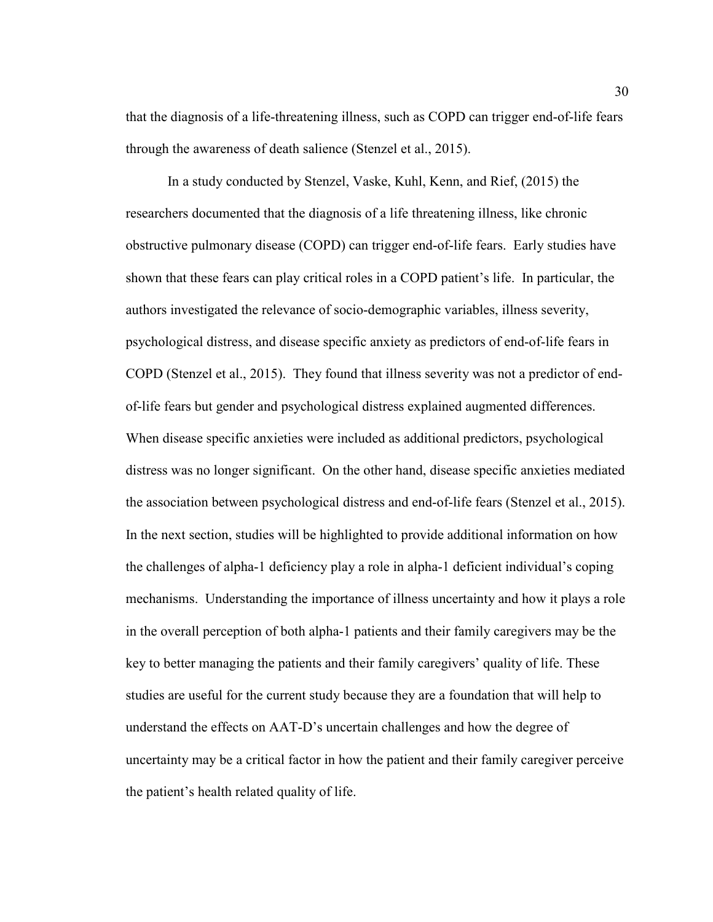that the diagnosis of a life-threatening illness, such as COPD can trigger end-of-life fears through the awareness of death salience (Stenzel et al., 2015).

In a study conducted by Stenzel, Vaske, Kuhl, Kenn, and Rief, (2015) the researchers documented that the diagnosis of a life threatening illness, like chronic obstructive pulmonary disease (COPD) can trigger end-of-life fears. Early studies have shown that these fears can play critical roles in a COPD patient's life. In particular, the authors investigated the relevance of socio-demographic variables, illness severity, psychological distress, and disease specific anxiety as predictors of end-of-life fears in COPD (Stenzel et al., 2015). They found that illness severity was not a predictor of endof-life fears but gender and psychological distress explained augmented differences. When disease specific anxieties were included as additional predictors, psychological distress was no longer significant. On the other hand, disease specific anxieties mediated the association between psychological distress and end-of-life fears (Stenzel et al., 2015). In the next section, studies will be highlighted to provide additional information on how the challenges of alpha-1 deficiency play a role in alpha-1 deficient individual's coping mechanisms. Understanding the importance of illness uncertainty and how it plays a role in the overall perception of both alpha-1 patients and their family caregivers may be the key to better managing the patients and their family caregivers' quality of life. These studies are useful for the current study because they are a foundation that will help to understand the effects on AAT-D's uncertain challenges and how the degree of uncertainty may be a critical factor in how the patient and their family caregiver perceive the patient's health related quality of life.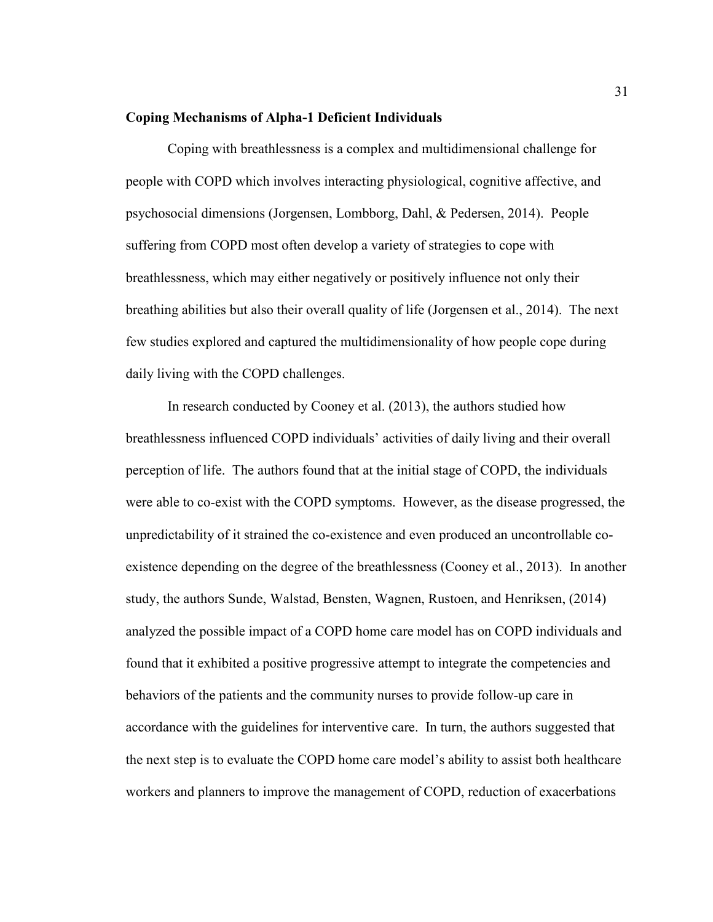#### **Coping Mechanisms of Alpha-1 Deficient Individuals**

Coping with breathlessness is a complex and multidimensional challenge for people with COPD which involves interacting physiological, cognitive affective, and psychosocial dimensions (Jorgensen, Lombborg, Dahl, & Pedersen, 2014). People suffering from COPD most often develop a variety of strategies to cope with breathlessness, which may either negatively or positively influence not only their breathing abilities but also their overall quality of life (Jorgensen et al., 2014). The next few studies explored and captured the multidimensionality of how people cope during daily living with the COPD challenges.

In research conducted by Cooney et al. (2013), the authors studied how breathlessness influenced COPD individuals' activities of daily living and their overall perception of life. The authors found that at the initial stage of COPD, the individuals were able to co-exist with the COPD symptoms. However, as the disease progressed, the unpredictability of it strained the co-existence and even produced an uncontrollable coexistence depending on the degree of the breathlessness (Cooney et al., 2013). In another study, the authors Sunde, Walstad, Bensten, Wagnen, Rustoen, and Henriksen, (2014) analyzed the possible impact of a COPD home care model has on COPD individuals and found that it exhibited a positive progressive attempt to integrate the competencies and behaviors of the patients and the community nurses to provide follow-up care in accordance with the guidelines for interventive care. In turn, the authors suggested that the next step is to evaluate the COPD home care model's ability to assist both healthcare workers and planners to improve the management of COPD, reduction of exacerbations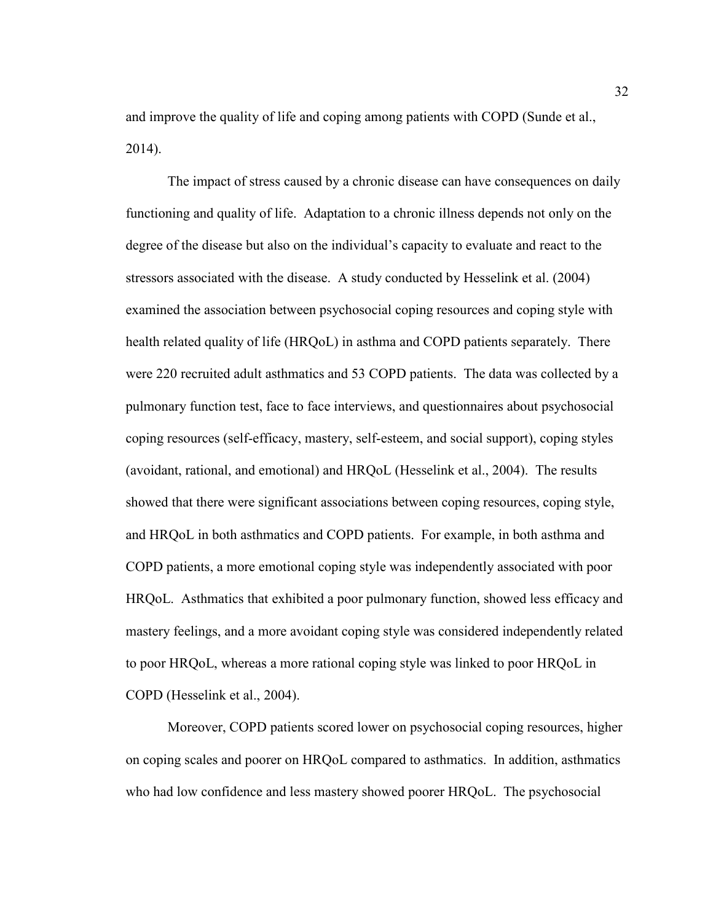and improve the quality of life and coping among patients with COPD (Sunde et al., 2014).

 The impact of stress caused by a chronic disease can have consequences on daily functioning and quality of life. Adaptation to a chronic illness depends not only on the degree of the disease but also on the individual's capacity to evaluate and react to the stressors associated with the disease. A study conducted by Hesselink et al. (2004) examined the association between psychosocial coping resources and coping style with health related quality of life (HRQoL) in asthma and COPD patients separately. There were 220 recruited adult asthmatics and 53 COPD patients. The data was collected by a pulmonary function test, face to face interviews, and questionnaires about psychosocial coping resources (self-efficacy, mastery, self-esteem, and social support), coping styles (avoidant, rational, and emotional) and HRQoL (Hesselink et al., 2004). The results showed that there were significant associations between coping resources, coping style, and HRQoL in both asthmatics and COPD patients. For example, in both asthma and COPD patients, a more emotional coping style was independently associated with poor HRQoL. Asthmatics that exhibited a poor pulmonary function, showed less efficacy and mastery feelings, and a more avoidant coping style was considered independently related to poor HRQoL, whereas a more rational coping style was linked to poor HRQoL in COPD (Hesselink et al., 2004).

Moreover, COPD patients scored lower on psychosocial coping resources, higher on coping scales and poorer on HRQoL compared to asthmatics. In addition, asthmatics who had low confidence and less mastery showed poorer HRQoL. The psychosocial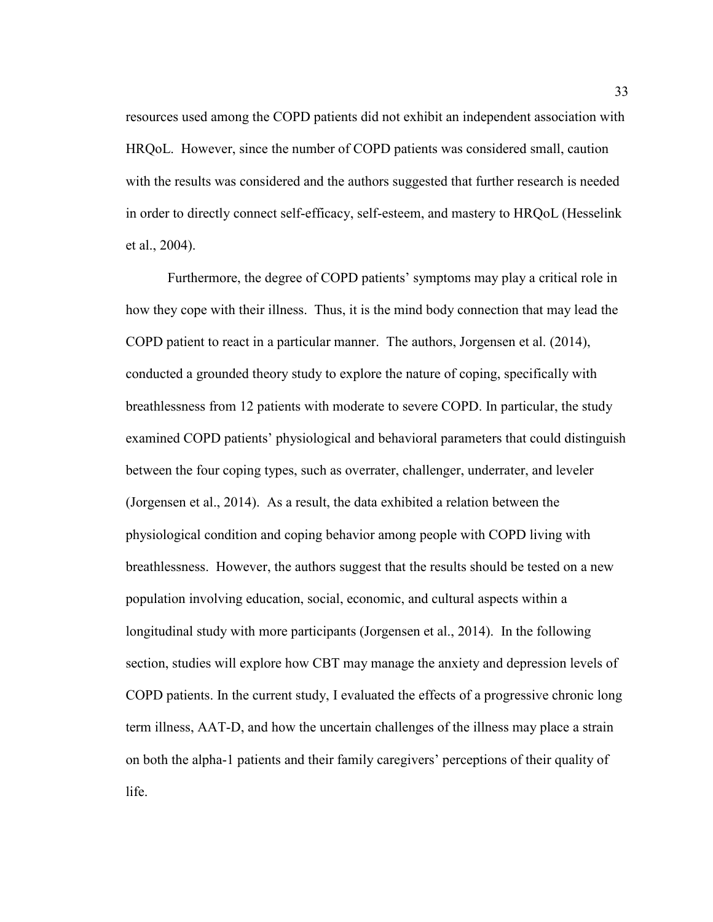resources used among the COPD patients did not exhibit an independent association with HRQoL. However, since the number of COPD patients was considered small, caution with the results was considered and the authors suggested that further research is needed in order to directly connect self-efficacy, self-esteem, and mastery to HRQoL (Hesselink et al., 2004).

Furthermore, the degree of COPD patients' symptoms may play a critical role in how they cope with their illness. Thus, it is the mind body connection that may lead the COPD patient to react in a particular manner. The authors, Jorgensen et al. (2014), conducted a grounded theory study to explore the nature of coping, specifically with breathlessness from 12 patients with moderate to severe COPD. In particular, the study examined COPD patients' physiological and behavioral parameters that could distinguish between the four coping types, such as overrater, challenger, underrater, and leveler (Jorgensen et al., 2014). As a result, the data exhibited a relation between the physiological condition and coping behavior among people with COPD living with breathlessness. However, the authors suggest that the results should be tested on a new population involving education, social, economic, and cultural aspects within a longitudinal study with more participants (Jorgensen et al., 2014). In the following section, studies will explore how CBT may manage the anxiety and depression levels of COPD patients. In the current study, I evaluated the effects of a progressive chronic long term illness, AAT-D, and how the uncertain challenges of the illness may place a strain on both the alpha-1 patients and their family caregivers' perceptions of their quality of life.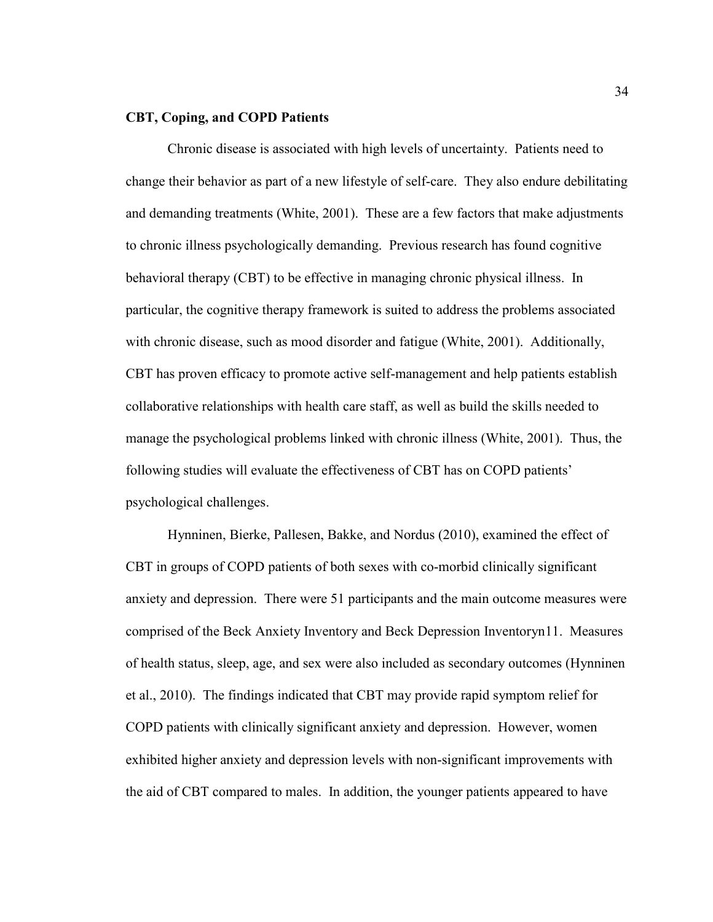## **CBT, Coping, and COPD Patients**

Chronic disease is associated with high levels of uncertainty. Patients need to change their behavior as part of a new lifestyle of self-care. They also endure debilitating and demanding treatments (White, 2001). These are a few factors that make adjustments to chronic illness psychologically demanding. Previous research has found cognitive behavioral therapy (CBT) to be effective in managing chronic physical illness. In particular, the cognitive therapy framework is suited to address the problems associated with chronic disease, such as mood disorder and fatigue (White, 2001). Additionally, CBT has proven efficacy to promote active self-management and help patients establish collaborative relationships with health care staff, as well as build the skills needed to manage the psychological problems linked with chronic illness (White, 2001). Thus, the following studies will evaluate the effectiveness of CBT has on COPD patients' psychological challenges.

 Hynninen, Bierke, Pallesen, Bakke, and Nordus (2010), examined the effect of CBT in groups of COPD patients of both sexes with co-morbid clinically significant anxiety and depression. There were 51 participants and the main outcome measures were comprised of the Beck Anxiety Inventory and Beck Depression Inventoryn11. Measures of health status, sleep, age, and sex were also included as secondary outcomes (Hynninen et al., 2010). The findings indicated that CBT may provide rapid symptom relief for COPD patients with clinically significant anxiety and depression. However, women exhibited higher anxiety and depression levels with non-significant improvements with the aid of CBT compared to males. In addition, the younger patients appeared to have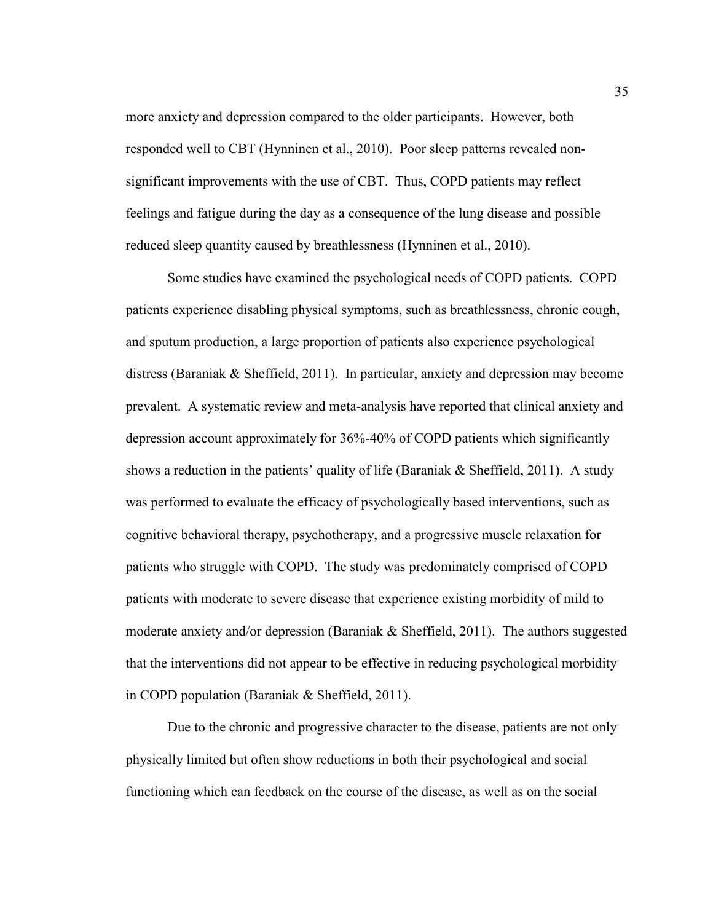more anxiety and depression compared to the older participants. However, both responded well to CBT (Hynninen et al., 2010). Poor sleep patterns revealed nonsignificant improvements with the use of CBT. Thus, COPD patients may reflect feelings and fatigue during the day as a consequence of the lung disease and possible reduced sleep quantity caused by breathlessness (Hynninen et al., 2010).

Some studies have examined the psychological needs of COPD patients. COPD patients experience disabling physical symptoms, such as breathlessness, chronic cough, and sputum production, a large proportion of patients also experience psychological distress (Baraniak & Sheffield, 2011). In particular, anxiety and depression may become prevalent. A systematic review and meta-analysis have reported that clinical anxiety and depression account approximately for 36%-40% of COPD patients which significantly shows a reduction in the patients' quality of life (Baraniak  $\&$  Sheffield, 2011). A study was performed to evaluate the efficacy of psychologically based interventions, such as cognitive behavioral therapy, psychotherapy, and a progressive muscle relaxation for patients who struggle with COPD. The study was predominately comprised of COPD patients with moderate to severe disease that experience existing morbidity of mild to moderate anxiety and/or depression (Baraniak & Sheffield, 2011). The authors suggested that the interventions did not appear to be effective in reducing psychological morbidity in COPD population (Baraniak & Sheffield, 2011).

Due to the chronic and progressive character to the disease, patients are not only physically limited but often show reductions in both their psychological and social functioning which can feedback on the course of the disease, as well as on the social

35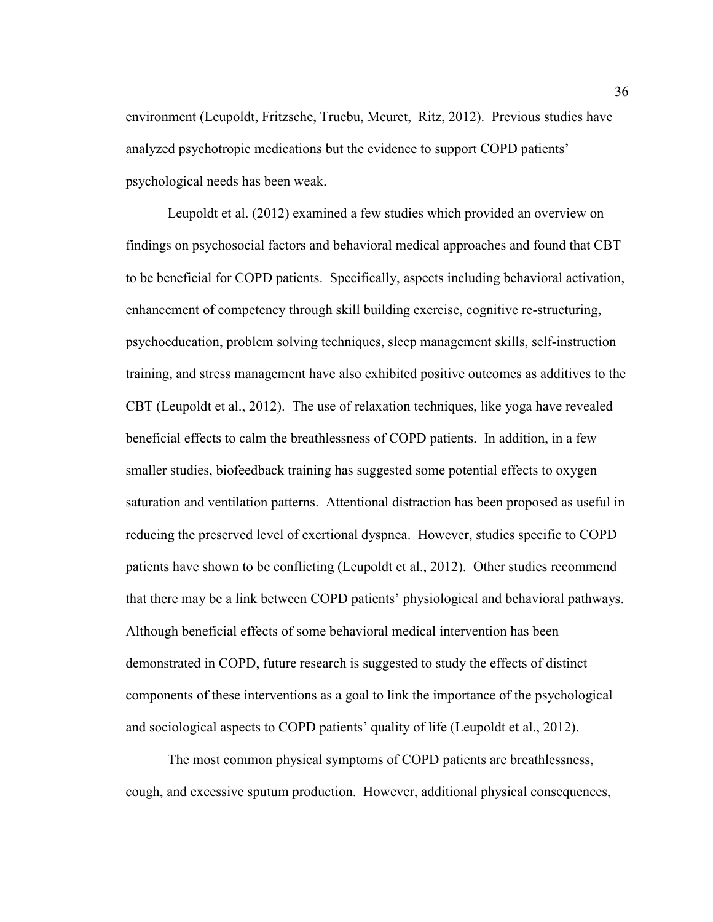environment (Leupoldt, Fritzsche, Truebu, Meuret, Ritz, 2012). Previous studies have analyzed psychotropic medications but the evidence to support COPD patients' psychological needs has been weak.

Leupoldt et al. (2012) examined a few studies which provided an overview on findings on psychosocial factors and behavioral medical approaches and found that CBT to be beneficial for COPD patients. Specifically, aspects including behavioral activation, enhancement of competency through skill building exercise, cognitive re-structuring, psychoeducation, problem solving techniques, sleep management skills, self-instruction training, and stress management have also exhibited positive outcomes as additives to the CBT (Leupoldt et al., 2012). The use of relaxation techniques, like yoga have revealed beneficial effects to calm the breathlessness of COPD patients. In addition, in a few smaller studies, biofeedback training has suggested some potential effects to oxygen saturation and ventilation patterns. Attentional distraction has been proposed as useful in reducing the preserved level of exertional dyspnea. However, studies specific to COPD patients have shown to be conflicting (Leupoldt et al., 2012). Other studies recommend that there may be a link between COPD patients' physiological and behavioral pathways. Although beneficial effects of some behavioral medical intervention has been demonstrated in COPD, future research is suggested to study the effects of distinct components of these interventions as a goal to link the importance of the psychological and sociological aspects to COPD patients' quality of life (Leupoldt et al., 2012).

 The most common physical symptoms of COPD patients are breathlessness, cough, and excessive sputum production. However, additional physical consequences,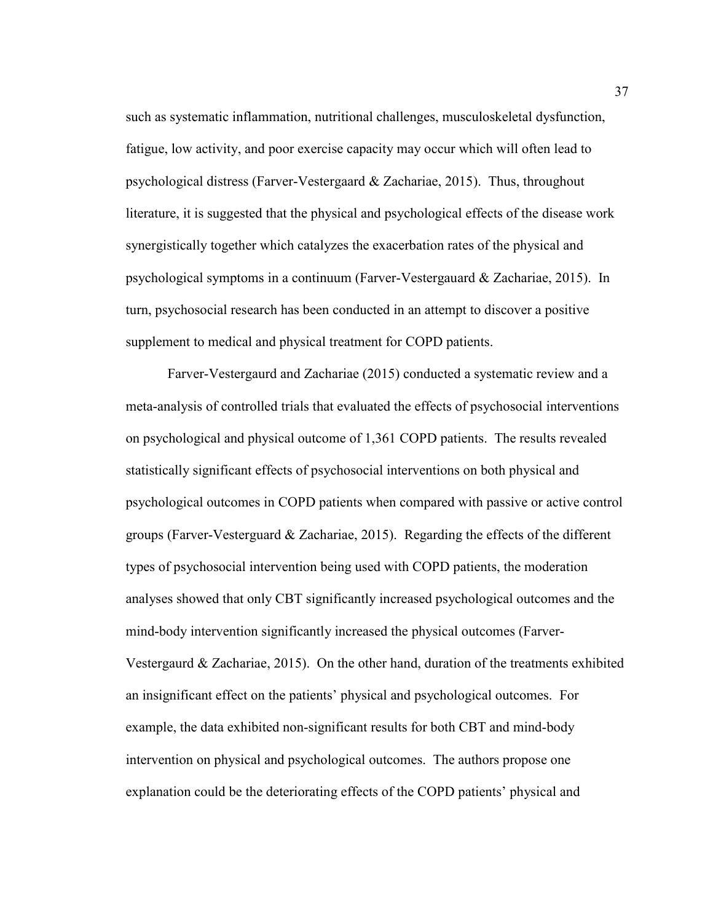such as systematic inflammation, nutritional challenges, musculoskeletal dysfunction, fatigue, low activity, and poor exercise capacity may occur which will often lead to psychological distress (Farver-Vestergaard & Zachariae, 2015). Thus, throughout literature, it is suggested that the physical and psychological effects of the disease work synergistically together which catalyzes the exacerbation rates of the physical and psychological symptoms in a continuum (Farver-Vestergauard & Zachariae, 2015). In turn, psychosocial research has been conducted in an attempt to discover a positive supplement to medical and physical treatment for COPD patients.

Farver-Vestergaurd and Zachariae (2015) conducted a systematic review and a meta-analysis of controlled trials that evaluated the effects of psychosocial interventions on psychological and physical outcome of 1,361 COPD patients. The results revealed statistically significant effects of psychosocial interventions on both physical and psychological outcomes in COPD patients when compared with passive or active control groups (Farver-Vesterguard  $\&$  Zachariae, 2015). Regarding the effects of the different types of psychosocial intervention being used with COPD patients, the moderation analyses showed that only CBT significantly increased psychological outcomes and the mind-body intervention significantly increased the physical outcomes (Farver-Vestergaurd  $& Zachariae, 2015$ . On the other hand, duration of the treatments exhibited an insignificant effect on the patients' physical and psychological outcomes. For example, the data exhibited non-significant results for both CBT and mind-body intervention on physical and psychological outcomes. The authors propose one explanation could be the deteriorating effects of the COPD patients' physical and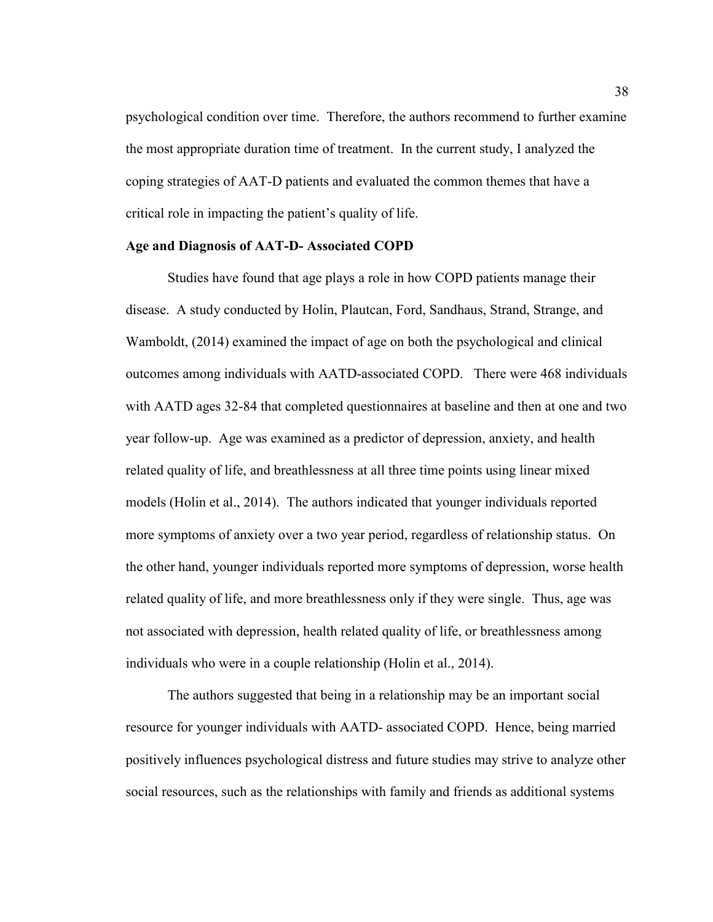psychological condition over time. Therefore, the authors recommend to further examine the most appropriate duration time of treatment. In the current study, I analyzed the coping strategies of AAT-D patients and evaluated the common themes that have a critical role in impacting the patient's quality of life.

### **Age and Diagnosis of AAT-D- Associated COPD**

Studies have found that age plays a role in how COPD patients manage their disease. A study conducted by Holin, Plautcan, Ford, Sandhaus, Strand, Strange, and Wamboldt, (2014) examined the impact of age on both the psychological and clinical outcomes among individuals with AATD-associated COPD. There were 468 individuals with AATD ages 32-84 that completed questionnaires at baseline and then at one and two year follow-up. Age was examined as a predictor of depression, anxiety, and health related quality of life, and breathlessness at all three time points using linear mixed models (Holin et al., 2014). The authors indicated that younger individuals reported more symptoms of anxiety over a two year period, regardless of relationship status. On the other hand, younger individuals reported more symptoms of depression, worse health related quality of life, and more breathlessness only if they were single. Thus, age was not associated with depression, health related quality of life, or breathlessness among individuals who were in a couple relationship (Holin et al., 2014).

The authors suggested that being in a relationship may be an important social resource for younger individuals with AATD- associated COPD. Hence, being married positively influences psychological distress and future studies may strive to analyze other social resources, such as the relationships with family and friends as additional systems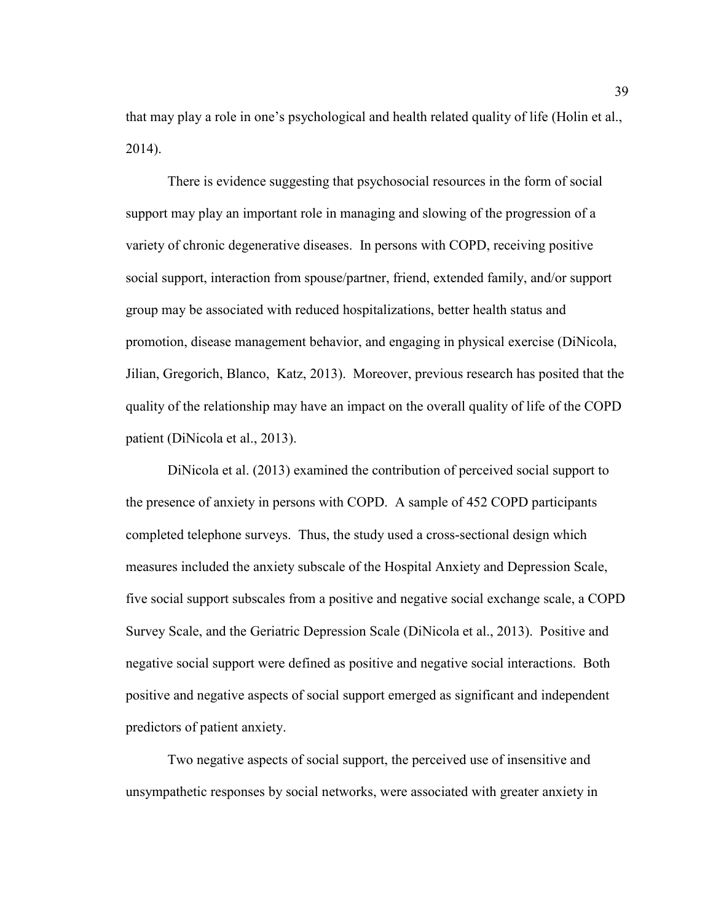that may play a role in one's psychological and health related quality of life (Holin et al., 2014).

There is evidence suggesting that psychosocial resources in the form of social support may play an important role in managing and slowing of the progression of a variety of chronic degenerative diseases. In persons with COPD, receiving positive social support, interaction from spouse/partner, friend, extended family, and/or support group may be associated with reduced hospitalizations, better health status and promotion, disease management behavior, and engaging in physical exercise (DiNicola, Jilian, Gregorich, Blanco, Katz, 2013). Moreover, previous research has posited that the quality of the relationship may have an impact on the overall quality of life of the COPD patient (DiNicola et al., 2013).

DiNicola et al. (2013) examined the contribution of perceived social support to the presence of anxiety in persons with COPD. A sample of 452 COPD participants completed telephone surveys. Thus, the study used a cross-sectional design which measures included the anxiety subscale of the Hospital Anxiety and Depression Scale, five social support subscales from a positive and negative social exchange scale, a COPD Survey Scale, and the Geriatric Depression Scale (DiNicola et al., 2013). Positive and negative social support were defined as positive and negative social interactions. Both positive and negative aspects of social support emerged as significant and independent predictors of patient anxiety.

Two negative aspects of social support, the perceived use of insensitive and unsympathetic responses by social networks, were associated with greater anxiety in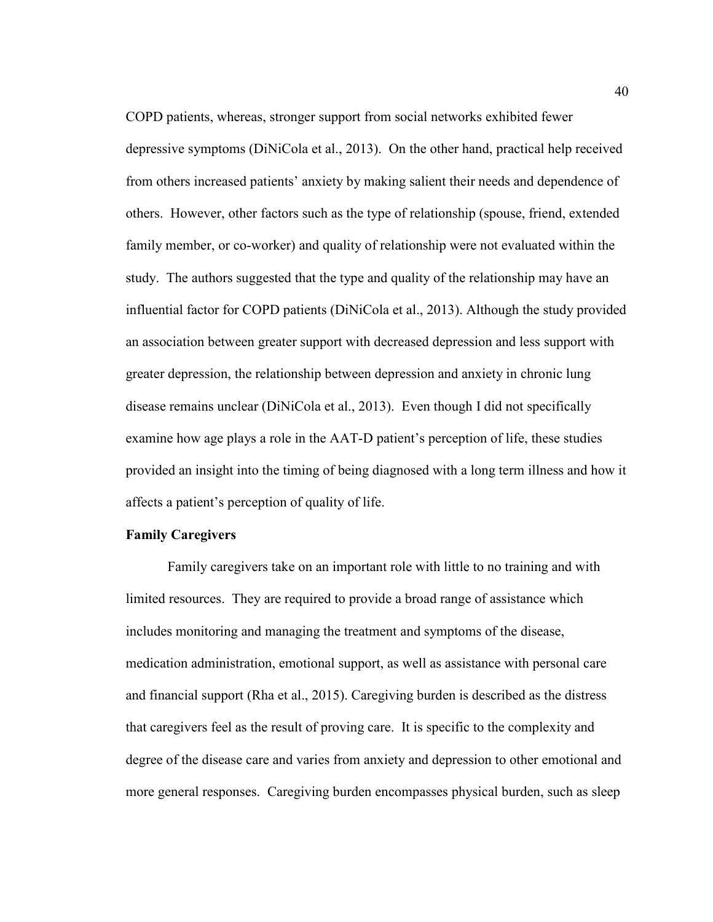COPD patients, whereas, stronger support from social networks exhibited fewer depressive symptoms (DiNiCola et al., 2013). On the other hand, practical help received from others increased patients' anxiety by making salient their needs and dependence of others. However, other factors such as the type of relationship (spouse, friend, extended family member, or co-worker) and quality of relationship were not evaluated within the study. The authors suggested that the type and quality of the relationship may have an influential factor for COPD patients (DiNiCola et al., 2013). Although the study provided an association between greater support with decreased depression and less support with greater depression, the relationship between depression and anxiety in chronic lung disease remains unclear (DiNiCola et al., 2013). Even though I did not specifically examine how age plays a role in the AAT-D patient's perception of life, these studies provided an insight into the timing of being diagnosed with a long term illness and how it affects a patient's perception of quality of life.

# **Family Caregivers**

Family caregivers take on an important role with little to no training and with limited resources. They are required to provide a broad range of assistance which includes monitoring and managing the treatment and symptoms of the disease, medication administration, emotional support, as well as assistance with personal care and financial support (Rha et al., 2015). Caregiving burden is described as the distress that caregivers feel as the result of proving care. It is specific to the complexity and degree of the disease care and varies from anxiety and depression to other emotional and more general responses. Caregiving burden encompasses physical burden, such as sleep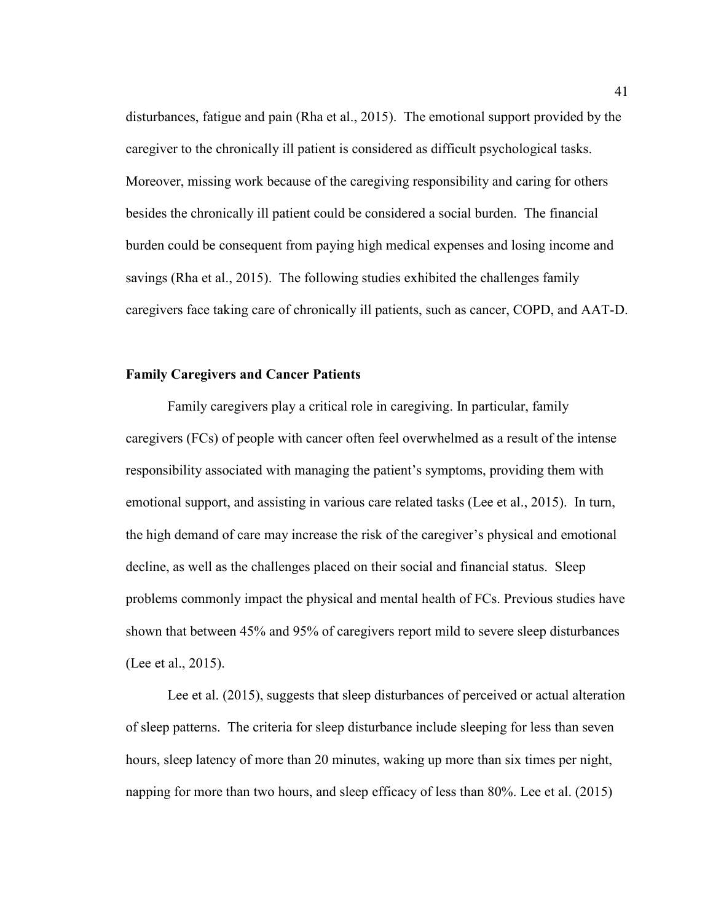disturbances, fatigue and pain (Rha et al., 2015). The emotional support provided by the caregiver to the chronically ill patient is considered as difficult psychological tasks. Moreover, missing work because of the caregiving responsibility and caring for others besides the chronically ill patient could be considered a social burden. The financial burden could be consequent from paying high medical expenses and losing income and savings (Rha et al., 2015). The following studies exhibited the challenges family caregivers face taking care of chronically ill patients, such as cancer, COPD, and AAT-D.

## **Family Caregivers and Cancer Patients**

Family caregivers play a critical role in caregiving. In particular, family caregivers (FCs) of people with cancer often feel overwhelmed as a result of the intense responsibility associated with managing the patient's symptoms, providing them with emotional support, and assisting in various care related tasks (Lee et al., 2015). In turn, the high demand of care may increase the risk of the caregiver's physical and emotional decline, as well as the challenges placed on their social and financial status. Sleep problems commonly impact the physical and mental health of FCs. Previous studies have shown that between 45% and 95% of caregivers report mild to severe sleep disturbances (Lee et al., 2015).

Lee et al. (2015), suggests that sleep disturbances of perceived or actual alteration of sleep patterns. The criteria for sleep disturbance include sleeping for less than seven hours, sleep latency of more than 20 minutes, waking up more than six times per night, napping for more than two hours, and sleep efficacy of less than 80%. Lee et al. (2015)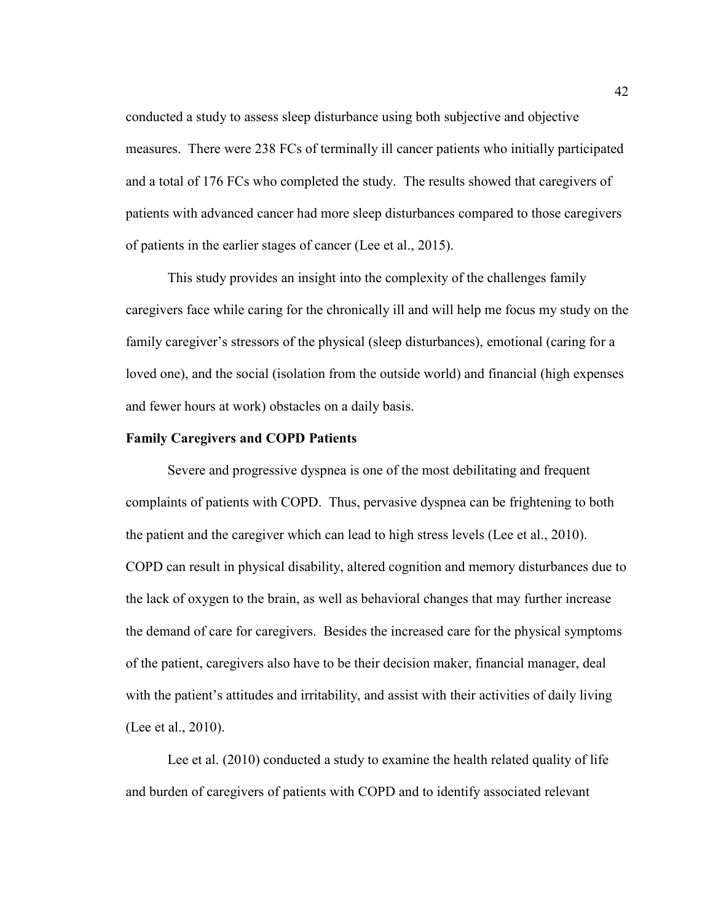conducted a study to assess sleep disturbance using both subjective and objective measures. There were 238 FCs of terminally ill cancer patients who initially participated and a total of 176 FCs who completed the study. The results showed that caregivers of patients with advanced cancer had more sleep disturbances compared to those caregivers of patients in the earlier stages of cancer (Lee et al., 2015).

This study provides an insight into the complexity of the challenges family caregivers face while caring for the chronically ill and will help me focus my study on the family caregiver's stressors of the physical (sleep disturbances), emotional (caring for a loved one), and the social (isolation from the outside world) and financial (high expenses and fewer hours at work) obstacles on a daily basis.

### **Family Caregivers and COPD Patients**

Severe and progressive dyspnea is one of the most debilitating and frequent complaints of patients with COPD. Thus, pervasive dyspnea can be frightening to both the patient and the caregiver which can lead to high stress levels (Lee et al., 2010). COPD can result in physical disability, altered cognition and memory disturbances due to the lack of oxygen to the brain, as well as behavioral changes that may further increase the demand of care for caregivers. Besides the increased care for the physical symptoms of the patient, caregivers also have to be their decision maker, financial manager, deal with the patient's attitudes and irritability, and assist with their activities of daily living (Lee et al., 2010).

Lee et al. (2010) conducted a study to examine the health related quality of life and burden of caregivers of patients with COPD and to identify associated relevant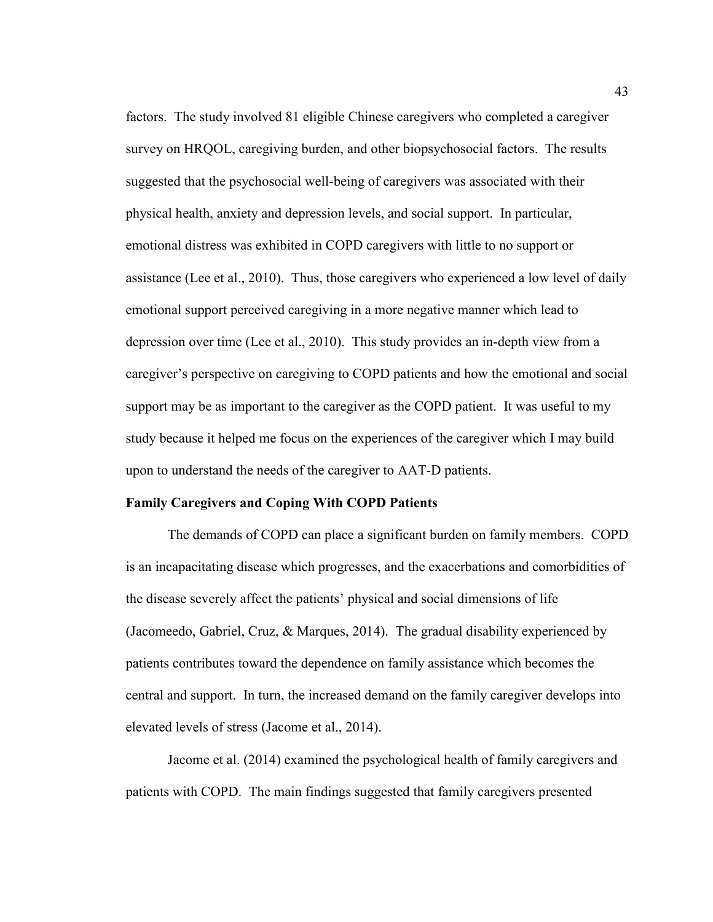factors. The study involved 81 eligible Chinese caregivers who completed a caregiver survey on HRQOL, caregiving burden, and other biopsychosocial factors. The results suggested that the psychosocial well-being of caregivers was associated with their physical health, anxiety and depression levels, and social support. In particular, emotional distress was exhibited in COPD caregivers with little to no support or assistance (Lee et al., 2010). Thus, those caregivers who experienced a low level of daily emotional support perceived caregiving in a more negative manner which lead to depression over time (Lee et al., 2010). This study provides an in-depth view from a caregiver's perspective on caregiving to COPD patients and how the emotional and social support may be as important to the caregiver as the COPD patient. It was useful to my study because it helped me focus on the experiences of the caregiver which I may build upon to understand the needs of the caregiver to AAT-D patients.

#### **Family Caregivers and Coping With COPD Patients**

The demands of COPD can place a significant burden on family members. COPD is an incapacitating disease which progresses, and the exacerbations and comorbidities of the disease severely affect the patients' physical and social dimensions of life (Jacomeedo, Gabriel, Cruz, & Marques, 2014). The gradual disability experienced by patients contributes toward the dependence on family assistance which becomes the central and support. In turn, the increased demand on the family caregiver develops into elevated levels of stress (Jacome et al., 2014).

Jacome et al. (2014) examined the psychological health of family caregivers and patients with COPD. The main findings suggested that family caregivers presented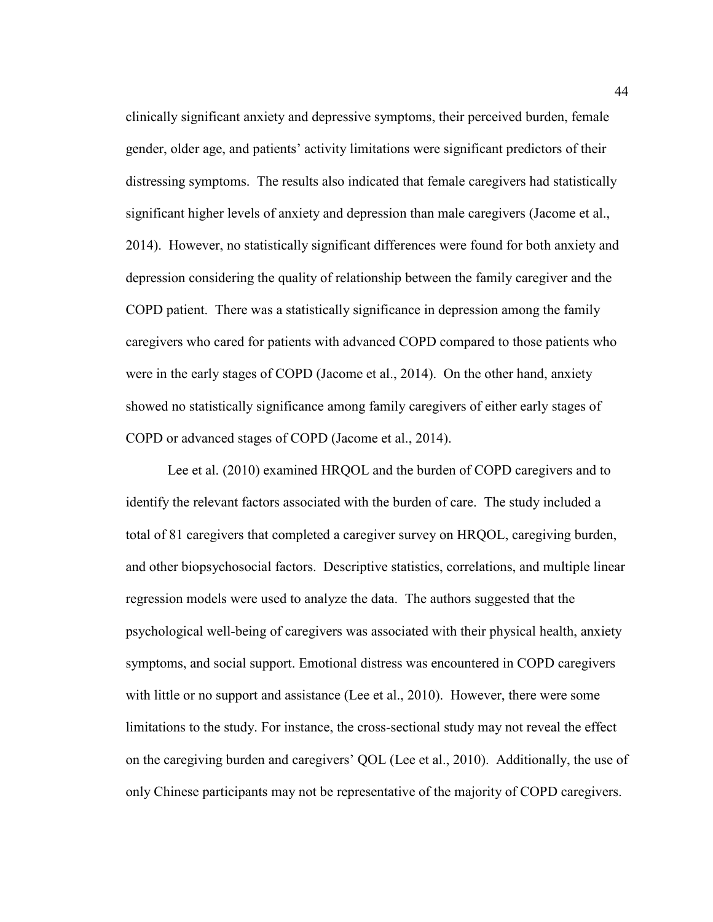clinically significant anxiety and depressive symptoms, their perceived burden, female gender, older age, and patients' activity limitations were significant predictors of their distressing symptoms. The results also indicated that female caregivers had statistically significant higher levels of anxiety and depression than male caregivers (Jacome et al., 2014). However, no statistically significant differences were found for both anxiety and depression considering the quality of relationship between the family caregiver and the COPD patient. There was a statistically significance in depression among the family caregivers who cared for patients with advanced COPD compared to those patients who were in the early stages of COPD (Jacome et al., 2014). On the other hand, anxiety showed no statistically significance among family caregivers of either early stages of COPD or advanced stages of COPD (Jacome et al., 2014).

Lee et al. (2010) examined HRQOL and the burden of COPD caregivers and to identify the relevant factors associated with the burden of care. The study included a total of 81 caregivers that completed a caregiver survey on HRQOL, caregiving burden, and other biopsychosocial factors. Descriptive statistics, correlations, and multiple linear regression models were used to analyze the data. The authors suggested that the psychological well-being of caregivers was associated with their physical health, anxiety symptoms, and social support. Emotional distress was encountered in COPD caregivers with little or no support and assistance (Lee et al., 2010). However, there were some limitations to the study. For instance, the cross-sectional study may not reveal the effect on the caregiving burden and caregivers' QOL (Lee et al., 2010). Additionally, the use of only Chinese participants may not be representative of the majority of COPD caregivers.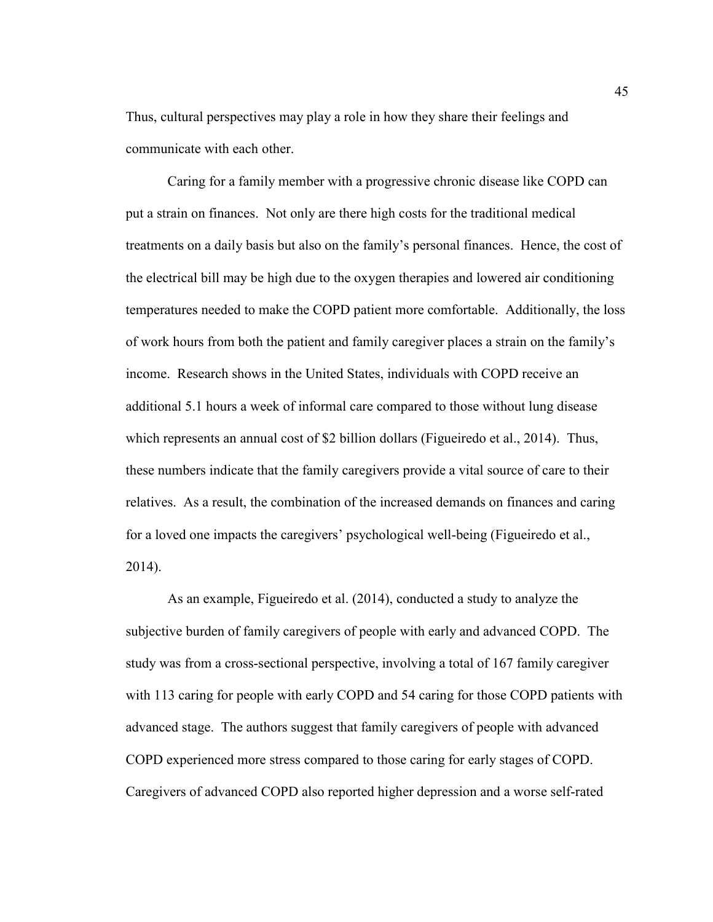Thus, cultural perspectives may play a role in how they share their feelings and communicate with each other.

Caring for a family member with a progressive chronic disease like COPD can put a strain on finances. Not only are there high costs for the traditional medical treatments on a daily basis but also on the family's personal finances. Hence, the cost of the electrical bill may be high due to the oxygen therapies and lowered air conditioning temperatures needed to make the COPD patient more comfortable. Additionally, the loss of work hours from both the patient and family caregiver places a strain on the family's income. Research shows in the United States, individuals with COPD receive an additional 5.1 hours a week of informal care compared to those without lung disease which represents an annual cost of \$2 billion dollars (Figueiredo et al., 2014). Thus, these numbers indicate that the family caregivers provide a vital source of care to their relatives. As a result, the combination of the increased demands on finances and caring for a loved one impacts the caregivers' psychological well-being (Figueiredo et al., 2014).

As an example, Figueiredo et al. (2014), conducted a study to analyze the subjective burden of family caregivers of people with early and advanced COPD. The study was from a cross-sectional perspective, involving a total of 167 family caregiver with 113 caring for people with early COPD and 54 caring for those COPD patients with advanced stage. The authors suggest that family caregivers of people with advanced COPD experienced more stress compared to those caring for early stages of COPD. Caregivers of advanced COPD also reported higher depression and a worse self-rated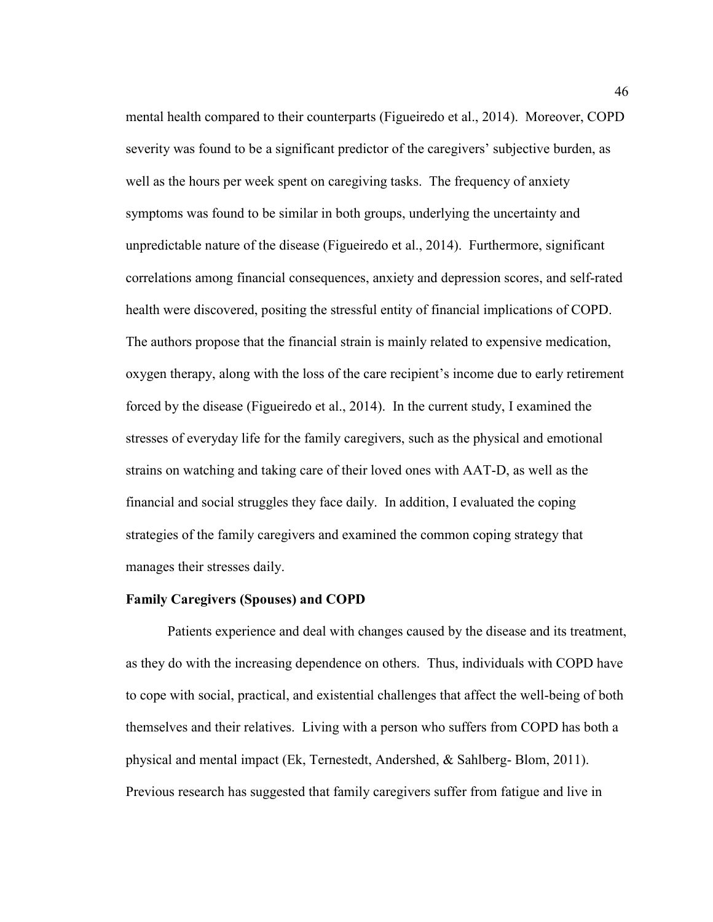mental health compared to their counterparts (Figueiredo et al., 2014). Moreover, COPD severity was found to be a significant predictor of the caregivers' subjective burden, as well as the hours per week spent on caregiving tasks. The frequency of anxiety symptoms was found to be similar in both groups, underlying the uncertainty and unpredictable nature of the disease (Figueiredo et al., 2014). Furthermore, significant correlations among financial consequences, anxiety and depression scores, and self-rated health were discovered, positing the stressful entity of financial implications of COPD. The authors propose that the financial strain is mainly related to expensive medication, oxygen therapy, along with the loss of the care recipient's income due to early retirement forced by the disease (Figueiredo et al., 2014). In the current study, I examined the stresses of everyday life for the family caregivers, such as the physical and emotional strains on watching and taking care of their loved ones with AAT-D, as well as the financial and social struggles they face daily. In addition, I evaluated the coping strategies of the family caregivers and examined the common coping strategy that manages their stresses daily.

## **Family Caregivers (Spouses) and COPD**

Patients experience and deal with changes caused by the disease and its treatment, as they do with the increasing dependence on others. Thus, individuals with COPD have to cope with social, practical, and existential challenges that affect the well-being of both themselves and their relatives. Living with a person who suffers from COPD has both a physical and mental impact (Ek, Ternestedt, Andershed, & Sahlberg- Blom, 2011). Previous research has suggested that family caregivers suffer from fatigue and live in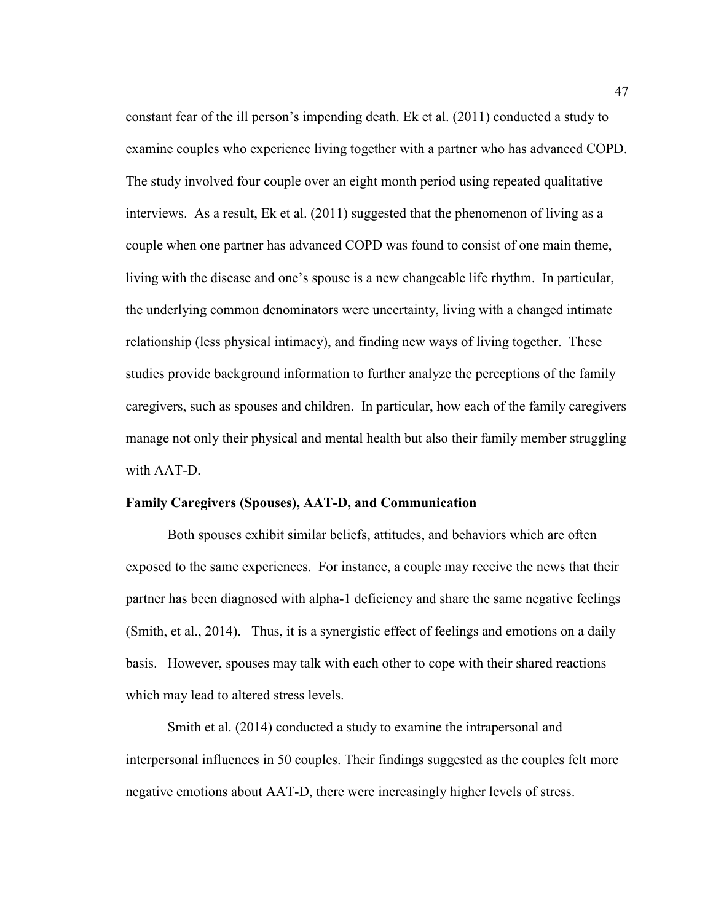constant fear of the ill person's impending death. Ek et al. (2011) conducted a study to examine couples who experience living together with a partner who has advanced COPD. The study involved four couple over an eight month period using repeated qualitative interviews. As a result, Ek et al. (2011) suggested that the phenomenon of living as a couple when one partner has advanced COPD was found to consist of one main theme, living with the disease and one's spouse is a new changeable life rhythm. In particular, the underlying common denominators were uncertainty, living with a changed intimate relationship (less physical intimacy), and finding new ways of living together. These studies provide background information to further analyze the perceptions of the family caregivers, such as spouses and children. In particular, how each of the family caregivers manage not only their physical and mental health but also their family member struggling with AAT-D.

## **Family Caregivers (Spouses), AAT-D, and Communication**

Both spouses exhibit similar beliefs, attitudes, and behaviors which are often exposed to the same experiences.For instance, a couple may receive the news that their partner has been diagnosed with alpha-1 deficiency and share the same negative feelings (Smith, et al., 2014). Thus, it is a synergistic effect of feelings and emotions on a daily basis. However, spouses may talk with each other to cope with their shared reactions which may lead to altered stress levels.

 Smith et al. (2014) conducted a study to examine the intrapersonal and interpersonal influences in 50 couples. Their findings suggested as the couples felt more negative emotions about AAT-D, there were increasingly higher levels of stress.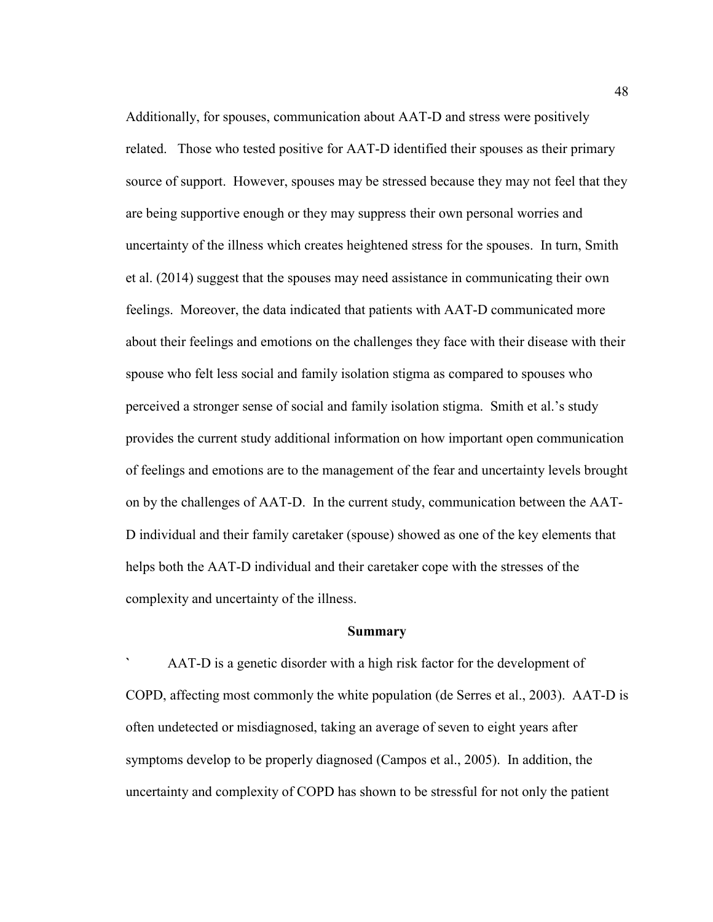Additionally, for spouses, communication about AAT-D and stress were positively related. Those who tested positive for AAT-D identified their spouses as their primary source of support. However, spouses may be stressed because they may not feel that they are being supportive enough or they may suppress their own personal worries and uncertainty of the illness which creates heightened stress for the spouses. In turn, Smith et al. (2014) suggest that the spouses may need assistance in communicating their own feelings. Moreover, the data indicated that patients with AAT-D communicated more about their feelings and emotions on the challenges they face with their disease with their spouse who felt less social and family isolation stigma as compared to spouses who perceived a stronger sense of social and family isolation stigma. Smith et al.'s study provides the current study additional information on how important open communication of feelings and emotions are to the management of the fear and uncertainty levels brought on by the challenges of AAT-D. In the current study, communication between the AAT-D individual and their family caretaker (spouse) showed as one of the key elements that helps both the AAT-D individual and their caretaker cope with the stresses of the complexity and uncertainty of the illness.

#### **Summary**

**`** AAT-D is a genetic disorder with a high risk factor for the development of COPD, affecting most commonly the white population (de Serres et al., 2003). AAT-D is often undetected or misdiagnosed, taking an average of seven to eight years after symptoms develop to be properly diagnosed (Campos et al., 2005). In addition, the uncertainty and complexity of COPD has shown to be stressful for not only the patient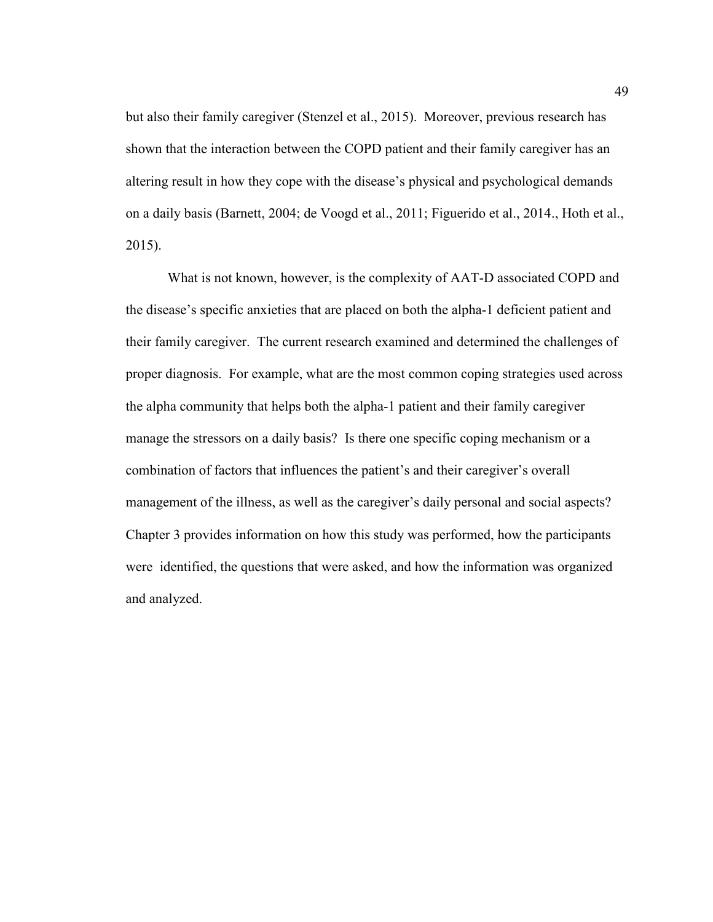but also their family caregiver (Stenzel et al., 2015). Moreover, previous research has shown that the interaction between the COPD patient and their family caregiver has an altering result in how they cope with the disease's physical and psychological demands on a daily basis (Barnett, 2004; de Voogd et al., 2011; Figuerido et al., 2014., Hoth et al., 2015).

 What is not known, however, is the complexity of AAT-D associated COPD and the disease's specific anxieties that are placed on both the alpha-1 deficient patient and their family caregiver. The current research examined and determined the challenges of proper diagnosis. For example, what are the most common coping strategies used across the alpha community that helps both the alpha-1 patient and their family caregiver manage the stressors on a daily basis? Is there one specific coping mechanism or a combination of factors that influences the patient's and their caregiver's overall management of the illness, as well as the caregiver's daily personal and social aspects? Chapter 3 provides information on how this study was performed, how the participants were identified, the questions that were asked, and how the information was organized and analyzed.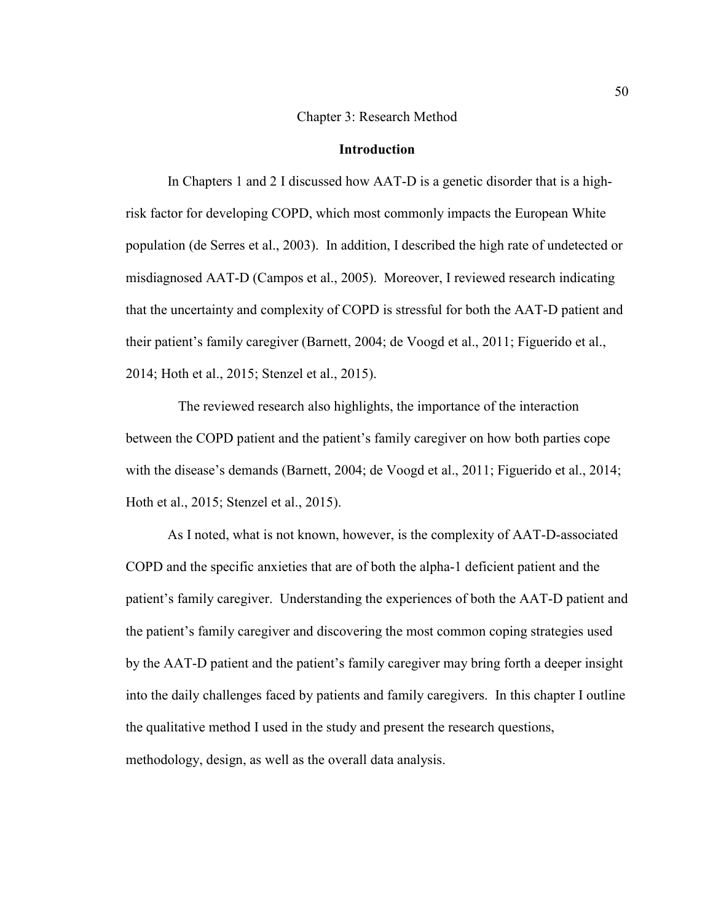#### Chapter 3: Research Method

# **Introduction**

In Chapters 1 and 2 I discussed how AAT-D is a genetic disorder that is a highrisk factor for developing COPD, which most commonly impacts the European White population (de Serres et al., 2003). In addition, I described the high rate of undetected or misdiagnosed AAT-D (Campos et al., 2005). Moreover, I reviewed research indicating that the uncertainty and complexity of COPD is stressful for both the AAT-D patient and their patient's family caregiver (Barnett, 2004; de Voogd et al., 2011; Figuerido et al., 2014; Hoth et al., 2015; Stenzel et al., 2015).

 The reviewed research also highlights, the importance of the interaction between the COPD patient and the patient's family caregiver on how both parties cope with the disease's demands (Barnett, 2004; de Voogd et al., 2011; Figuerido et al., 2014; Hoth et al., 2015; Stenzel et al., 2015).

As I noted, what is not known, however, is the complexity of AAT-D-associated COPD and the specific anxieties that are of both the alpha-1 deficient patient and the patient's family caregiver. Understanding the experiences of both the AAT-D patient and the patient's family caregiver and discovering the most common coping strategies used by the AAT-D patient and the patient's family caregiver may bring forth a deeper insight into the daily challenges faced by patients and family caregivers. In this chapter I outline the qualitative method I used in the study and present the research questions, methodology, design, as well as the overall data analysis.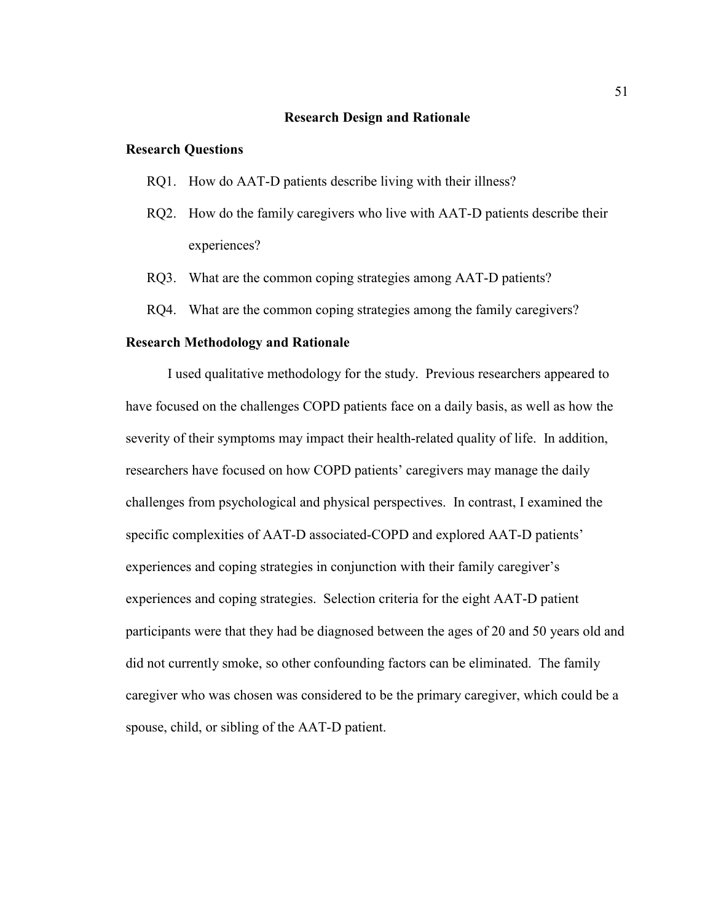#### **Research Design and Rationale**

## **Research Questions**

- RQ1. How do AAT-D patients describe living with their illness?
- RQ2. How do the family caregivers who live with AAT-D patients describe their experiences?
- RQ3. What are the common coping strategies among AAT-D patients?
- RQ4. What are the common coping strategies among the family caregivers?

# **Research Methodology and Rationale**

I used qualitative methodology for the study. Previous researchers appeared to have focused on the challenges COPD patients face on a daily basis, as well as how the severity of their symptoms may impact their health-related quality of life. In addition, researchers have focused on how COPD patients' caregivers may manage the daily challenges from psychological and physical perspectives. In contrast, I examined the specific complexities of AAT-D associated-COPD and explored AAT-D patients' experiences and coping strategies in conjunction with their family caregiver's experiences and coping strategies. Selection criteria for the eight AAT-D patient participants were that they had be diagnosed between the ages of 20 and 50 years old and did not currently smoke, so other confounding factors can be eliminated. The family caregiver who was chosen was considered to be the primary caregiver, which could be a spouse, child, or sibling of the AAT-D patient.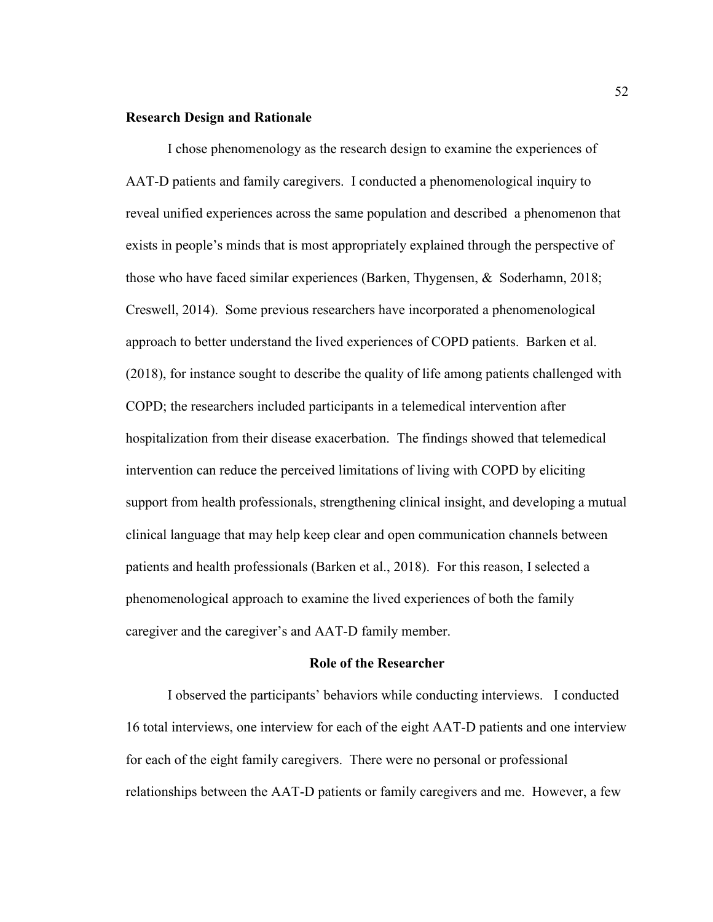# **Research Design and Rationale**

I chose phenomenology as the research design to examine the experiences of AAT-D patients and family caregivers. I conducted a phenomenological inquiry to reveal unified experiences across the same population and described a phenomenon that exists in people's minds that is most appropriately explained through the perspective of those who have faced similar experiences (Barken, Thygensen, & Soderhamn, 2018; Creswell, 2014). Some previous researchers have incorporated a phenomenological approach to better understand the lived experiences of COPD patients. Barken et al. (2018), for instance sought to describe the quality of life among patients challenged with COPD; the researchers included participants in a telemedical intervention after hospitalization from their disease exacerbation. The findings showed that telemedical intervention can reduce the perceived limitations of living with COPD by eliciting support from health professionals, strengthening clinical insight, and developing a mutual clinical language that may help keep clear and open communication channels between patients and health professionals (Barken et al., 2018). For this reason, I selected a phenomenological approach to examine the lived experiences of both the family caregiver and the caregiver's and AAT-D family member.

#### **Role of the Researcher**

I observed the participants' behaviors while conducting interviews. I conducted 16 total interviews, one interview for each of the eight AAT-D patients and one interview for each of the eight family caregivers. There were no personal or professional relationships between the AAT-D patients or family caregivers and me. However, a few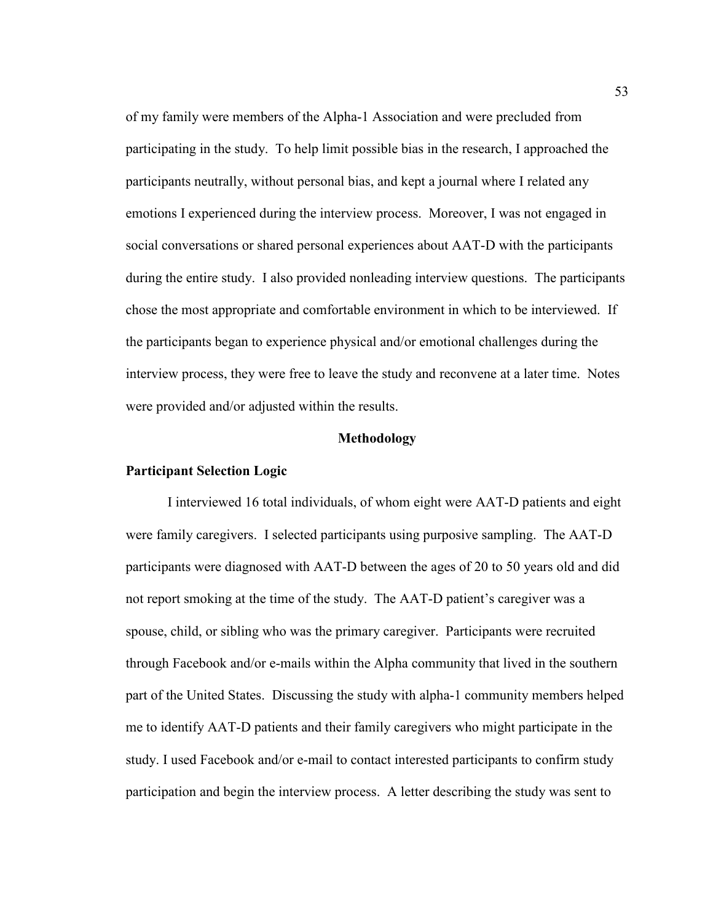of my family were members of the Alpha-1 Association and were precluded from participating in the study. To help limit possible bias in the research, I approached the participants neutrally, without personal bias, and kept a journal where I related any emotions I experienced during the interview process. Moreover, I was not engaged in social conversations or shared personal experiences about AAT-D with the participants during the entire study. I also provided nonleading interview questions. The participants chose the most appropriate and comfortable environment in which to be interviewed. If the participants began to experience physical and/or emotional challenges during the interview process, they were free to leave the study and reconvene at a later time. Notes were provided and/or adjusted within the results.

#### **Methodology**

# **Participant Selection Logic**

I interviewed 16 total individuals, of whom eight were AAT-D patients and eight were family caregivers. I selected participants using purposive sampling. The AAT-D participants were diagnosed with AAT-D between the ages of 20 to 50 years old and did not report smoking at the time of the study. The AAT-D patient's caregiver was a spouse, child, or sibling who was the primary caregiver. Participants were recruited through Facebook and/or e-mails within the Alpha community that lived in the southern part of the United States. Discussing the study with alpha-1 community members helped me to identify AAT-D patients and their family caregivers who might participate in the study. I used Facebook and/or e-mail to contact interested participants to confirm study participation and begin the interview process. A letter describing the study was sent to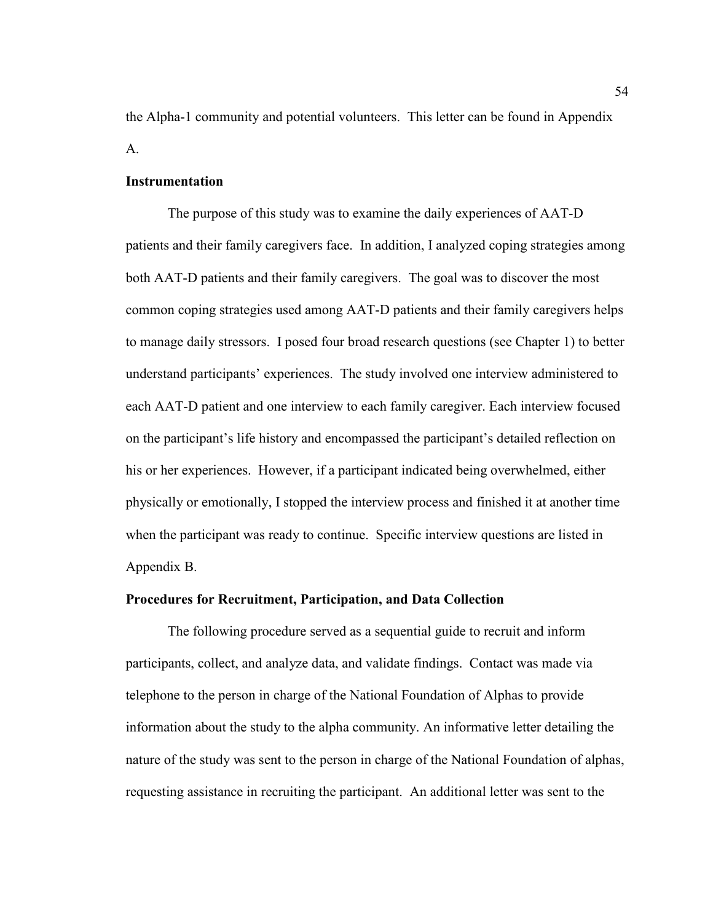the Alpha-1 community and potential volunteers. This letter can be found in Appendix A.

## **Instrumentation**

The purpose of this study was to examine the daily experiences of AAT-D patients and their family caregivers face. In addition, I analyzed coping strategies among both AAT-D patients and their family caregivers. The goal was to discover the most common coping strategies used among AAT-D patients and their family caregivers helps to manage daily stressors. I posed four broad research questions (see Chapter 1) to better understand participants' experiences. The study involved one interview administered to each AAT-D patient and one interview to each family caregiver. Each interview focused on the participant's life history and encompassed the participant's detailed reflection on his or her experiences. However, if a participant indicated being overwhelmed, either physically or emotionally, I stopped the interview process and finished it at another time when the participant was ready to continue. Specific interview questions are listed in Appendix B.

## **Procedures for Recruitment, Participation, and Data Collection**

The following procedure served as a sequential guide to recruit and inform participants, collect, and analyze data, and validate findings. Contact was made via telephone to the person in charge of the National Foundation of Alphas to provide information about the study to the alpha community. An informative letter detailing the nature of the study was sent to the person in charge of the National Foundation of alphas, requesting assistance in recruiting the participant. An additional letter was sent to the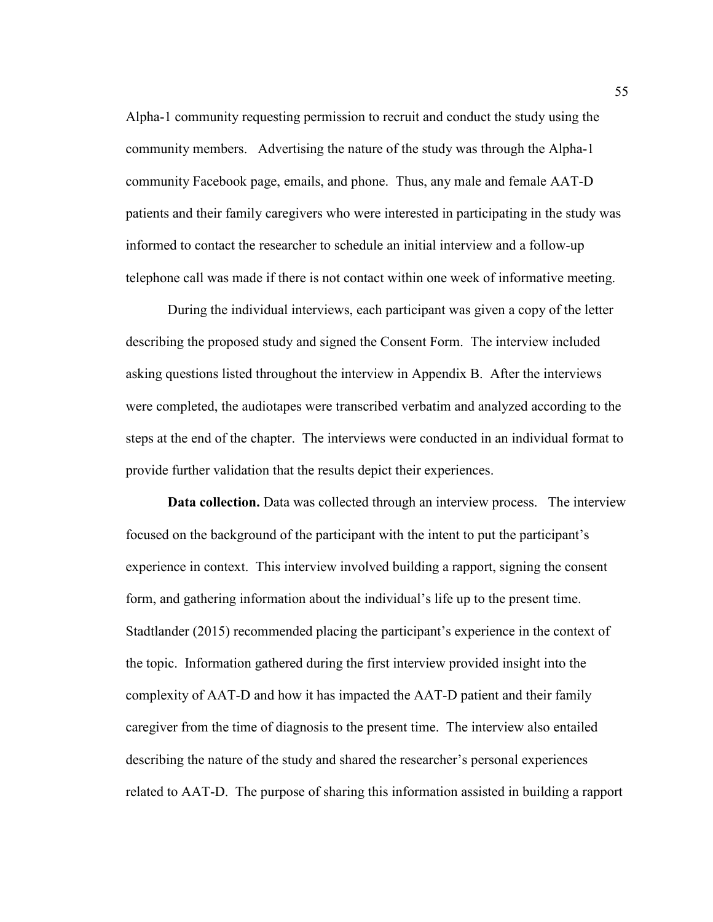Alpha-1 community requesting permission to recruit and conduct the study using the community members. Advertising the nature of the study was through the Alpha-1 community Facebook page, emails, and phone. Thus, any male and female AAT-D patients and their family caregivers who were interested in participating in the study was informed to contact the researcher to schedule an initial interview and a follow-up telephone call was made if there is not contact within one week of informative meeting.

 During the individual interviews, each participant was given a copy of the letter describing the proposed study and signed the Consent Form. The interview included asking questions listed throughout the interview in Appendix B. After the interviews were completed, the audiotapes were transcribed verbatim and analyzed according to the steps at the end of the chapter. The interviews were conducted in an individual format to provide further validation that the results depict their experiences.

**Data collection.** Data was collected through an interview process. The interview focused on the background of the participant with the intent to put the participant's experience in context. This interview involved building a rapport, signing the consent form, and gathering information about the individual's life up to the present time. Stadtlander (2015) recommended placing the participant's experience in the context of the topic. Information gathered during the first interview provided insight into the complexity of AAT-D and how it has impacted the AAT-D patient and their family caregiver from the time of diagnosis to the present time. The interview also entailed describing the nature of the study and shared the researcher's personal experiences related to AAT-D. The purpose of sharing this information assisted in building a rapport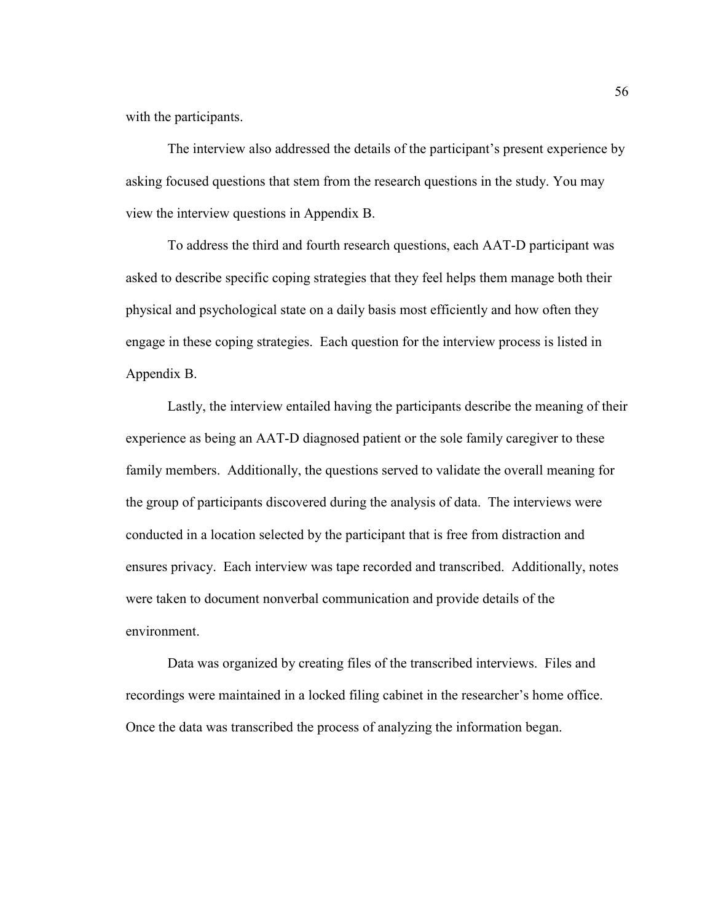with the participants.

The interview also addressed the details of the participant's present experience by asking focused questions that stem from the research questions in the study. You may view the interview questions in Appendix B.

To address the third and fourth research questions, each AAT-D participant was asked to describe specific coping strategies that they feel helps them manage both their physical and psychological state on a daily basis most efficiently and how often they engage in these coping strategies. Each question for the interview process is listed in Appendix B.

Lastly, the interview entailed having the participants describe the meaning of their experience as being an AAT-D diagnosed patient or the sole family caregiver to these family members. Additionally, the questions served to validate the overall meaning for the group of participants discovered during the analysis of data. The interviews were conducted in a location selected by the participant that is free from distraction and ensures privacy. Each interview was tape recorded and transcribed. Additionally, notes were taken to document nonverbal communication and provide details of the environment.

Data was organized by creating files of the transcribed interviews. Files and recordings were maintained in a locked filing cabinet in the researcher's home office. Once the data was transcribed the process of analyzing the information began.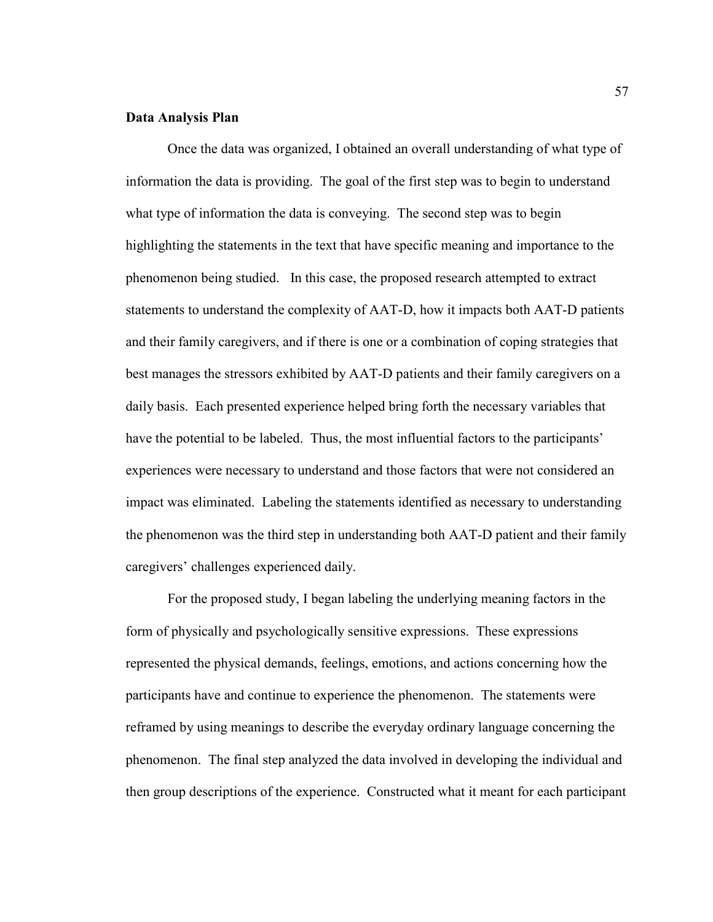## **Data Analysis Plan**

Once the data was organized, I obtained an overall understanding of what type of information the data is providing. The goal of the first step was to begin to understand what type of information the data is conveying. The second step was to begin highlighting the statements in the text that have specific meaning and importance to the phenomenon being studied. In this case, the proposed research attempted to extract statements to understand the complexity of AAT-D, how it impacts both AAT-D patients and their family caregivers, and if there is one or a combination of coping strategies that best manages the stressors exhibited by AAT-D patients and their family caregivers on a daily basis. Each presented experience helped bring forth the necessary variables that have the potential to be labeled. Thus, the most influential factors to the participants' experiences were necessary to understand and those factors that were not considered an impact was eliminated. Labeling the statements identified as necessary to understanding the phenomenon was the third step in understanding both AAT-D patient and their family caregivers' challenges experienced daily.

For the proposed study, I began labeling the underlying meaning factors in the form of physically and psychologically sensitive expressions. These expressions represented the physical demands, feelings, emotions, and actions concerning how the participants have and continue to experience the phenomenon. The statements were reframed by using meanings to describe the everyday ordinary language concerning the phenomenon. The final step analyzed the data involved in developing the individual and then group descriptions of the experience. Constructed what it meant for each participant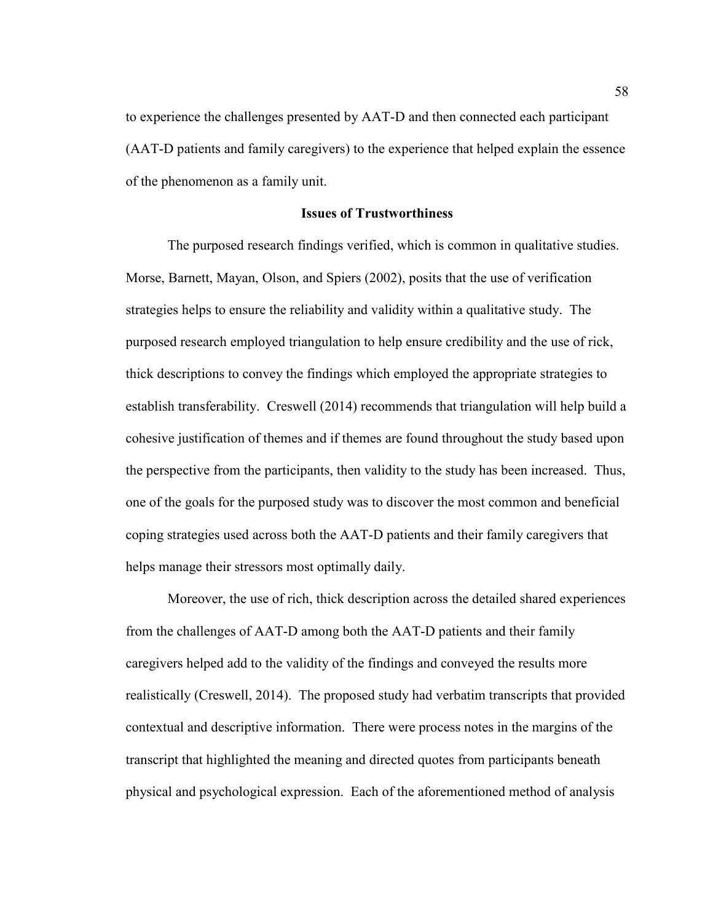to experience the challenges presented by AAT-D and then connected each participant (AAT-D patients and family caregivers) to the experience that helped explain the essence of the phenomenon as a family unit.

# **Issues of Trustworthiness**

The purposed research findings verified, which is common in qualitative studies. Morse, Barnett, Mayan, Olson, and Spiers (2002), posits that the use of verification strategies helps to ensure the reliability and validity within a qualitative study. The purposed research employed triangulation to help ensure credibility and the use of rick, thick descriptions to convey the findings which employed the appropriate strategies to establish transferability. Creswell (2014) recommends that triangulation will help build a cohesive justification of themes and if themes are found throughout the study based upon the perspective from the participants, then validity to the study has been increased. Thus, one of the goals for the purposed study was to discover the most common and beneficial coping strategies used across both the AAT-D patients and their family caregivers that helps manage their stressors most optimally daily.

Moreover, the use of rich, thick description across the detailed shared experiences from the challenges of AAT-D among both the AAT-D patients and their family caregivers helped add to the validity of the findings and conveyed the results more realistically (Creswell, 2014). The proposed study had verbatim transcripts that provided contextual and descriptive information. There were process notes in the margins of the transcript that highlighted the meaning and directed quotes from participants beneath physical and psychological expression. Each of the aforementioned method of analysis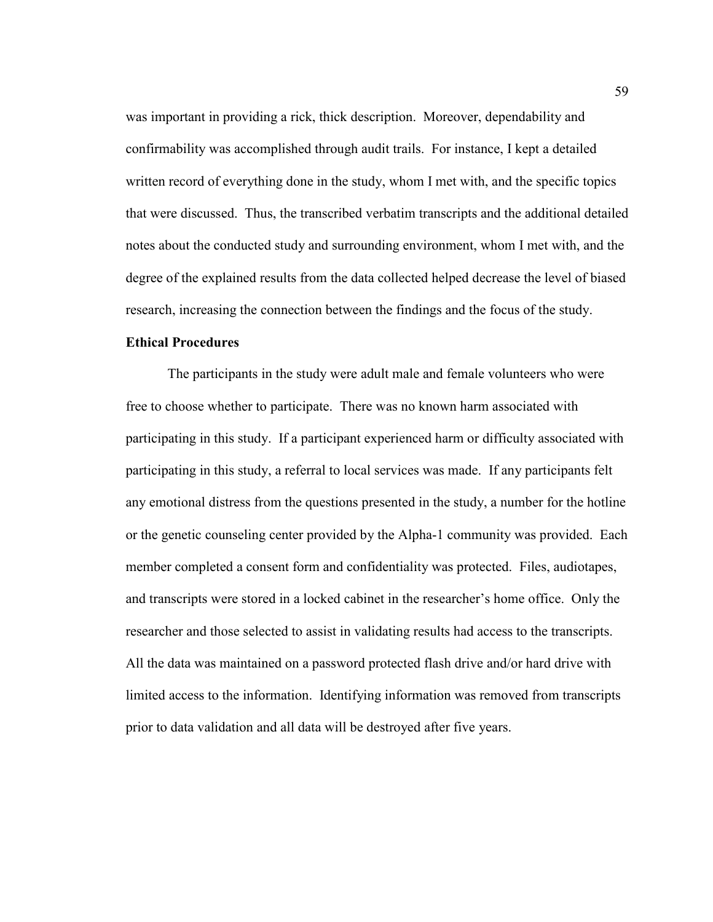was important in providing a rick, thick description. Moreover, dependability and confirmability was accomplished through audit trails. For instance, I kept a detailed written record of everything done in the study, whom I met with, and the specific topics that were discussed. Thus, the transcribed verbatim transcripts and the additional detailed notes about the conducted study and surrounding environment, whom I met with, and the degree of the explained results from the data collected helped decrease the level of biased research, increasing the connection between the findings and the focus of the study.

# **Ethical Procedures**

The participants in the study were adult male and female volunteers who were free to choose whether to participate. There was no known harm associated with participating in this study. If a participant experienced harm or difficulty associated with participating in this study, a referral to local services was made. If any participants felt any emotional distress from the questions presented in the study, a number for the hotline or the genetic counseling center provided by the Alpha-1 community was provided. Each member completed a consent form and confidentiality was protected. Files, audiotapes, and transcripts were stored in a locked cabinet in the researcher's home office. Only the researcher and those selected to assist in validating results had access to the transcripts. All the data was maintained on a password protected flash drive and/or hard drive with limited access to the information. Identifying information was removed from transcripts prior to data validation and all data will be destroyed after five years.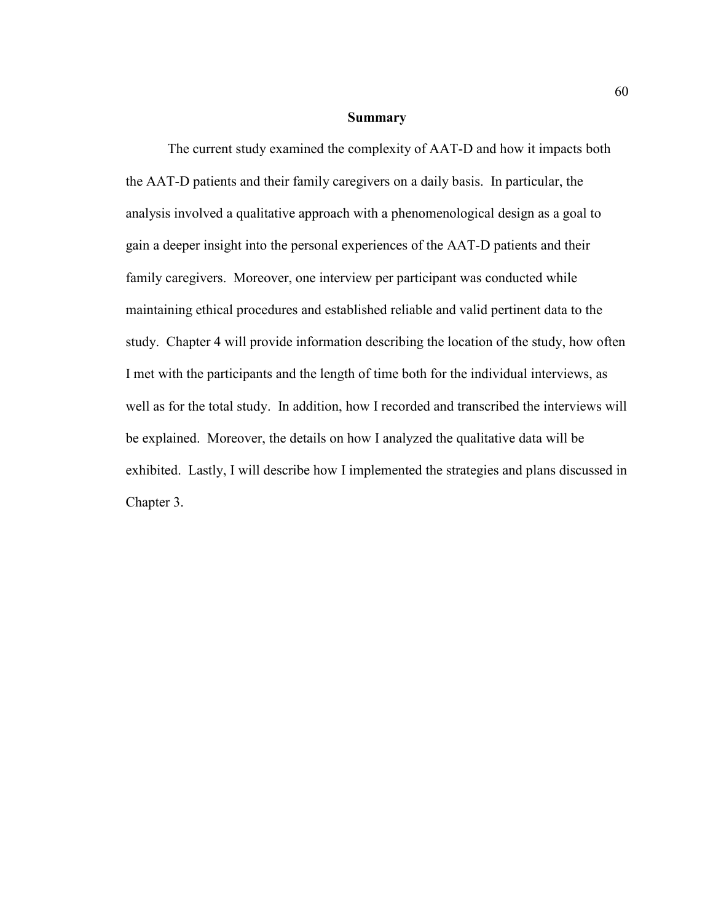#### **Summary**

 The current study examined the complexity of AAT-D and how it impacts both the AAT-D patients and their family caregivers on a daily basis. In particular, the analysis involved a qualitative approach with a phenomenological design as a goal to gain a deeper insight into the personal experiences of the AAT-D patients and their family caregivers. Moreover, one interview per participant was conducted while maintaining ethical procedures and established reliable and valid pertinent data to the study. Chapter 4 will provide information describing the location of the study, how often I met with the participants and the length of time both for the individual interviews, as well as for the total study. In addition, how I recorded and transcribed the interviews will be explained. Moreover, the details on how I analyzed the qualitative data will be exhibited. Lastly, I will describe how I implemented the strategies and plans discussed in Chapter 3.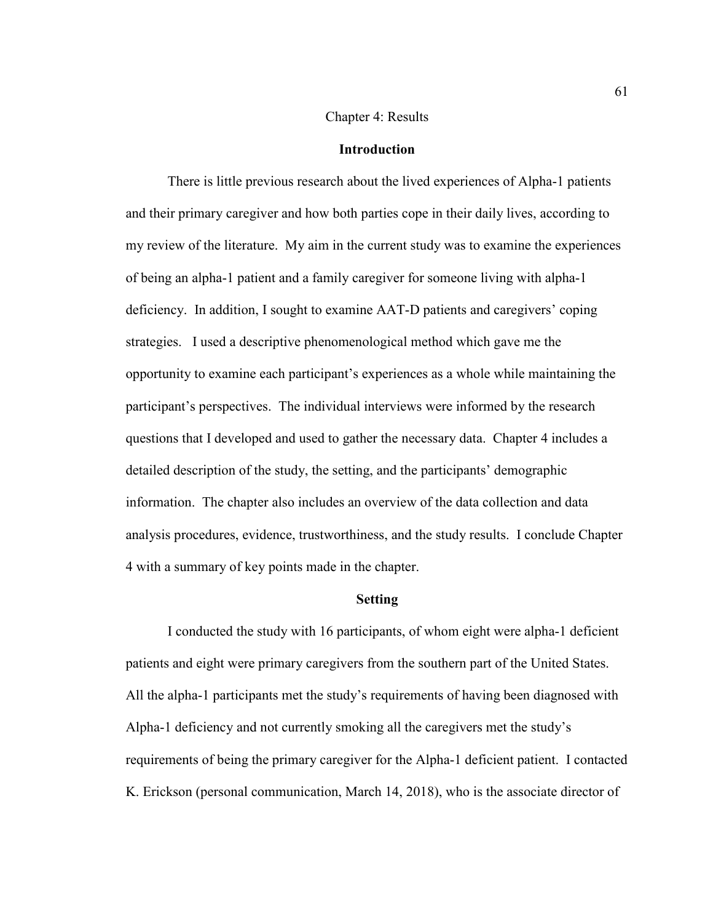### Chapter 4: Results

### **Introduction**

There is little previous research about the lived experiences of Alpha-1 patients and their primary caregiver and how both parties cope in their daily lives, according to my review of the literature. My aim in the current study was to examine the experiences of being an alpha-1 patient and a family caregiver for someone living with alpha-1 deficiency. In addition, I sought to examine AAT-D patients and caregivers' coping strategies. I used a descriptive phenomenological method which gave me the opportunity to examine each participant's experiences as a whole while maintaining the participant's perspectives. The individual interviews were informed by the research questions that I developed and used to gather the necessary data. Chapter 4 includes a detailed description of the study, the setting, and the participants' demographic information. The chapter also includes an overview of the data collection and data analysis procedures, evidence, trustworthiness, and the study results. I conclude Chapter 4 with a summary of key points made in the chapter.

#### **Setting**

I conducted the study with 16 participants, of whom eight were alpha-1 deficient patients and eight were primary caregivers from the southern part of the United States. All the alpha-1 participants met the study's requirements of having been diagnosed with Alpha-1 deficiency and not currently smoking all the caregivers met the study's requirements of being the primary caregiver for the Alpha-1 deficient patient. I contacted K. Erickson (personal communication, March 14, 2018), who is the associate director of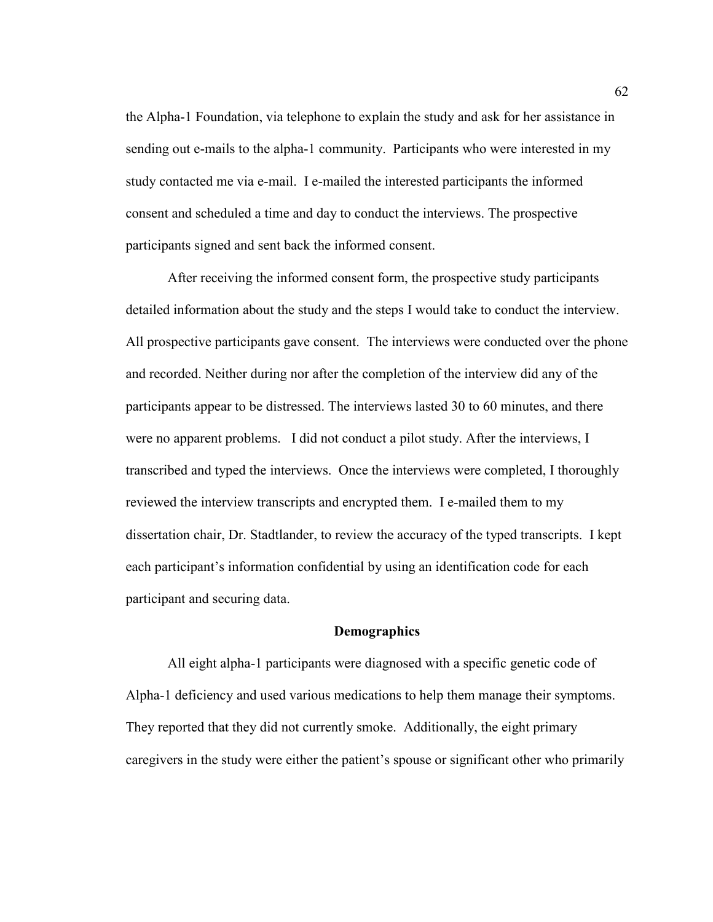the Alpha-1 Foundation, via telephone to explain the study and ask for her assistance in sending out e-mails to the alpha-1 community. Participants who were interested in my study contacted me via e-mail. I e-mailed the interested participants the informed consent and scheduled a time and day to conduct the interviews. The prospective participants signed and sent back the informed consent.

After receiving the informed consent form, the prospective study participants detailed information about the study and the steps I would take to conduct the interview. All prospective participants gave consent. The interviews were conducted over the phone and recorded. Neither during nor after the completion of the interview did any of the participants appear to be distressed. The interviews lasted 30 to 60 minutes, and there were no apparent problems. I did not conduct a pilot study. After the interviews, I transcribed and typed the interviews. Once the interviews were completed, I thoroughly reviewed the interview transcripts and encrypted them. I e-mailed them to my dissertation chair, Dr. Stadtlander, to review the accuracy of the typed transcripts. I kept each participant's information confidential by using an identification code for each participant and securing data.

#### **Demographics**

All eight alpha-1 participants were diagnosed with a specific genetic code of Alpha-1 deficiency and used various medications to help them manage their symptoms. They reported that they did not currently smoke. Additionally, the eight primary caregivers in the study were either the patient's spouse or significant other who primarily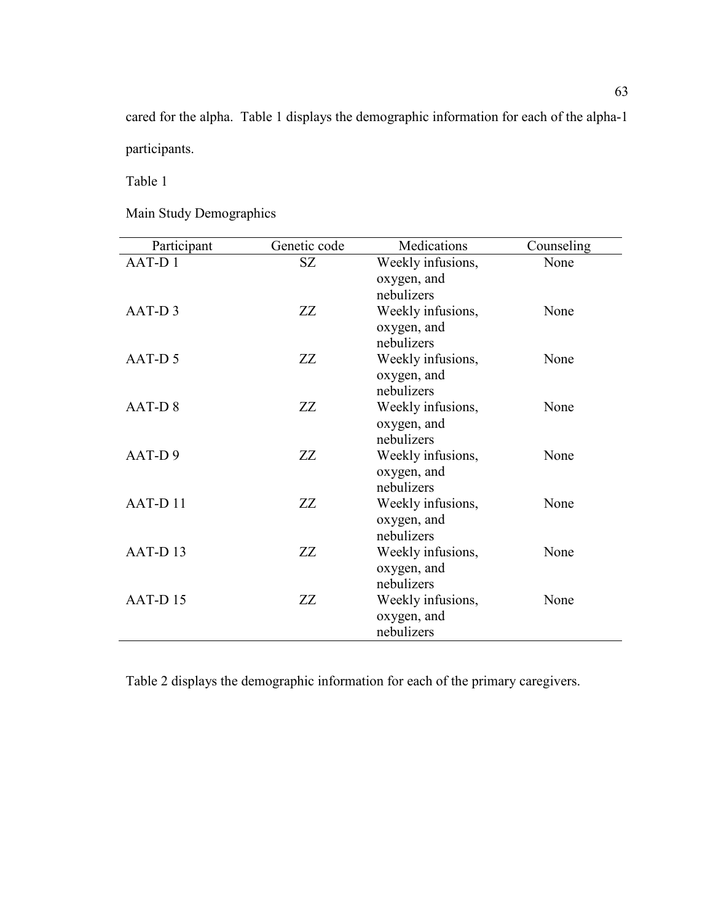cared for the alpha. Table 1 displays the demographic information for each of the alpha-1 participants.

Table 1

Main Study Demographics

| Participant        | Genetic code | Medications               | Counseling |
|--------------------|--------------|---------------------------|------------|
| AAT-D1             | SZ           | Weekly infusions,         | None       |
|                    |              | oxygen, and               |            |
|                    |              | nebulizers                |            |
| AAT-D3             | ZZ           | Weekly infusions,         | None       |
|                    |              | oxygen, and               |            |
|                    |              | nebulizers                |            |
| AAT-D <sub>5</sub> | ZZ           | Weekly infusions,         | None       |
|                    |              | oxygen, and               |            |
|                    |              | nebulizers                |            |
| AAT-D8             | ZZ           | Weekly infusions,         | None       |
|                    |              | oxygen, and               |            |
|                    |              | nebulizers                |            |
| AAT-D9             | ZZ           | Weekly infusions,         | None       |
|                    |              | oxygen, and<br>nebulizers |            |
| AAT-D11            | ZZ           | Weekly infusions,         | None       |
|                    |              | oxygen, and               |            |
|                    |              | nebulizers                |            |
| AAT-D13            | ZZ           | Weekly infusions,         | None       |
|                    |              | oxygen, and               |            |
|                    |              | nebulizers                |            |
| AAT-D15            | ZZ           | Weekly infusions,         | None       |
|                    |              | oxygen, and               |            |
|                    |              | nebulizers                |            |

Table 2 displays the demographic information for each of the primary caregivers.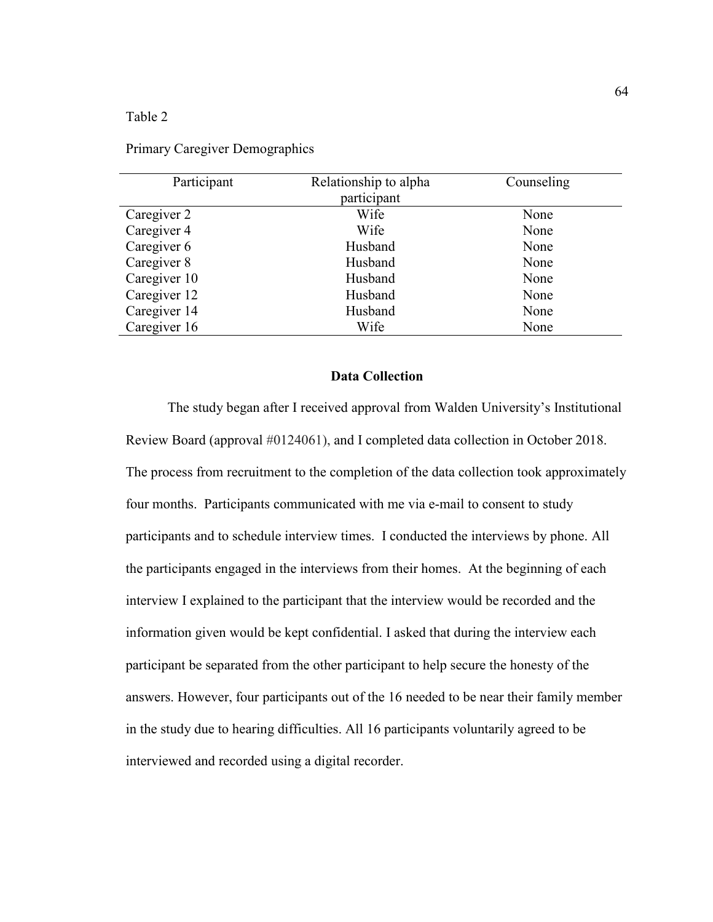# Table 2

| Relationship to alpha | Counseling |
|-----------------------|------------|
| participant           |            |
| Wife                  | None       |
| Wife                  | None       |
| Husband               | None       |
| Husband               | None       |
| Husband               | None       |
| Husband               | None       |
| Husband               | None       |
| Wife                  | None       |
|                       |            |

Primary Caregiver Demographics

# **Data Collection**

The study began after I received approval from Walden University's Institutional Review Board (approval #0124061), and I completed data collection in October 2018. The process from recruitment to the completion of the data collection took approximately four months. Participants communicated with me via e-mail to consent to study participants and to schedule interview times. I conducted the interviews by phone. All the participants engaged in the interviews from their homes. At the beginning of each interview I explained to the participant that the interview would be recorded and the information given would be kept confidential. I asked that during the interview each participant be separated from the other participant to help secure the honesty of the answers. However, four participants out of the 16 needed to be near their family member in the study due to hearing difficulties. All 16 participants voluntarily agreed to be interviewed and recorded using a digital recorder.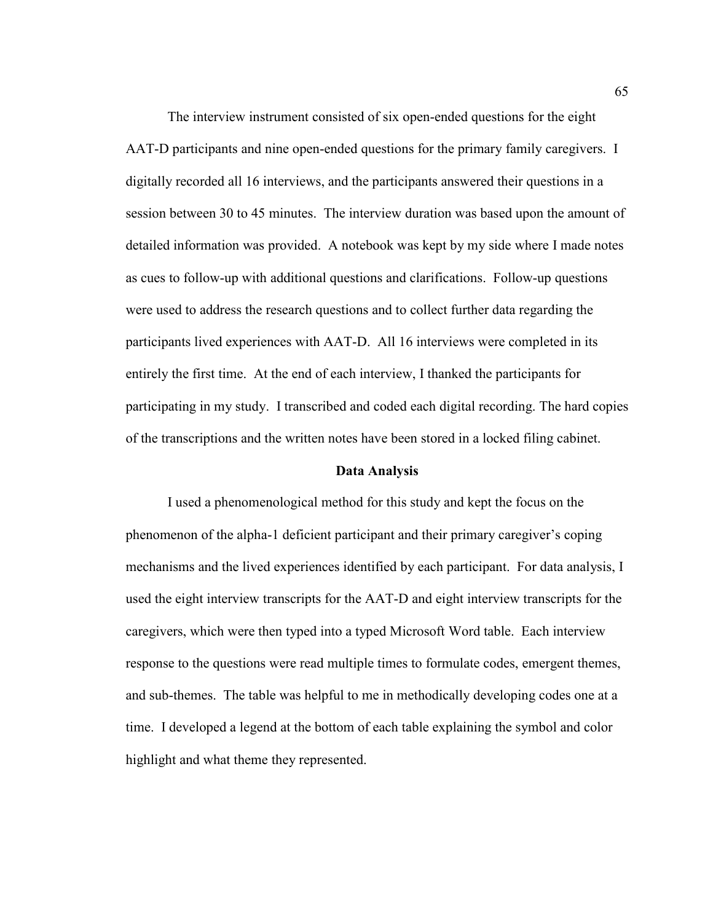The interview instrument consisted of six open-ended questions for the eight AAT-D participants and nine open-ended questions for the primary family caregivers. I digitally recorded all 16 interviews, and the participants answered their questions in a session between 30 to 45 minutes. The interview duration was based upon the amount of detailed information was provided. A notebook was kept by my side where I made notes as cues to follow-up with additional questions and clarifications. Follow-up questions were used to address the research questions and to collect further data regarding the participants lived experiences with AAT-D. All 16 interviews were completed in its entirely the first time. At the end of each interview, I thanked the participants for participating in my study. I transcribed and coded each digital recording. The hard copies of the transcriptions and the written notes have been stored in a locked filing cabinet.

#### **Data Analysis**

I used a phenomenological method for this study and kept the focus on the phenomenon of the alpha-1 deficient participant and their primary caregiver's coping mechanisms and the lived experiences identified by each participant. For data analysis, I used the eight interview transcripts for the AAT-D and eight interview transcripts for the caregivers, which were then typed into a typed Microsoft Word table. Each interview response to the questions were read multiple times to formulate codes, emergent themes, and sub-themes. The table was helpful to me in methodically developing codes one at a time. I developed a legend at the bottom of each table explaining the symbol and color highlight and what theme they represented.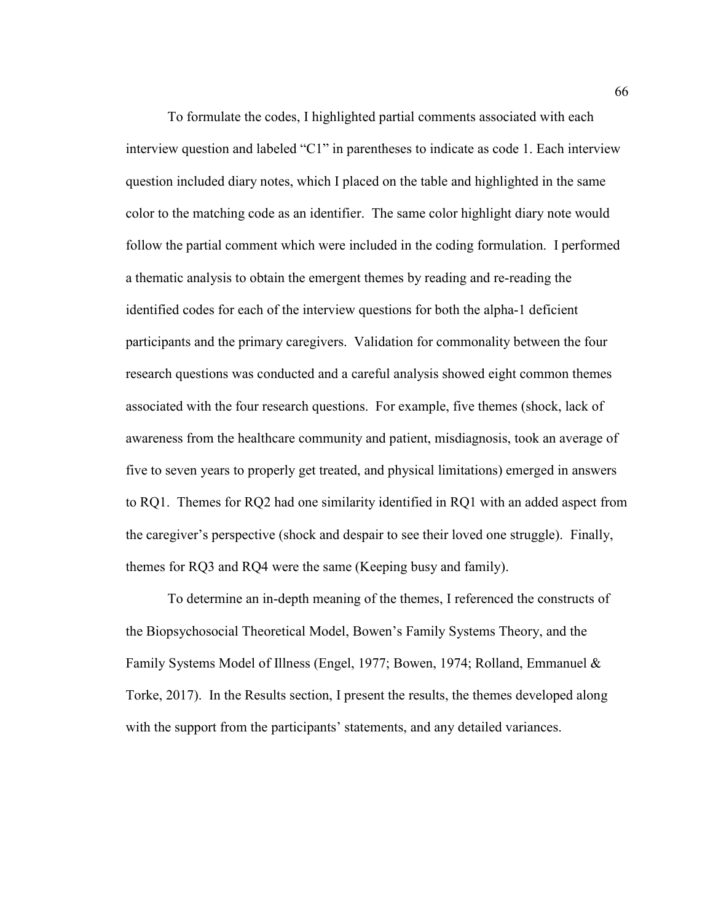To formulate the codes, I highlighted partial comments associated with each interview question and labeled "C1" in parentheses to indicate as code 1. Each interview question included diary notes, which I placed on the table and highlighted in the same color to the matching code as an identifier. The same color highlight diary note would follow the partial comment which were included in the coding formulation. I performed a thematic analysis to obtain the emergent themes by reading and re-reading the identified codes for each of the interview questions for both the alpha-1 deficient participants and the primary caregivers. Validation for commonality between the four research questions was conducted and a careful analysis showed eight common themes associated with the four research questions. For example, five themes (shock, lack of awareness from the healthcare community and patient, misdiagnosis, took an average of five to seven years to properly get treated, and physical limitations) emerged in answers to RQ1. Themes for RQ2 had one similarity identified in RQ1 with an added aspect from the caregiver's perspective (shock and despair to see their loved one struggle). Finally, themes for RQ3 and RQ4 were the same (Keeping busy and family).

To determine an in-depth meaning of the themes, I referenced the constructs of the Biopsychosocial Theoretical Model, Bowen's Family Systems Theory, and the Family Systems Model of Illness (Engel, 1977; Bowen, 1974; Rolland, Emmanuel & Torke, 2017). In the Results section, I present the results, the themes developed along with the support from the participants' statements, and any detailed variances.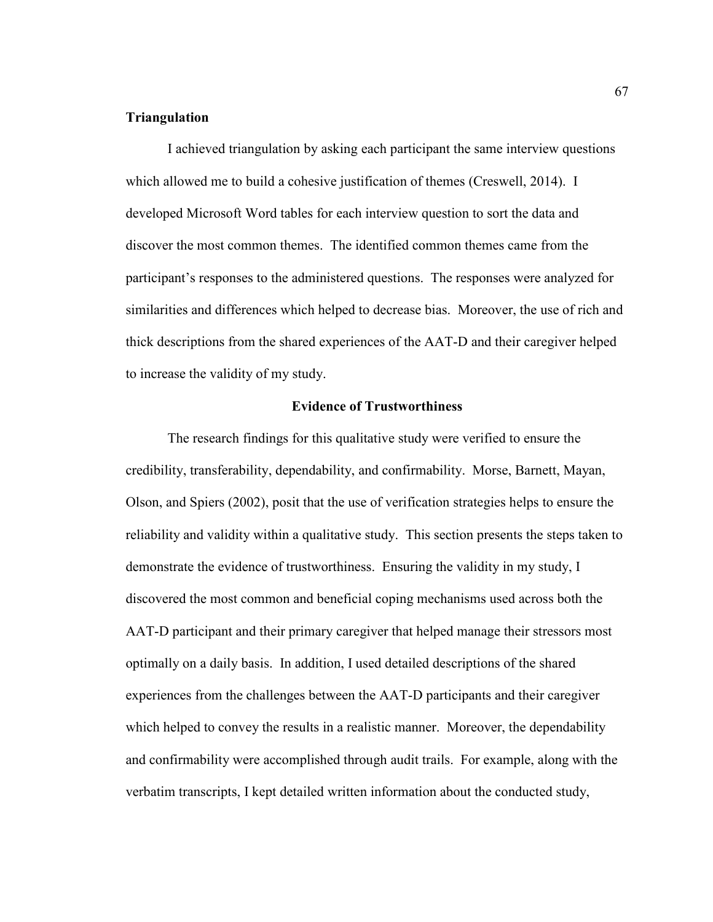### **Triangulation**

I achieved triangulation by asking each participant the same interview questions which allowed me to build a cohesive justification of themes (Creswell, 2014). I developed Microsoft Word tables for each interview question to sort the data and discover the most common themes. The identified common themes came from the participant's responses to the administered questions. The responses were analyzed for similarities and differences which helped to decrease bias. Moreover, the use of rich and thick descriptions from the shared experiences of the AAT-D and their caregiver helped to increase the validity of my study.

### **Evidence of Trustworthiness**

 The research findings for this qualitative study were verified to ensure the credibility, transferability, dependability, and confirmability. Morse, Barnett, Mayan, Olson, and Spiers (2002), posit that the use of verification strategies helps to ensure the reliability and validity within a qualitative study. This section presents the steps taken to demonstrate the evidence of trustworthiness. Ensuring the validity in my study, I discovered the most common and beneficial coping mechanisms used across both the AAT-D participant and their primary caregiver that helped manage their stressors most optimally on a daily basis. In addition, I used detailed descriptions of the shared experiences from the challenges between the AAT-D participants and their caregiver which helped to convey the results in a realistic manner. Moreover, the dependability and confirmability were accomplished through audit trails. For example, along with the verbatim transcripts, I kept detailed written information about the conducted study,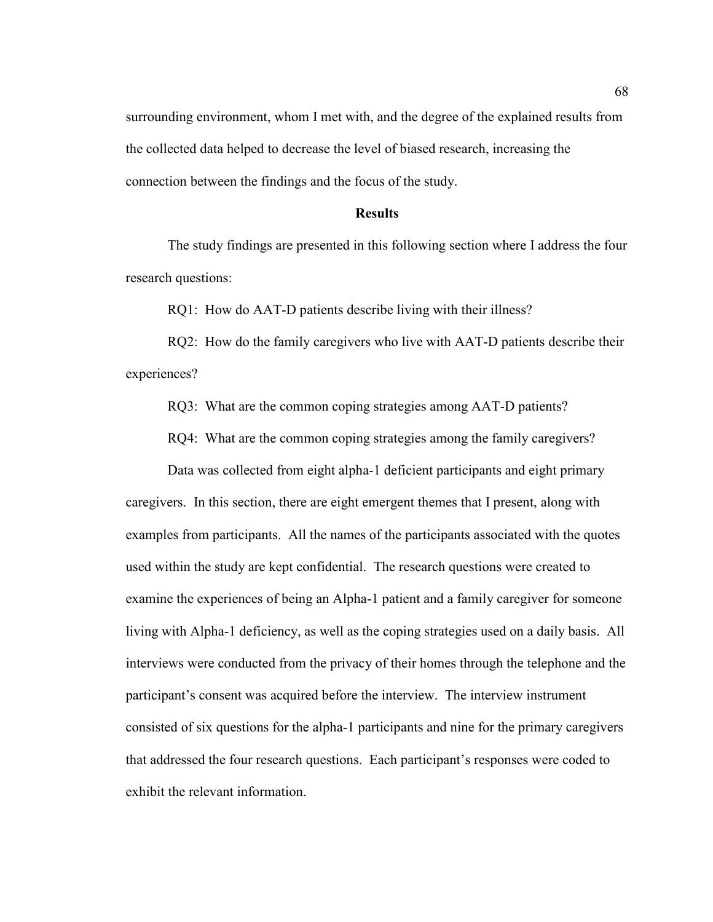surrounding environment, whom I met with, and the degree of the explained results from the collected data helped to decrease the level of biased research, increasing the connection between the findings and the focus of the study.

# **Results**

 The study findings are presented in this following section where I address the four research questions:

RQ1: How do AAT-D patients describe living with their illness?

RQ2: How do the family caregivers who live with AAT-D patients describe their experiences?

RQ3: What are the common coping strategies among AAT-D patients?

RQ4: What are the common coping strategies among the family caregivers?

 Data was collected from eight alpha-1 deficient participants and eight primary caregivers. In this section, there are eight emergent themes that I present, along with examples from participants. All the names of the participants associated with the quotes used within the study are kept confidential. The research questions were created to examine the experiences of being an Alpha-1 patient and a family caregiver for someone living with Alpha-1 deficiency, as well as the coping strategies used on a daily basis. All interviews were conducted from the privacy of their homes through the telephone and the participant's consent was acquired before the interview. The interview instrument consisted of six questions for the alpha-1 participants and nine for the primary caregivers that addressed the four research questions. Each participant's responses were coded to exhibit the relevant information.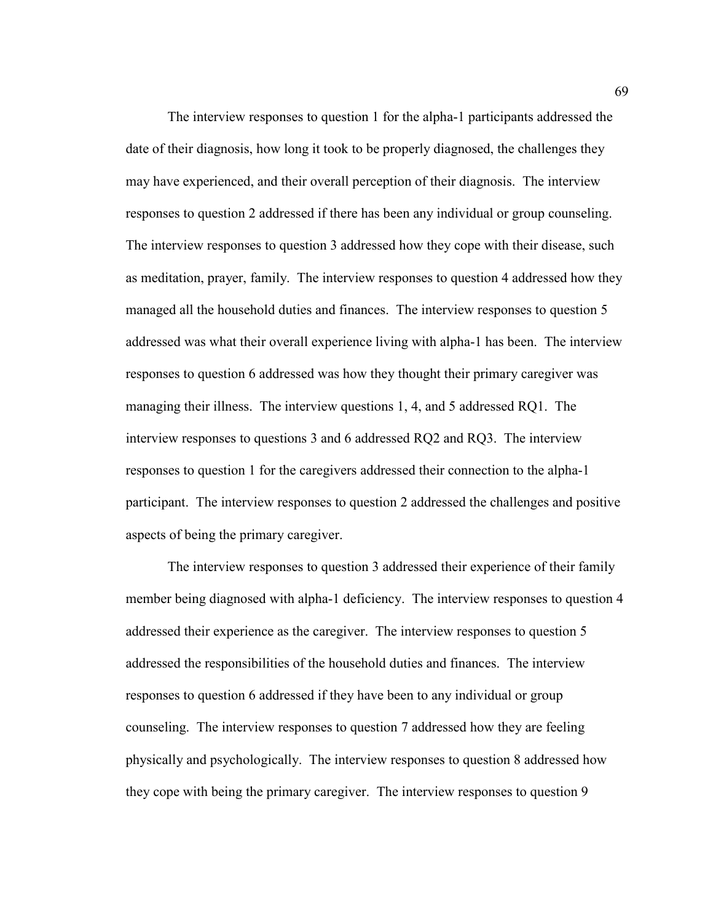The interview responses to question 1 for the alpha-1 participants addressed the date of their diagnosis, how long it took to be properly diagnosed, the challenges they may have experienced, and their overall perception of their diagnosis. The interview responses to question 2 addressed if there has been any individual or group counseling. The interview responses to question 3 addressed how they cope with their disease, such as meditation, prayer, family. The interview responses to question 4 addressed how they managed all the household duties and finances. The interview responses to question 5 addressed was what their overall experience living with alpha-1 has been. The interview responses to question 6 addressed was how they thought their primary caregiver was managing their illness. The interview questions 1, 4, and 5 addressed RQ1. The interview responses to questions 3 and 6 addressed RQ2 and RQ3. The interview responses to question 1 for the caregivers addressed their connection to the alpha-1 participant. The interview responses to question 2 addressed the challenges and positive aspects of being the primary caregiver.

The interview responses to question 3 addressed their experience of their family member being diagnosed with alpha-1 deficiency. The interview responses to question 4 addressed their experience as the caregiver. The interview responses to question 5 addressed the responsibilities of the household duties and finances. The interview responses to question 6 addressed if they have been to any individual or group counseling. The interview responses to question 7 addressed how they are feeling physically and psychologically. The interview responses to question 8 addressed how they cope with being the primary caregiver. The interview responses to question 9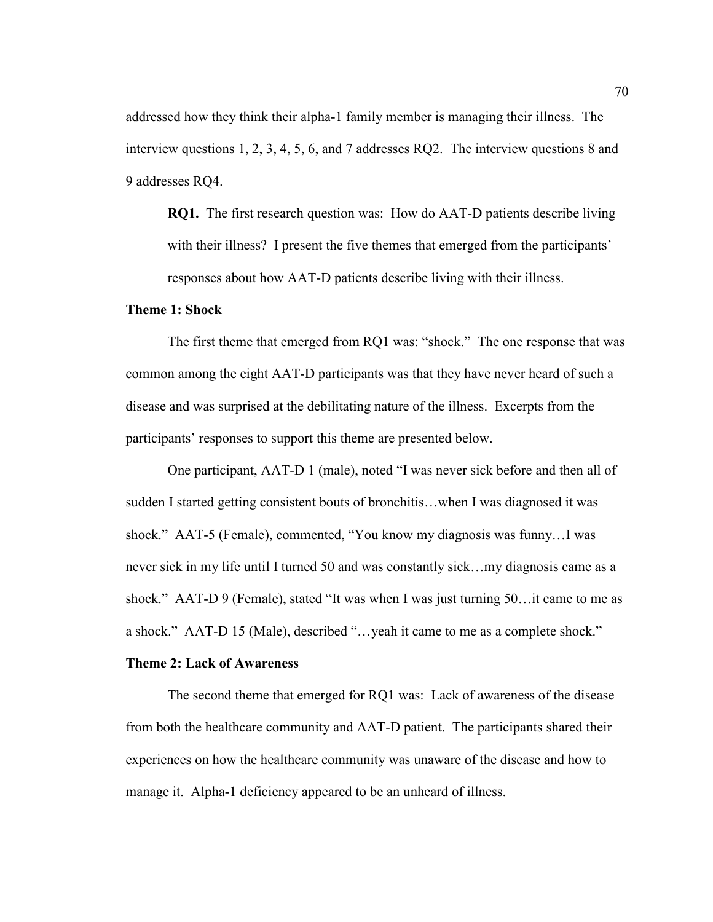addressed how they think their alpha-1 family member is managing their illness. The interview questions 1, 2, 3, 4, 5, 6, and 7 addresses RQ2. The interview questions 8 and 9 addresses RQ4.

**RQ1.** The first research question was: How do AAT-D patients describe living with their illness? I present the five themes that emerged from the participants' responses about how AAT-D patients describe living with their illness.

# **Theme 1: Shock**

 The first theme that emerged from RQ1 was: "shock." The one response that was common among the eight AAT-D participants was that they have never heard of such a disease and was surprised at the debilitating nature of the illness. Excerpts from the participants' responses to support this theme are presented below.

 One participant, AAT-D 1 (male), noted "I was never sick before and then all of sudden I started getting consistent bouts of bronchitis…when I was diagnosed it was shock." AAT-5 (Female), commented, "You know my diagnosis was funny…I was never sick in my life until I turned 50 and was constantly sick…my diagnosis came as a shock." AAT-D 9 (Female), stated "It was when I was just turning 50…it came to me as a shock." AAT-D 15 (Male), described "…yeah it came to me as a complete shock."

#### **Theme 2: Lack of Awareness**

The second theme that emerged for RQ1 was: Lack of awareness of the disease from both the healthcare community and AAT-D patient. The participants shared their experiences on how the healthcare community was unaware of the disease and how to manage it. Alpha-1 deficiency appeared to be an unheard of illness.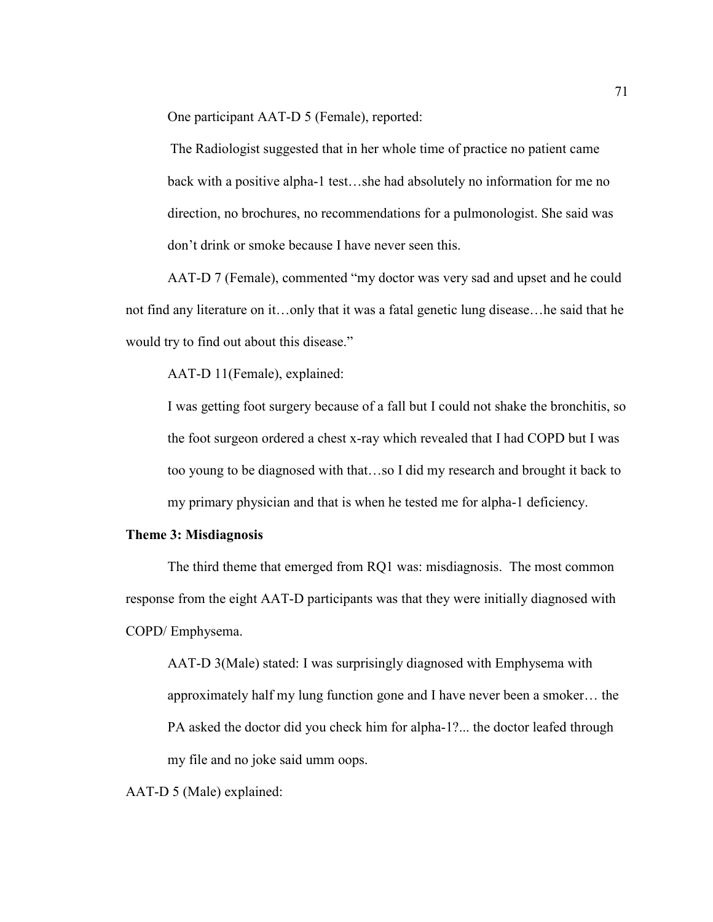One participant AAT-D 5 (Female), reported:

The Radiologist suggested that in her whole time of practice no patient came back with a positive alpha-1 test…she had absolutely no information for me no direction, no brochures, no recommendations for a pulmonologist. She said was don't drink or smoke because I have never seen this.

AAT-D 7 (Female), commented "my doctor was very sad and upset and he could not find any literature on it…only that it was a fatal genetic lung disease…he said that he would try to find out about this disease."

AAT-D 11(Female), explained:

I was getting foot surgery because of a fall but I could not shake the bronchitis, so the foot surgeon ordered a chest x-ray which revealed that I had COPD but I was too young to be diagnosed with that…so I did my research and brought it back to my primary physician and that is when he tested me for alpha-1 deficiency.

### **Theme 3: Misdiagnosis**

 The third theme that emerged from RQ1 was: misdiagnosis. The most common response from the eight AAT-D participants was that they were initially diagnosed with COPD/ Emphysema.

AAT-D 3(Male) stated: I was surprisingly diagnosed with Emphysema with approximately half my lung function gone and I have never been a smoker… the PA asked the doctor did you check him for alpha-1?... the doctor leafed through my file and no joke said umm oops.

AAT-D 5 (Male) explained: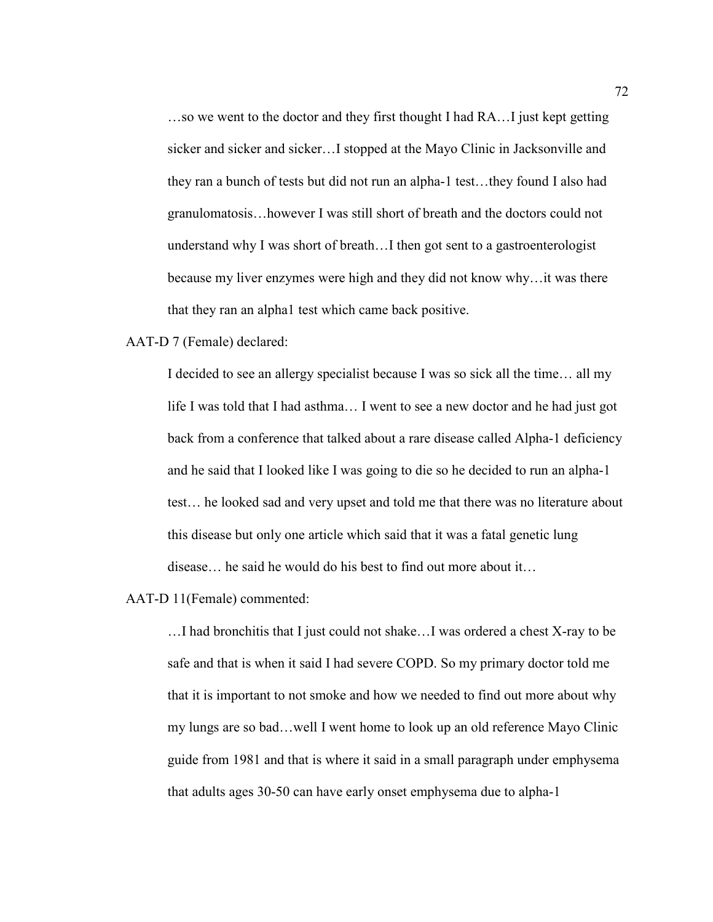…so we went to the doctor and they first thought I had RA…I just kept getting sicker and sicker and sicker…I stopped at the Mayo Clinic in Jacksonville and they ran a bunch of tests but did not run an alpha-1 test…they found I also had granulomatosis…however I was still short of breath and the doctors could not understand why I was short of breath…I then got sent to a gastroenterologist because my liver enzymes were high and they did not know why…it was there that they ran an alpha1 test which came back positive.

### AAT-D 7 (Female) declared:

I decided to see an allergy specialist because I was so sick all the time… all my life I was told that I had asthma… I went to see a new doctor and he had just got back from a conference that talked about a rare disease called Alpha-1 deficiency and he said that I looked like I was going to die so he decided to run an alpha-1 test… he looked sad and very upset and told me that there was no literature about this disease but only one article which said that it was a fatal genetic lung disease… he said he would do his best to find out more about it…

AAT-D 11(Female) commented:

…I had bronchitis that I just could not shake…I was ordered a chest X-ray to be safe and that is when it said I had severe COPD. So my primary doctor told me that it is important to not smoke and how we needed to find out more about why my lungs are so bad…well I went home to look up an old reference Mayo Clinic guide from 1981 and that is where it said in a small paragraph under emphysema that adults ages 30-50 can have early onset emphysema due to alpha-1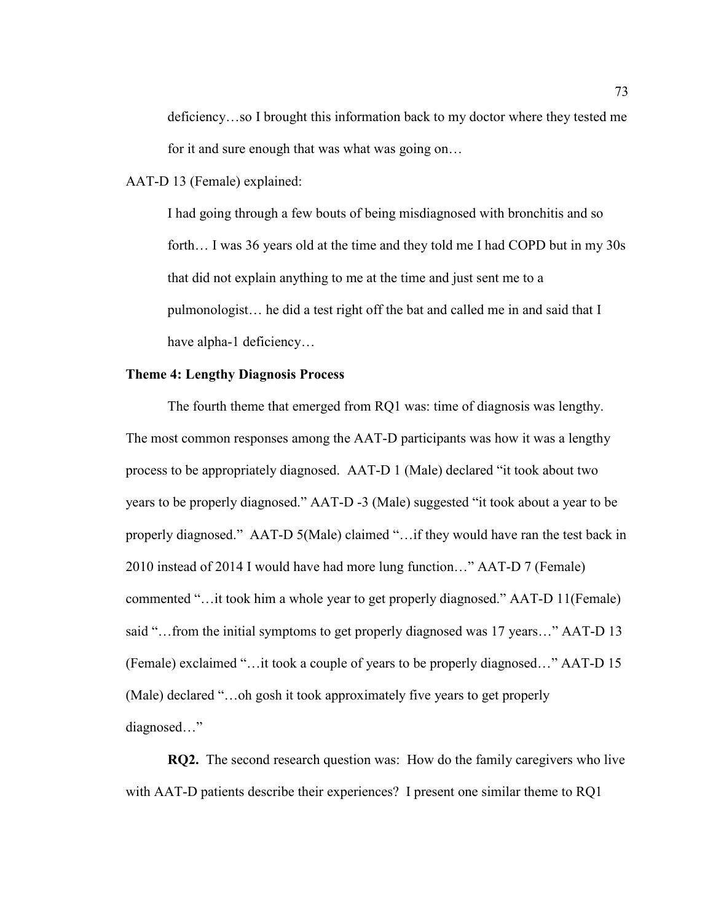deficiency…so I brought this information back to my doctor where they tested me for it and sure enough that was what was going on…

AAT-D 13 (Female) explained:

I had going through a few bouts of being misdiagnosed with bronchitis and so forth… I was 36 years old at the time and they told me I had COPD but in my 30s that did not explain anything to me at the time and just sent me to a pulmonologist… he did a test right off the bat and called me in and said that I have alpha-1 deficiency...

### **Theme 4: Lengthy Diagnosis Process**

 The fourth theme that emerged from RQ1 was: time of diagnosis was lengthy. The most common responses among the AAT-D participants was how it was a lengthy process to be appropriately diagnosed. AAT-D 1 (Male) declared "it took about two years to be properly diagnosed." AAT-D -3 (Male) suggested "it took about a year to be properly diagnosed." AAT-D 5(Male) claimed "…if they would have ran the test back in 2010 instead of 2014 I would have had more lung function…" AAT-D 7 (Female) commented "…it took him a whole year to get properly diagnosed." AAT-D 11(Female) said "…from the initial symptoms to get properly diagnosed was 17 years…" AAT-D 13 (Female) exclaimed "…it took a couple of years to be properly diagnosed…" AAT-D 15 (Male) declared "…oh gosh it took approximately five years to get properly diagnosed…"

**RQ2.** The second research question was: How do the family caregivers who live with AAT-D patients describe their experiences? I present one similar theme to RQ1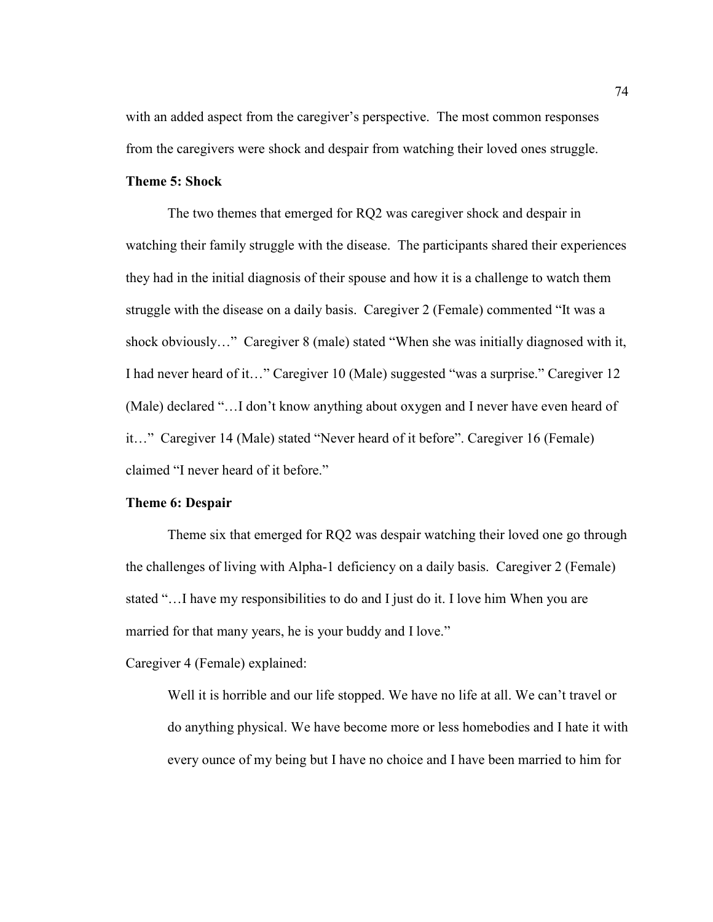with an added aspect from the caregiver's perspective. The most common responses from the caregivers were shock and despair from watching their loved ones struggle.

# **Theme 5: Shock**

 The two themes that emerged for RQ2 was caregiver shock and despair in watching their family struggle with the disease. The participants shared their experiences they had in the initial diagnosis of their spouse and how it is a challenge to watch them struggle with the disease on a daily basis. Caregiver 2 (Female) commented "It was a shock obviously…" Caregiver 8 (male) stated "When she was initially diagnosed with it, I had never heard of it…" Caregiver 10 (Male) suggested "was a surprise." Caregiver 12 (Male) declared "…I don't know anything about oxygen and I never have even heard of it…" Caregiver 14 (Male) stated "Never heard of it before". Caregiver 16 (Female) claimed "I never heard of it before."

### **Theme 6: Despair**

 Theme six that emerged for RQ2 was despair watching their loved one go through the challenges of living with Alpha-1 deficiency on a daily basis. Caregiver 2 (Female) stated "…I have my responsibilities to do and I just do it. I love him When you are married for that many years, he is your buddy and I love."

Caregiver 4 (Female) explained:

Well it is horrible and our life stopped. We have no life at all. We can't travel or do anything physical. We have become more or less homebodies and I hate it with every ounce of my being but I have no choice and I have been married to him for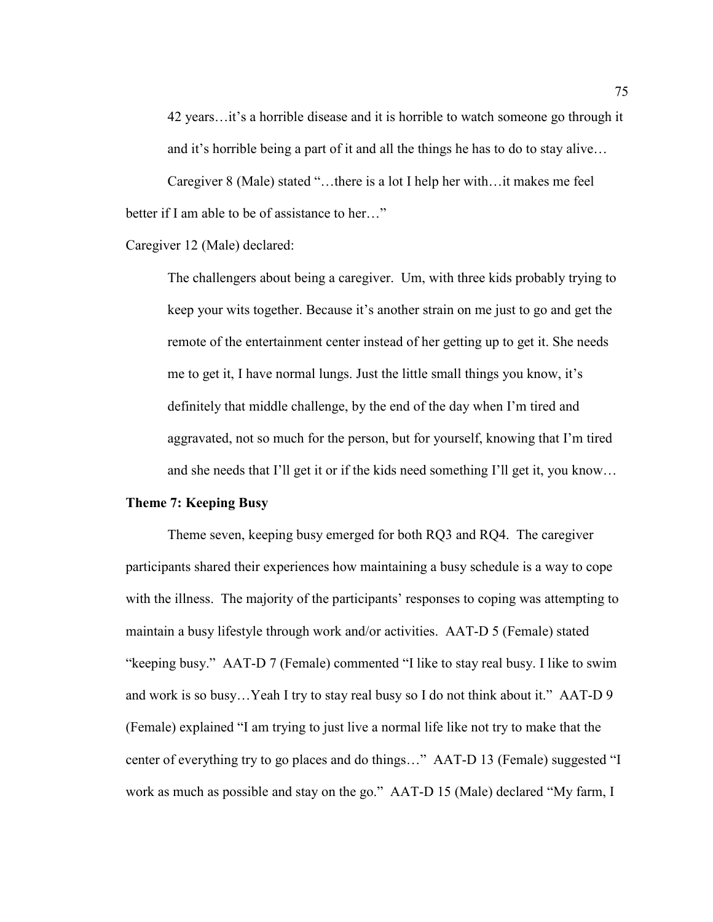42 years…it's a horrible disease and it is horrible to watch someone go through it and it's horrible being a part of it and all the things he has to do to stay alive…

Caregiver 8 (Male) stated "…there is a lot I help her with…it makes me feel better if I am able to be of assistance to her..."

Caregiver 12 (Male) declared:

The challengers about being a caregiver. Um, with three kids probably trying to keep your wits together. Because it's another strain on me just to go and get the remote of the entertainment center instead of her getting up to get it. She needs me to get it, I have normal lungs. Just the little small things you know, it's definitely that middle challenge, by the end of the day when I'm tired and aggravated, not so much for the person, but for yourself, knowing that I'm tired and she needs that I'll get it or if the kids need something I'll get it, you know…

### **Theme 7: Keeping Busy**

Theme seven, keeping busy emerged for both RQ3 and RQ4. The caregiver participants shared their experiences how maintaining a busy schedule is a way to cope with the illness. The majority of the participants' responses to coping was attempting to maintain a busy lifestyle through work and/or activities. AAT-D 5 (Female) stated "keeping busy." AAT-D 7 (Female) commented "I like to stay real busy. I like to swim and work is so busy…Yeah I try to stay real busy so I do not think about it." AAT-D 9 (Female) explained "I am trying to just live a normal life like not try to make that the center of everything try to go places and do things…" AAT-D 13 (Female) suggested "I work as much as possible and stay on the go." AAT-D 15 (Male) declared "My farm, I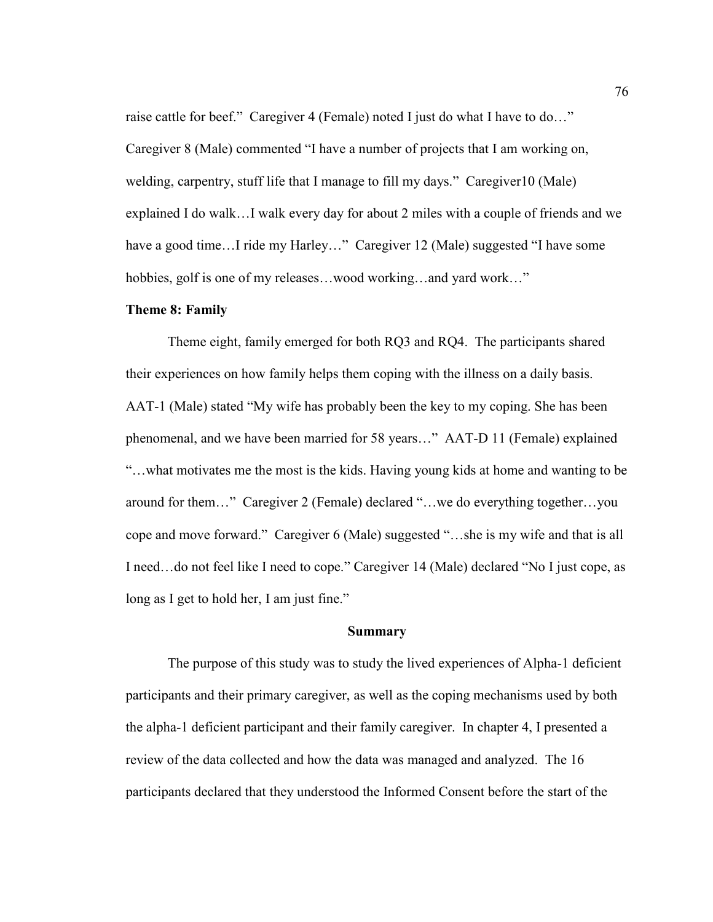raise cattle for beef." Caregiver 4 (Female) noted I just do what I have to do..." Caregiver 8 (Male) commented "I have a number of projects that I am working on, welding, carpentry, stuff life that I manage to fill my days." Caregiver10 (Male) explained I do walk…I walk every day for about 2 miles with a couple of friends and we have a good time...I ride my Harley..." Caregiver 12 (Male) suggested "I have some hobbies, golf is one of my releases...wood working...and yard work..."

# **Theme 8: Family**

 Theme eight, family emerged for both RQ3 and RQ4. The participants shared their experiences on how family helps them coping with the illness on a daily basis. AAT-1 (Male) stated "My wife has probably been the key to my coping. She has been phenomenal, and we have been married for 58 years…" AAT-D 11 (Female) explained "…what motivates me the most is the kids. Having young kids at home and wanting to be around for them…" Caregiver 2 (Female) declared "…we do everything together…you cope and move forward." Caregiver 6 (Male) suggested "…she is my wife and that is all I need…do not feel like I need to cope." Caregiver 14 (Male) declared "No I just cope, as long as I get to hold her, I am just fine."

#### **Summary**

The purpose of this study was to study the lived experiences of Alpha-1 deficient participants and their primary caregiver, as well as the coping mechanisms used by both the alpha-1 deficient participant and their family caregiver. In chapter 4, I presented a review of the data collected and how the data was managed and analyzed. The 16 participants declared that they understood the Informed Consent before the start of the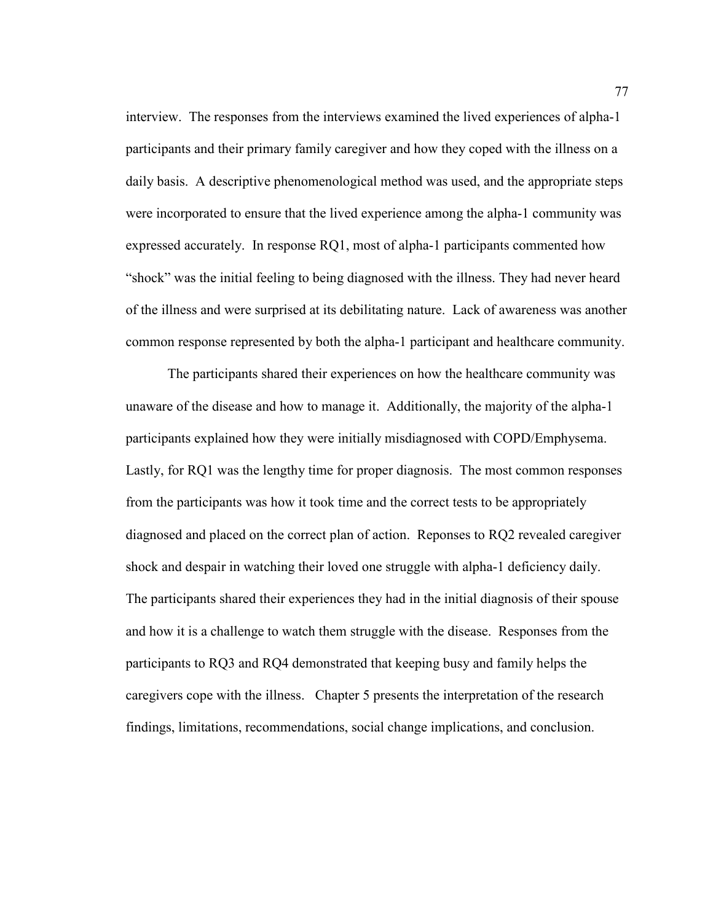interview. The responses from the interviews examined the lived experiences of alpha-1 participants and their primary family caregiver and how they coped with the illness on a daily basis. A descriptive phenomenological method was used, and the appropriate steps were incorporated to ensure that the lived experience among the alpha-1 community was expressed accurately. In response RQ1, most of alpha-1 participants commented how "shock" was the initial feeling to being diagnosed with the illness. They had never heard of the illness and were surprised at its debilitating nature. Lack of awareness was another common response represented by both the alpha-1 participant and healthcare community.

The participants shared their experiences on how the healthcare community was unaware of the disease and how to manage it. Additionally, the majority of the alpha-1 participants explained how they were initially misdiagnosed with COPD/Emphysema. Lastly, for RQ1 was the lengthy time for proper diagnosis. The most common responses from the participants was how it took time and the correct tests to be appropriately diagnosed and placed on the correct plan of action. Reponses to RQ2 revealed caregiver shock and despair in watching their loved one struggle with alpha-1 deficiency daily. The participants shared their experiences they had in the initial diagnosis of their spouse and how it is a challenge to watch them struggle with the disease. Responses from the participants to RQ3 and RQ4 demonstrated that keeping busy and family helps the caregivers cope with the illness. Chapter 5 presents the interpretation of the research findings, limitations, recommendations, social change implications, and conclusion.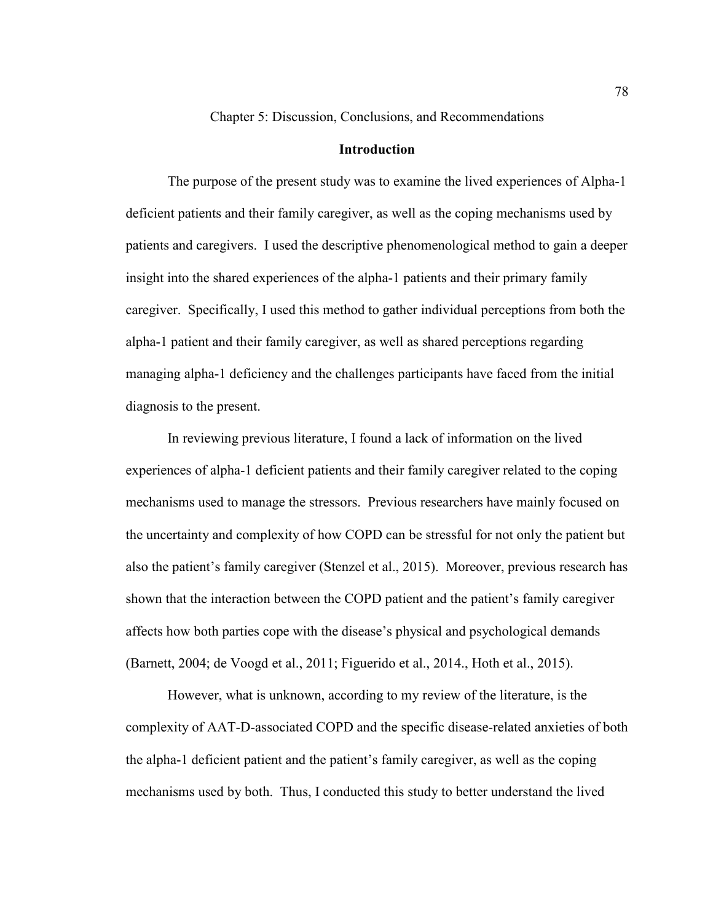Chapter 5: Discussion, Conclusions, and Recommendations

### **Introduction**

The purpose of the present study was to examine the lived experiences of Alpha-1 deficient patients and their family caregiver, as well as the coping mechanisms used by patients and caregivers. I used the descriptive phenomenological method to gain a deeper insight into the shared experiences of the alpha-1 patients and their primary family caregiver. Specifically, I used this method to gather individual perceptions from both the alpha-1 patient and their family caregiver, as well as shared perceptions regarding managing alpha-1 deficiency and the challenges participants have faced from the initial diagnosis to the present.

In reviewing previous literature, I found a lack of information on the lived experiences of alpha-1 deficient patients and their family caregiver related to the coping mechanisms used to manage the stressors. Previous researchers have mainly focused on the uncertainty and complexity of how COPD can be stressful for not only the patient but also the patient's family caregiver (Stenzel et al., 2015). Moreover, previous research has shown that the interaction between the COPD patient and the patient's family caregiver affects how both parties cope with the disease's physical and psychological demands (Barnett, 2004; de Voogd et al., 2011; Figuerido et al., 2014., Hoth et al., 2015).

However, what is unknown, according to my review of the literature, is the complexity of AAT-D-associated COPD and the specific disease-related anxieties of both the alpha-1 deficient patient and the patient's family caregiver, as well as the coping mechanisms used by both. Thus, I conducted this study to better understand the lived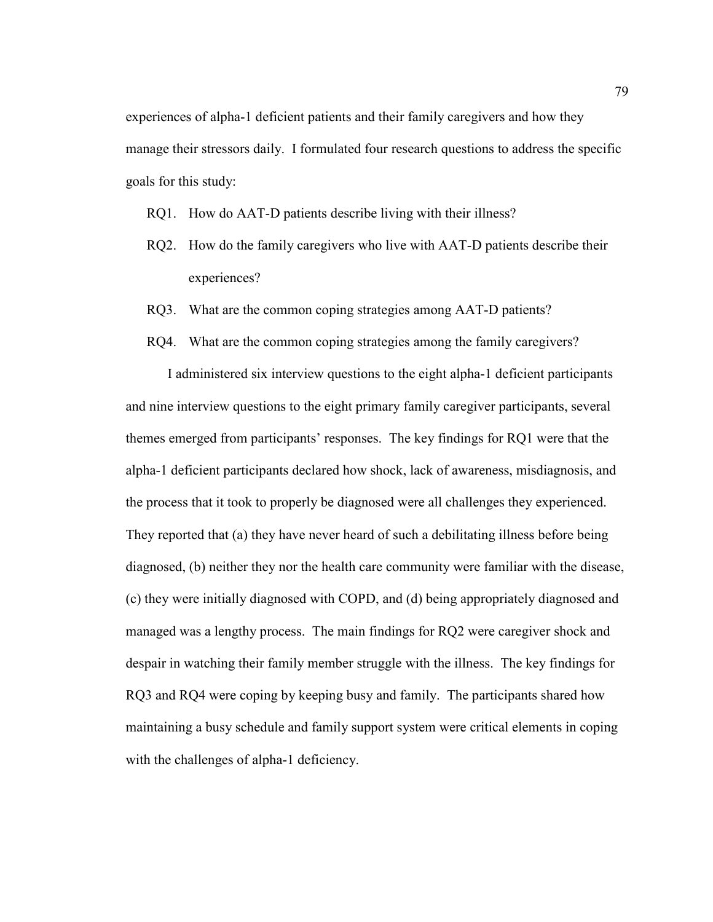experiences of alpha-1 deficient patients and their family caregivers and how they manage their stressors daily. I formulated four research questions to address the specific goals for this study:

RQ1. How do AAT-D patients describe living with their illness?

- RQ2. How do the family caregivers who live with AAT-D patients describe their experiences?
- RQ3. What are the common coping strategies among AAT-D patients?
- RQ4. What are the common coping strategies among the family caregivers?

I administered six interview questions to the eight alpha-1 deficient participants and nine interview questions to the eight primary family caregiver participants, several themes emerged from participants' responses. The key findings for RQ1 were that the alpha-1 deficient participants declared how shock, lack of awareness, misdiagnosis, and the process that it took to properly be diagnosed were all challenges they experienced. They reported that (a) they have never heard of such a debilitating illness before being diagnosed, (b) neither they nor the health care community were familiar with the disease, (c) they were initially diagnosed with COPD, and (d) being appropriately diagnosed and managed was a lengthy process. The main findings for RQ2 were caregiver shock and despair in watching their family member struggle with the illness. The key findings for RQ3 and RQ4 were coping by keeping busy and family. The participants shared how maintaining a busy schedule and family support system were critical elements in coping with the challenges of alpha-1 deficiency.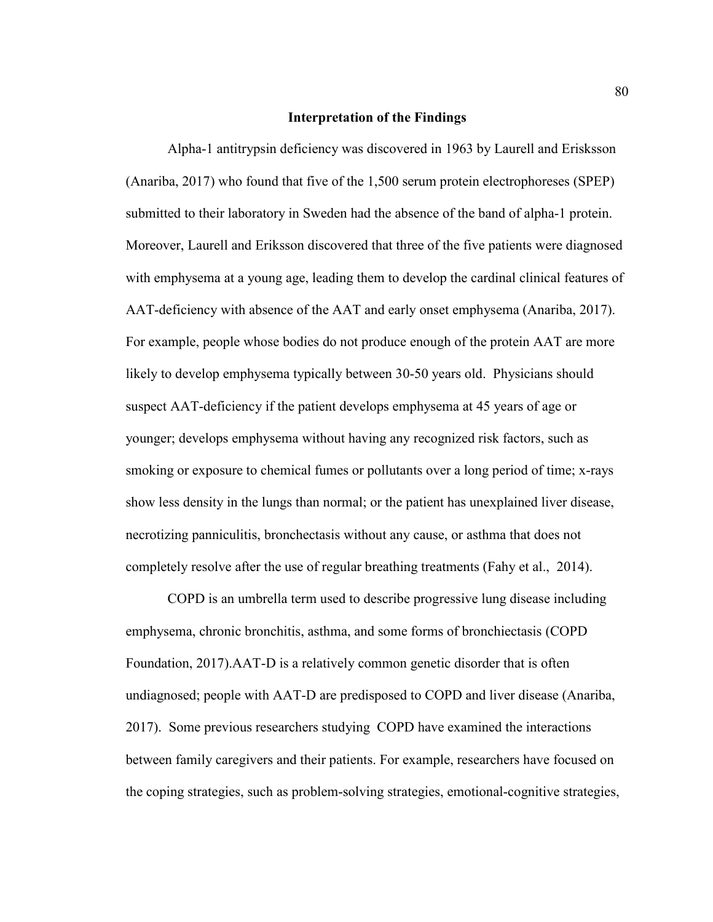#### **Interpretation of the Findings**

Alpha-1 antitrypsin deficiency was discovered in 1963 by Laurell and Erisksson (Anariba, 2017) who found that five of the 1,500 serum protein electrophoreses (SPEP) submitted to their laboratory in Sweden had the absence of the band of alpha-1 protein. Moreover, Laurell and Eriksson discovered that three of the five patients were diagnosed with emphysema at a young age, leading them to develop the cardinal clinical features of AAT-deficiency with absence of the AAT and early onset emphysema (Anariba, 2017). For example, people whose bodies do not produce enough of the protein AAT are more likely to develop emphysema typically between 30-50 years old. Physicians should suspect AAT-deficiency if the patient develops emphysema at 45 years of age or younger; develops emphysema without having any recognized risk factors, such as smoking or exposure to chemical fumes or pollutants over a long period of time; x-rays show less density in the lungs than normal; or the patient has unexplained liver disease, necrotizing panniculitis, bronchectasis without any cause, or asthma that does not completely resolve after the use of regular breathing treatments (Fahy et al., 2014).

COPD is an umbrella term used to describe progressive lung disease including emphysema, chronic bronchitis, asthma, and some forms of bronchiectasis (COPD Foundation, 2017).AAT-D is a relatively common genetic disorder that is often undiagnosed; people with AAT-D are predisposed to COPD and liver disease (Anariba, 2017). Some previous researchers studying COPD have examined the interactions between family caregivers and their patients. For example, researchers have focused on the coping strategies, such as problem-solving strategies, emotional-cognitive strategies,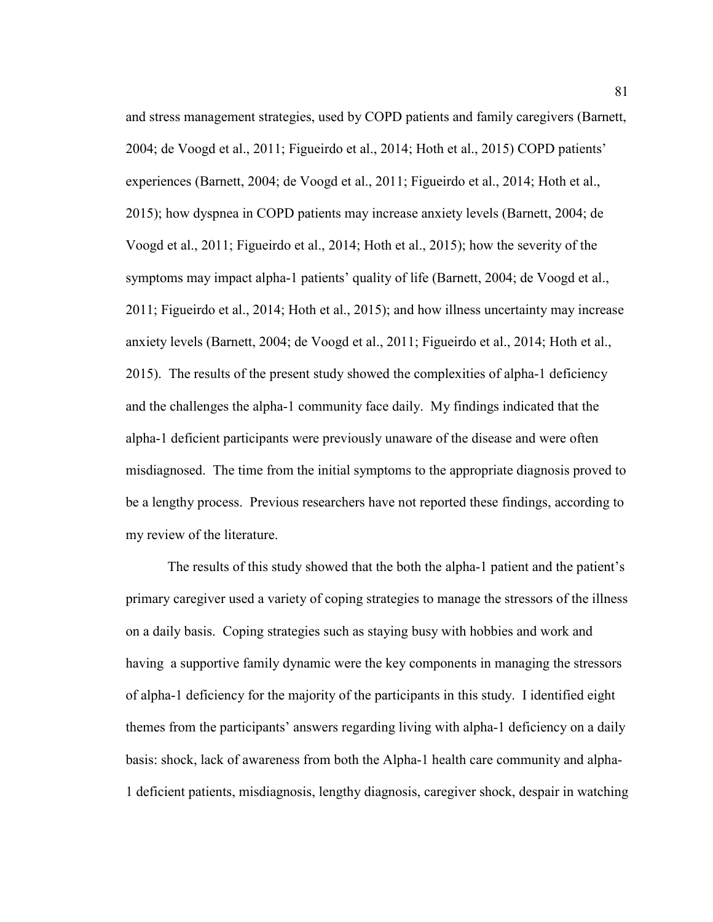and stress management strategies, used by COPD patients and family caregivers (Barnett, 2004; de Voogd et al., 2011; Figueirdo et al., 2014; Hoth et al., 2015) COPD patients' experiences (Barnett, 2004; de Voogd et al., 2011; Figueirdo et al., 2014; Hoth et al., 2015); how dyspnea in COPD patients may increase anxiety levels (Barnett, 2004; de Voogd et al., 2011; Figueirdo et al., 2014; Hoth et al., 2015); how the severity of the symptoms may impact alpha-1 patients' quality of life (Barnett, 2004; de Voogd et al., 2011; Figueirdo et al., 2014; Hoth et al., 2015); and how illness uncertainty may increase anxiety levels (Barnett, 2004; de Voogd et al., 2011; Figueirdo et al., 2014; Hoth et al., 2015). The results of the present study showed the complexities of alpha-1 deficiency and the challenges the alpha-1 community face daily. My findings indicated that the alpha-1 deficient participants were previously unaware of the disease and were often misdiagnosed. The time from the initial symptoms to the appropriate diagnosis proved to be a lengthy process. Previous researchers have not reported these findings, according to my review of the literature.

The results of this study showed that the both the alpha-1 patient and the patient's primary caregiver used a variety of coping strategies to manage the stressors of the illness on a daily basis. Coping strategies such as staying busy with hobbies and work and having a supportive family dynamic were the key components in managing the stressors of alpha-1 deficiency for the majority of the participants in this study. I identified eight themes from the participants' answers regarding living with alpha-1 deficiency on a daily basis: shock, lack of awareness from both the Alpha-1 health care community and alpha-1 deficient patients, misdiagnosis, lengthy diagnosis, caregiver shock, despair in watching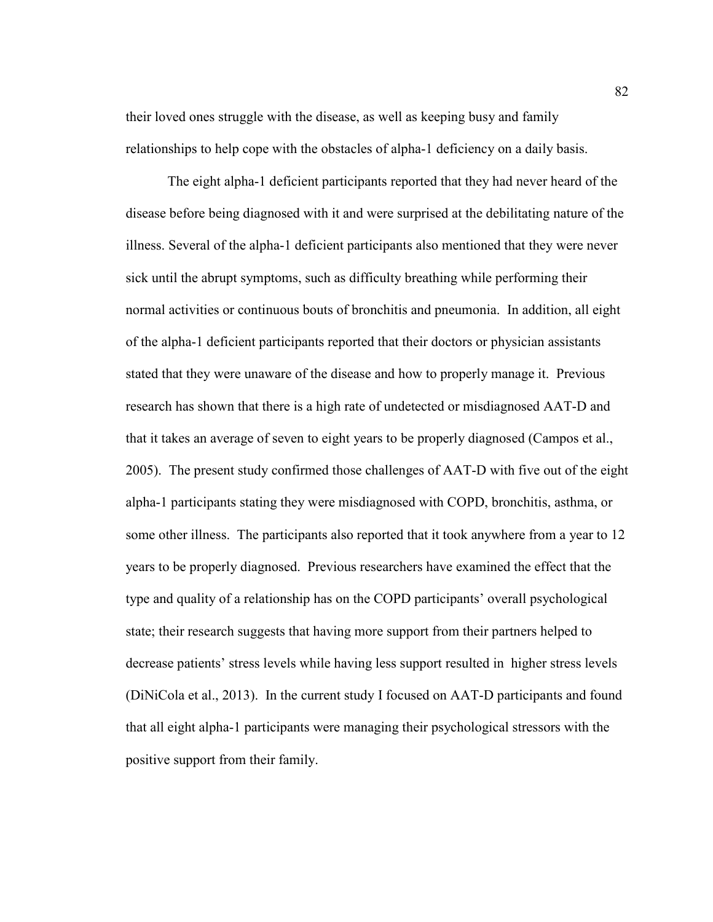their loved ones struggle with the disease, as well as keeping busy and family relationships to help cope with the obstacles of alpha-1 deficiency on a daily basis.

The eight alpha-1 deficient participants reported that they had never heard of the disease before being diagnosed with it and were surprised at the debilitating nature of the illness. Several of the alpha-1 deficient participants also mentioned that they were never sick until the abrupt symptoms, such as difficulty breathing while performing their normal activities or continuous bouts of bronchitis and pneumonia. In addition, all eight of the alpha-1 deficient participants reported that their doctors or physician assistants stated that they were unaware of the disease and how to properly manage it. Previous research has shown that there is a high rate of undetected or misdiagnosed AAT-D and that it takes an average of seven to eight years to be properly diagnosed (Campos et al., 2005). The present study confirmed those challenges of AAT-D with five out of the eight alpha-1 participants stating they were misdiagnosed with COPD, bronchitis, asthma, or some other illness. The participants also reported that it took anywhere from a year to 12 years to be properly diagnosed. Previous researchers have examined the effect that the type and quality of a relationship has on the COPD participants' overall psychological state; their research suggests that having more support from their partners helped to decrease patients' stress levels while having less support resulted in higher stress levels (DiNiCola et al., 2013). In the current study I focused on AAT-D participants and found that all eight alpha-1 participants were managing their psychological stressors with the positive support from their family.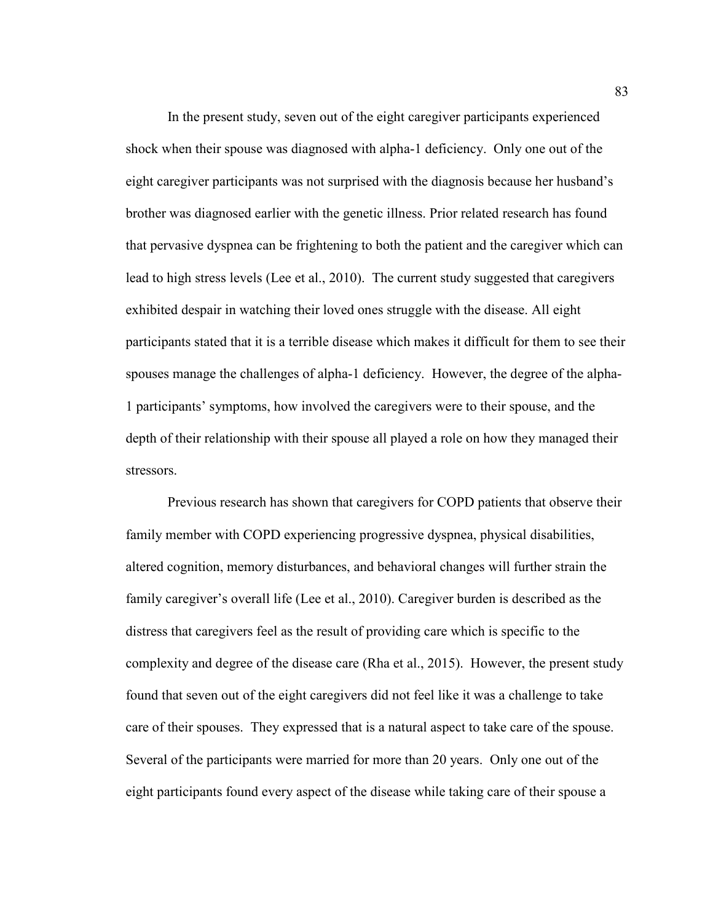In the present study, seven out of the eight caregiver participants experienced shock when their spouse was diagnosed with alpha-1 deficiency. Only one out of the eight caregiver participants was not surprised with the diagnosis because her husband's brother was diagnosed earlier with the genetic illness. Prior related research has found that pervasive dyspnea can be frightening to both the patient and the caregiver which can lead to high stress levels (Lee et al., 2010). The current study suggested that caregivers exhibited despair in watching their loved ones struggle with the disease. All eight participants stated that it is a terrible disease which makes it difficult for them to see their spouses manage the challenges of alpha-1 deficiency. However, the degree of the alpha-1 participants' symptoms, how involved the caregivers were to their spouse, and the depth of their relationship with their spouse all played a role on how they managed their stressors.

Previous research has shown that caregivers for COPD patients that observe their family member with COPD experiencing progressive dyspnea, physical disabilities, altered cognition, memory disturbances, and behavioral changes will further strain the family caregiver's overall life (Lee et al., 2010). Caregiver burden is described as the distress that caregivers feel as the result of providing care which is specific to the complexity and degree of the disease care (Rha et al., 2015). However, the present study found that seven out of the eight caregivers did not feel like it was a challenge to take care of their spouses. They expressed that is a natural aspect to take care of the spouse. Several of the participants were married for more than 20 years. Only one out of the eight participants found every aspect of the disease while taking care of their spouse a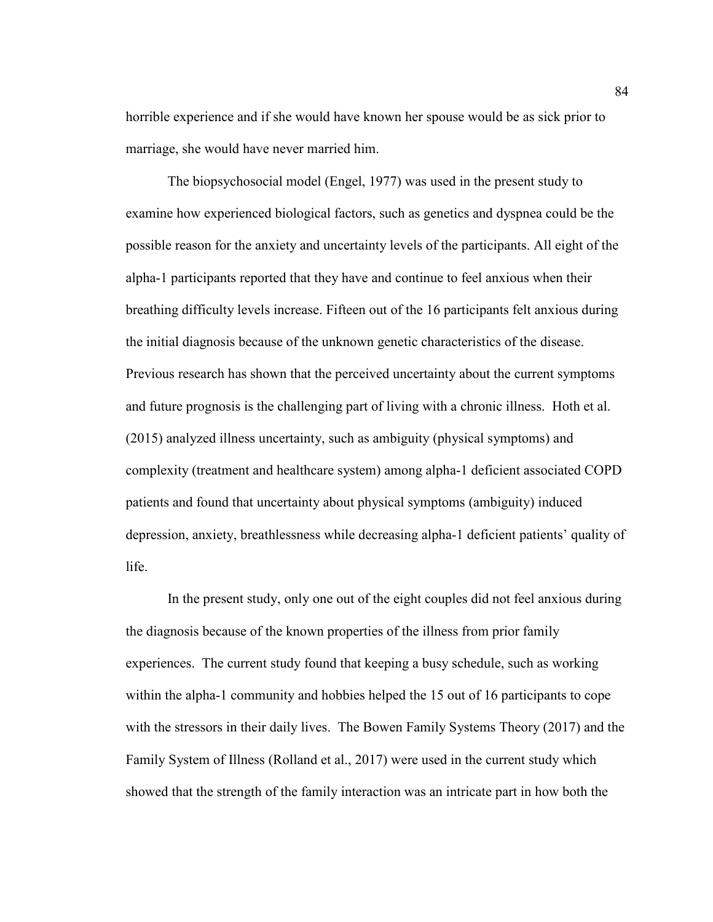horrible experience and if she would have known her spouse would be as sick prior to marriage, she would have never married him.

The biopsychosocial model (Engel, 1977) was used in the present study to examine how experienced biological factors, such as genetics and dyspnea could be the possible reason for the anxiety and uncertainty levels of the participants. All eight of the alpha-1 participants reported that they have and continue to feel anxious when their breathing difficulty levels increase. Fifteen out of the 16 participants felt anxious during the initial diagnosis because of the unknown genetic characteristics of the disease. Previous research has shown that the perceived uncertainty about the current symptoms and future prognosis is the challenging part of living with a chronic illness. Hoth et al. (2015) analyzed illness uncertainty, such as ambiguity (physical symptoms) and complexity (treatment and healthcare system) among alpha-1 deficient associated COPD patients and found that uncertainty about physical symptoms (ambiguity) induced depression, anxiety, breathlessness while decreasing alpha-1 deficient patients' quality of life.

In the present study, only one out of the eight couples did not feel anxious during the diagnosis because of the known properties of the illness from prior family experiences. The current study found that keeping a busy schedule, such as working within the alpha-1 community and hobbies helped the 15 out of 16 participants to cope with the stressors in their daily lives. The Bowen Family Systems Theory (2017) and the Family System of Illness (Rolland et al., 2017) were used in the current study which showed that the strength of the family interaction was an intricate part in how both the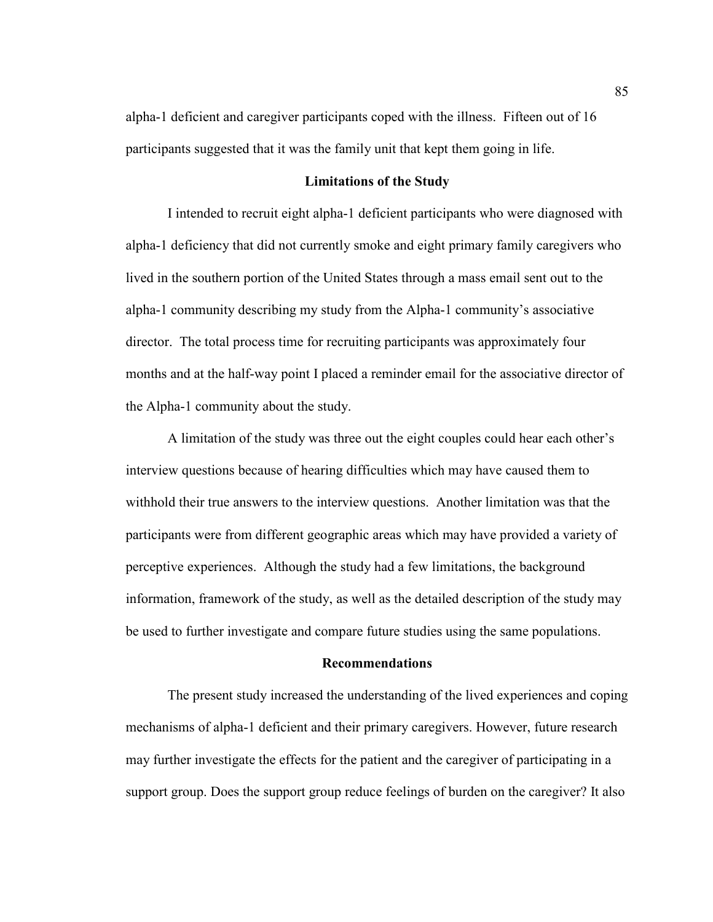alpha-1 deficient and caregiver participants coped with the illness. Fifteen out of 16 participants suggested that it was the family unit that kept them going in life.

#### **Limitations of the Study**

 I intended to recruit eight alpha-1 deficient participants who were diagnosed with alpha-1 deficiency that did not currently smoke and eight primary family caregivers who lived in the southern portion of the United States through a mass email sent out to the alpha-1 community describing my study from the Alpha-1 community's associative director. The total process time for recruiting participants was approximately four months and at the half-way point I placed a reminder email for the associative director of the Alpha-1 community about the study.

A limitation of the study was three out the eight couples could hear each other's interview questions because of hearing difficulties which may have caused them to withhold their true answers to the interview questions. Another limitation was that the participants were from different geographic areas which may have provided a variety of perceptive experiences. Although the study had a few limitations, the background information, framework of the study, as well as the detailed description of the study may be used to further investigate and compare future studies using the same populations.

#### **Recommendations**

 The present study increased the understanding of the lived experiences and coping mechanisms of alpha-1 deficient and their primary caregivers. However, future research may further investigate the effects for the patient and the caregiver of participating in a support group. Does the support group reduce feelings of burden on the caregiver? It also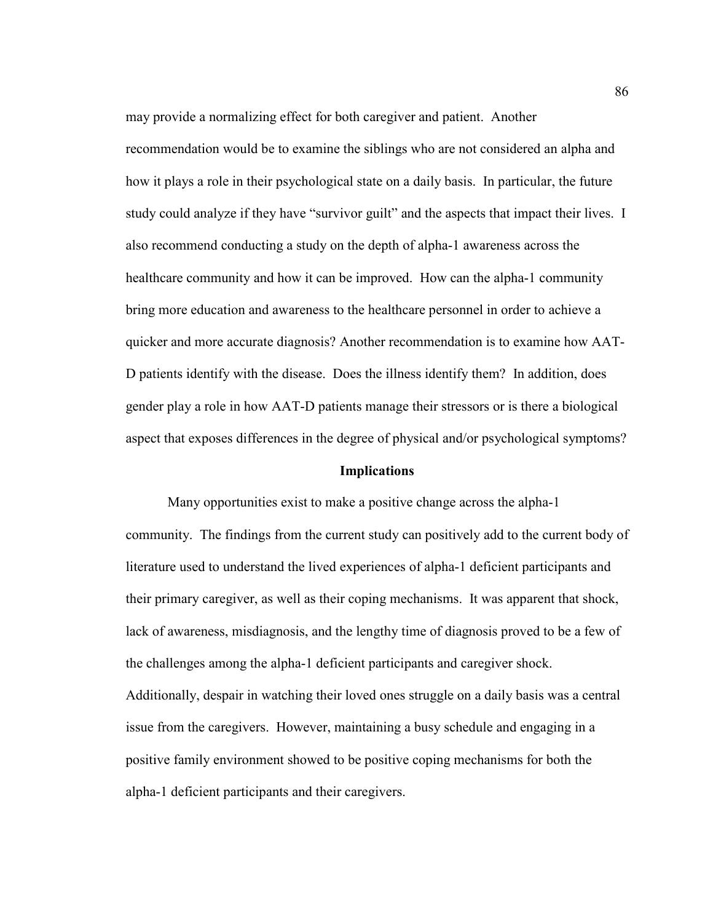may provide a normalizing effect for both caregiver and patient. Another recommendation would be to examine the siblings who are not considered an alpha and how it plays a role in their psychological state on a daily basis. In particular, the future study could analyze if they have "survivor guilt" and the aspects that impact their lives. I also recommend conducting a study on the depth of alpha-1 awareness across the healthcare community and how it can be improved. How can the alpha-1 community bring more education and awareness to the healthcare personnel in order to achieve a quicker and more accurate diagnosis? Another recommendation is to examine how AAT-D patients identify with the disease. Does the illness identify them? In addition, does gender play a role in how AAT-D patients manage their stressors or is there a biological aspect that exposes differences in the degree of physical and/or psychological symptoms?

#### **Implications**

 Many opportunities exist to make a positive change across the alpha-1 community. The findings from the current study can positively add to the current body of literature used to understand the lived experiences of alpha-1 deficient participants and their primary caregiver, as well as their coping mechanisms. It was apparent that shock, lack of awareness, misdiagnosis, and the lengthy time of diagnosis proved to be a few of the challenges among the alpha-1 deficient participants and caregiver shock. Additionally, despair in watching their loved ones struggle on a daily basis was a central issue from the caregivers. However, maintaining a busy schedule and engaging in a positive family environment showed to be positive coping mechanisms for both the alpha-1 deficient participants and their caregivers.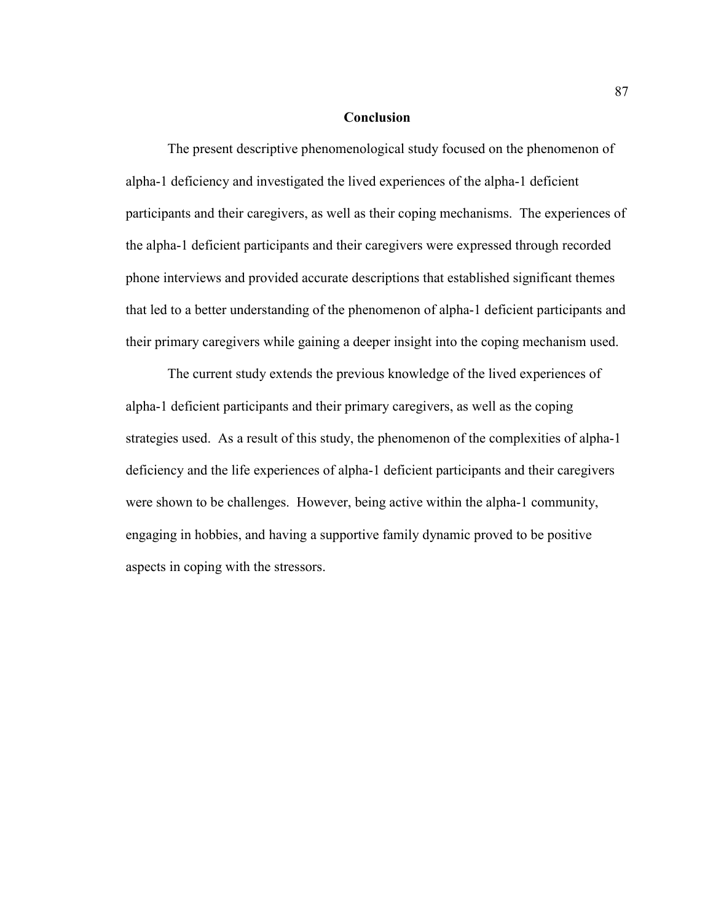### **Conclusion**

 The present descriptive phenomenological study focused on the phenomenon of alpha-1 deficiency and investigated the lived experiences of the alpha-1 deficient participants and their caregivers, as well as their coping mechanisms. The experiences of the alpha-1 deficient participants and their caregivers were expressed through recorded phone interviews and provided accurate descriptions that established significant themes that led to a better understanding of the phenomenon of alpha-1 deficient participants and their primary caregivers while gaining a deeper insight into the coping mechanism used.

 The current study extends the previous knowledge of the lived experiences of alpha-1 deficient participants and their primary caregivers, as well as the coping strategies used. As a result of this study, the phenomenon of the complexities of alpha-1 deficiency and the life experiences of alpha-1 deficient participants and their caregivers were shown to be challenges. However, being active within the alpha-1 community, engaging in hobbies, and having a supportive family dynamic proved to be positive aspects in coping with the stressors.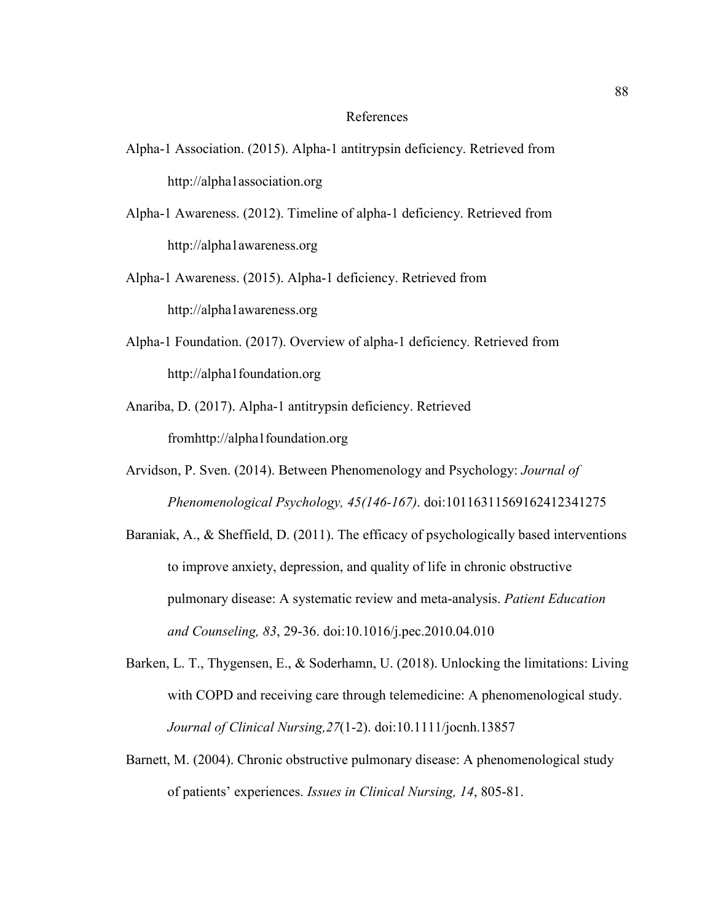#### References

- Alpha-1 Association. (2015). Alpha-1 antitrypsin deficiency. Retrieved from http://alpha1association.org
- Alpha-1 Awareness. (2012). Timeline of alpha-1 deficiency. Retrieved from http://alpha1awareness.org
- Alpha-1 Awareness. (2015). Alpha-1 deficiency. Retrieved from http://alpha1awareness.org
- Alpha-1 Foundation. (2017). Overview of alpha-1 deficiency*.* Retrieved from http://alpha1foundation.org
- Anariba, D. (2017). Alpha-1 antitrypsin deficiency. Retrieved fromhttp://alpha1foundation.org
- Arvidson, P. Sven. (2014). Between Phenomenology and Psychology: *Journal of Phenomenological Psychology, 45(146-167)*. doi:10116311569162412341275
- Baraniak, A., & Sheffield, D. (2011). The efficacy of psychologically based interventions to improve anxiety, depression, and quality of life in chronic obstructive pulmonary disease: A systematic review and meta-analysis. *Patient Education and Counseling, 83*, 29-36. doi:10.1016/j.pec.2010.04.010
- Barken, L. T., Thygensen, E., & Soderhamn, U. (2018). Unlocking the limitations: Living with COPD and receiving care through telemedicine: A phenomenological study. *Journal of Clinical Nursing,27*(1-2). doi:10.1111/jocnh.13857
- Barnett, M. (2004). Chronic obstructive pulmonary disease: A phenomenological study of patients' experiences. *Issues in Clinical Nursing, 14*, 805-81.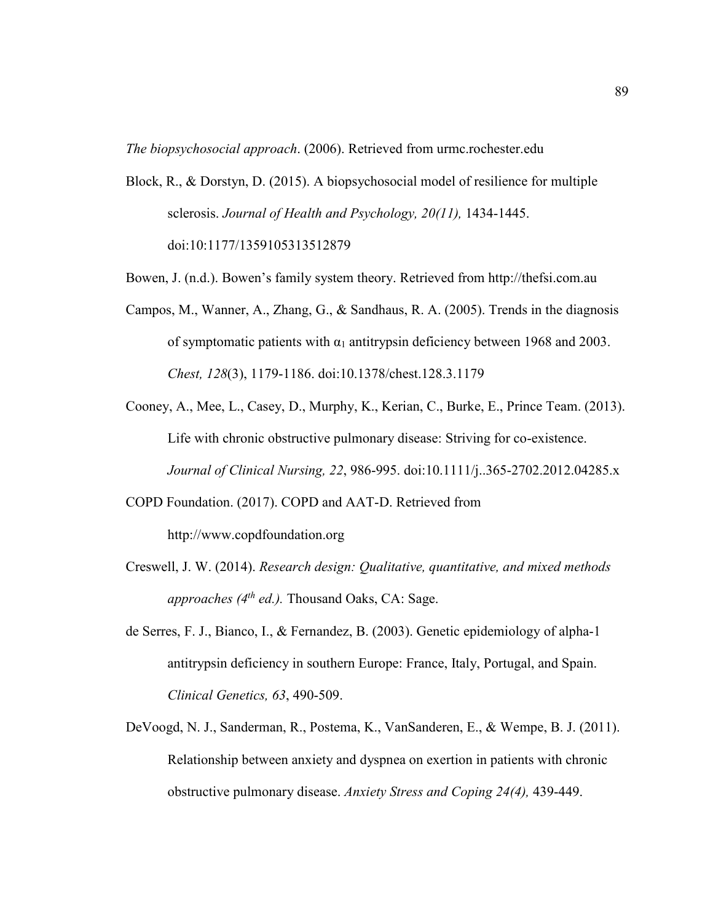*The biopsychosocial approach*. (2006). Retrieved from urmc.rochester.edu

- Block, R., & Dorstyn, D. (2015). A biopsychosocial model of resilience for multiple sclerosis. *Journal of Health and Psychology, 20(11),* 1434-1445. doi:10:1177/1359105313512879
- Bowen, J. (n.d.). Bowen's family system theory. Retrieved from http://thefsi.com.au
- Campos, M., Wanner, A., Zhang, G., & Sandhaus, R. A. (2005). Trends in the diagnosis of symptomatic patients with  $\alpha_1$  antitrypsin deficiency between 1968 and 2003. *Chest, 128*(3), 1179-1186. doi:10.1378/chest.128.3.1179
- Cooney, A., Mee, L., Casey, D., Murphy, K., Kerian, C., Burke, E., Prince Team. (2013). Life with chronic obstructive pulmonary disease: Striving for co-existence. *Journal of Clinical Nursing, 22*, 986-995. doi:10.1111/j..365-2702.2012.04285.x
- COPD Foundation. (2017). COPD and AAT-D. Retrieved from http://www.copdfoundation.org
- Creswell, J. W. (2014). *Research design: Qualitative, quantitative, and mixed methods approaches (4th ed.).* Thousand Oaks, CA: Sage.
- de Serres, F. J., Bianco, I., & Fernandez, B. (2003). Genetic epidemiology of alpha-1 antitrypsin deficiency in southern Europe: France, Italy, Portugal, and Spain. *Clinical Genetics, 63*, 490-509.
- DeVoogd, N. J., Sanderman, R., Postema, K., VanSanderen, E., & Wempe, B. J. (2011). Relationship between anxiety and dyspnea on exertion in patients with chronic obstructive pulmonary disease. *Anxiety Stress and Coping 24(4),* 439-449.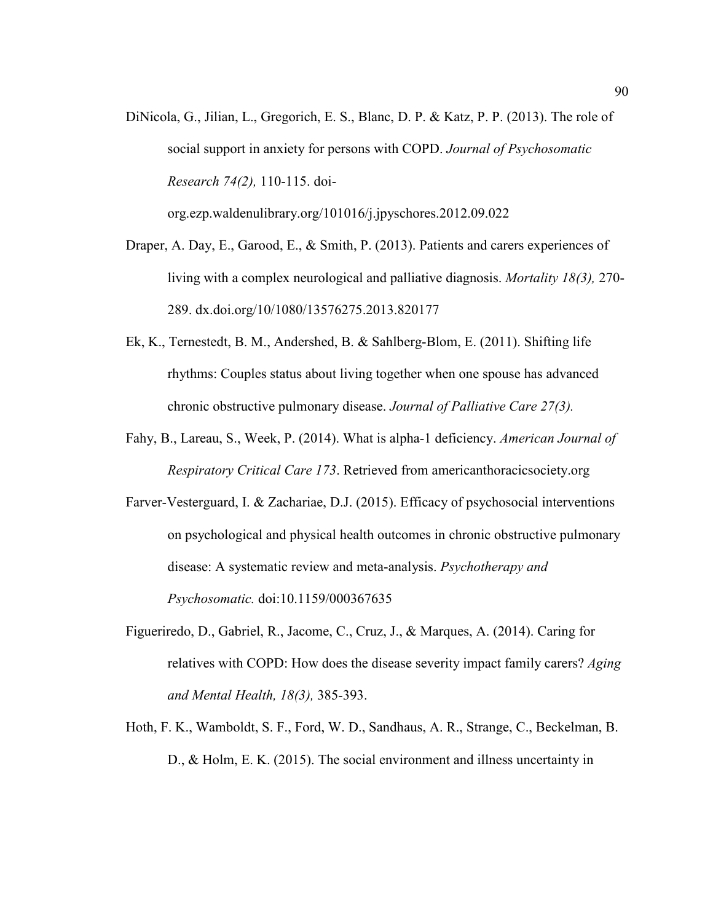DiNicola, G., Jilian, L., Gregorich, E. S., Blanc, D. P. & Katz, P. P. (2013). The role of social support in anxiety for persons with COPD. *Journal of Psychosomatic Research 74(2),* 110-115. doi-

org.ezp.waldenulibrary.org/101016/j.jpyschores.2012.09.022

- Draper, A. Day, E., Garood, E., & Smith, P. (2013). Patients and carers experiences of living with a complex neurological and palliative diagnosis. *Mortality 18(3),* 270- 289. dx.doi.org/10/1080/13576275.2013.820177
- Ek, K., Ternestedt, B. M., Andershed, B. & Sahlberg-Blom, E. (2011). Shifting life rhythms: Couples status about living together when one spouse has advanced chronic obstructive pulmonary disease. *Journal of Palliative Care 27(3).*
- Fahy, B., Lareau, S., Week, P. (2014). What is alpha-1 deficiency. *American Journal of Respiratory Critical Care 173*. Retrieved from americanthoracicsociety.org
- Farver-Vesterguard, I. & Zachariae, D.J. (2015). Efficacy of psychosocial interventions on psychological and physical health outcomes in chronic obstructive pulmonary disease: A systematic review and meta-analysis. *Psychotherapy and Psychosomatic.* doi:10.1159/000367635
- Figueriredo, D., Gabriel, R., Jacome, C., Cruz, J., & Marques, A. (2014). Caring for relatives with COPD: How does the disease severity impact family carers? *Aging and Mental Health, 18(3),* 385-393.
- Hoth, F. K., Wamboldt, S. F., Ford, W. D., Sandhaus, A. R., Strange, C., Beckelman, B. D., & Holm, E. K. (2015). The social environment and illness uncertainty in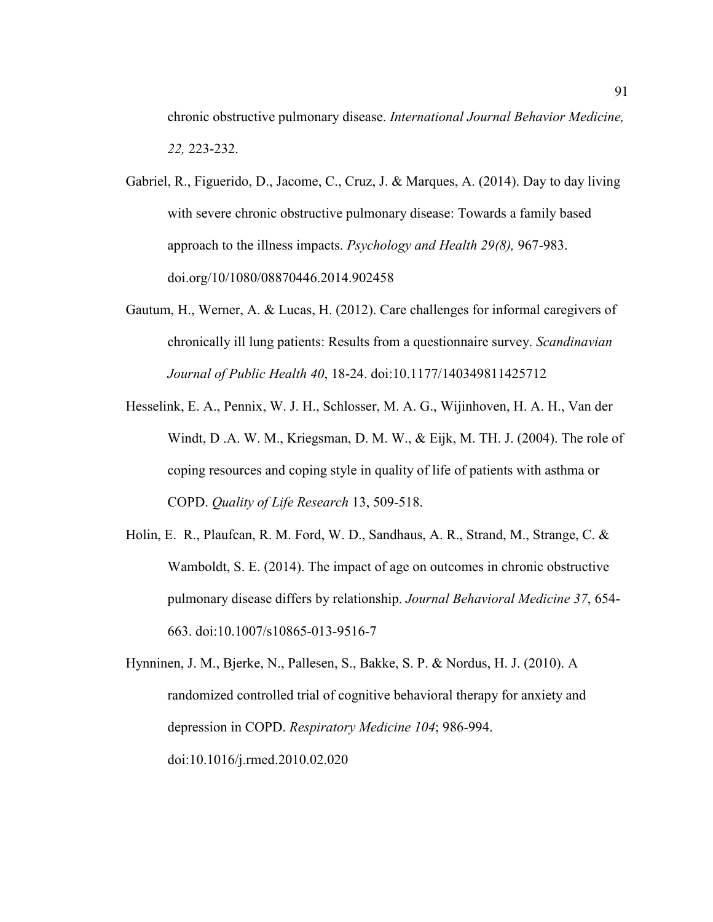chronic obstructive pulmonary disease. *International Journal Behavior Medicine, 22,* 223-232.

- Gabriel, R., Figuerido, D., Jacome, C., Cruz, J. & Marques, A. (2014). Day to day living with severe chronic obstructive pulmonary disease: Towards a family based approach to the illness impacts. *Psychology and Health 29(8),* 967-983. doi.org/10/1080/08870446.2014.902458
- Gautum, H., Werner, A. & Lucas, H. (2012). Care challenges for informal caregivers of chronically ill lung patients: Results from a questionnaire survey. *Scandinavian Journal of Public Health 40*, 18-24. doi:10.1177/140349811425712
- Hesselink, E. A., Pennix, W. J. H., Schlosser, M. A. G., Wijinhoven, H. A. H., Van der Windt, D .A. W. M., Kriegsman, D. M. W., & Eijk, M. TH. J. (2004). The role of coping resources and coping style in quality of life of patients with asthma or COPD. *Quality of Life Research* 13, 509-518.
- Holin, E. R., Plaufcan, R. M. Ford, W. D., Sandhaus, A. R., Strand, M., Strange, C. & Wamboldt, S. E. (2014). The impact of age on outcomes in chronic obstructive pulmonary disease differs by relationship. *Journal Behavioral Medicine 37*, 654- 663. doi:10.1007/s10865-013-9516-7
- Hynninen, J. M., Bjerke, N., Pallesen, S., Bakke, S. P. & Nordus, H. J. (2010). A randomized controlled trial of cognitive behavioral therapy for anxiety and depression in COPD. *Respiratory Medicine 104*; 986-994. doi:10.1016/j.rmed.2010.02.020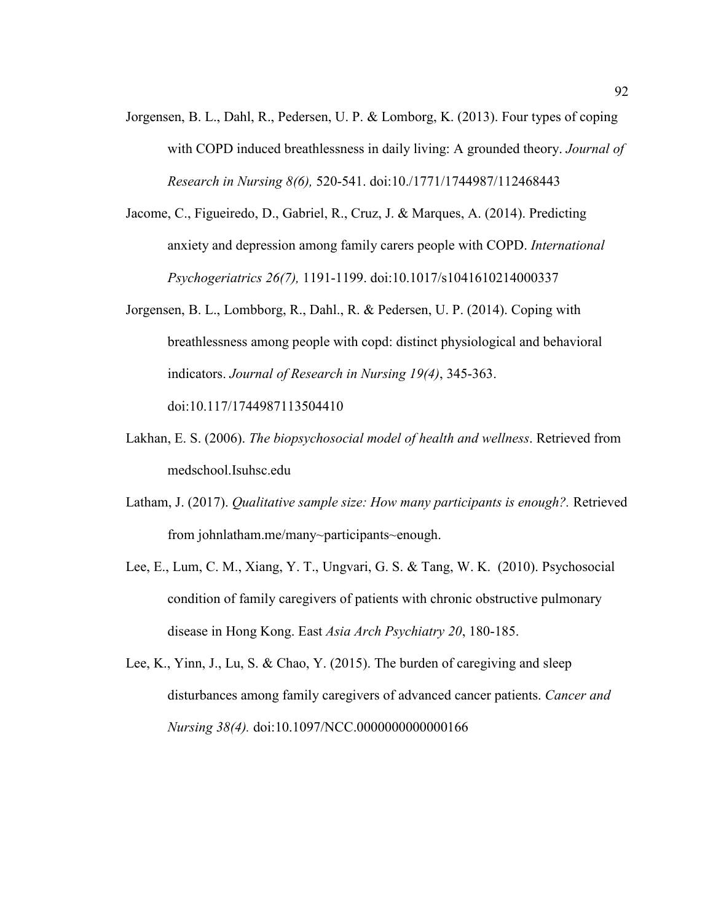- Jorgensen, B. L., Dahl, R., Pedersen, U. P. & Lomborg, K. (2013). Four types of coping with COPD induced breathlessness in daily living: A grounded theory. *Journal of Research in Nursing 8(6),* 520-541. doi:10./1771/1744987/112468443
- Jacome, C., Figueiredo, D., Gabriel, R., Cruz, J. & Marques, A. (2014). Predicting anxiety and depression among family carers people with COPD. *International Psychogeriatrics 26(7),* 1191-1199. doi:10.1017/s1041610214000337
- Jorgensen, B. L., Lombborg, R., Dahl., R. & Pedersen, U. P. (2014). Coping with breathlessness among people with copd: distinct physiological and behavioral indicators. *Journal of Research in Nursing 19(4)*, 345-363. doi:10.117/1744987113504410
- Lakhan, E. S. (2006). *The biopsychosocial model of health and wellness*. Retrieved from medschool.Isuhsc.edu
- Latham, J. (2017). *Qualitative sample size: How many participants is enough?.* Retrieved from johnlatham.me/many~participants~enough.
- Lee, E., Lum, C. M., Xiang, Y. T., Ungvari, G. S. & Tang, W. K. (2010). Psychosocial condition of family caregivers of patients with chronic obstructive pulmonary disease in Hong Kong. East *Asia Arch Psychiatry 20*, 180-185.
- Lee, K., Yinn, J., Lu, S. & Chao, Y. (2015). The burden of caregiving and sleep disturbances among family caregivers of advanced cancer patients. *Cancer and Nursing 38(4).* doi:10.1097/NCC.0000000000000166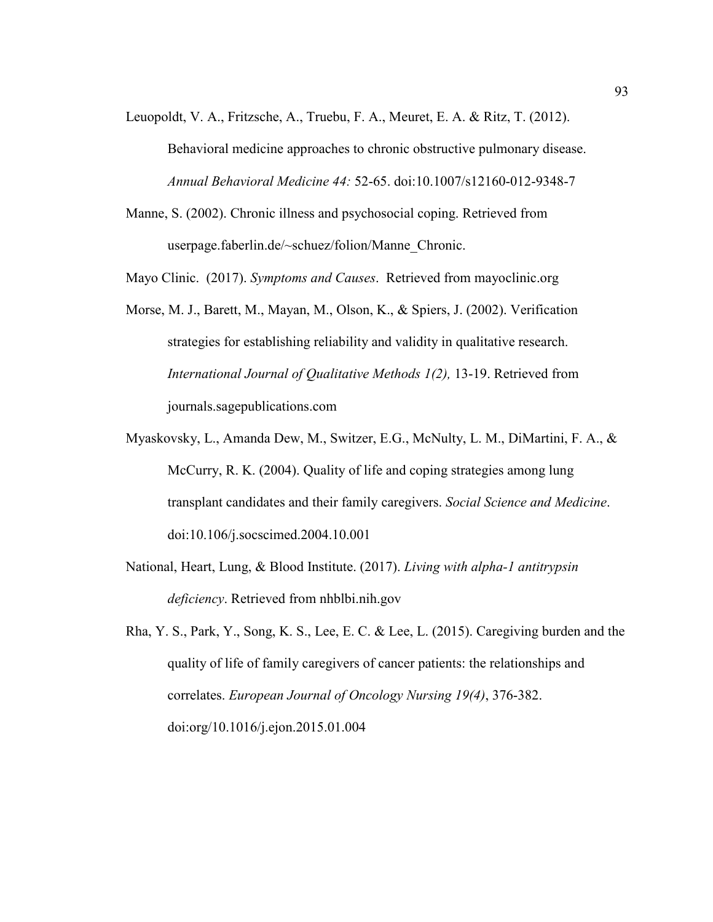Leuopoldt, V. A., Fritzsche, A., Truebu, F. A., Meuret, E. A. & Ritz, T. (2012).

Behavioral medicine approaches to chronic obstructive pulmonary disease. *Annual Behavioral Medicine 44:* 52-65. doi:10.1007/s12160-012-9348-7

Manne, S. (2002). Chronic illness and psychosocial coping. Retrieved from userpage.faberlin.de/~schuez/folion/Manne\_Chronic.

Mayo Clinic. (2017). *Symptoms and Causes*. Retrieved from mayoclinic.org

- Morse, M. J., Barett, M., Mayan, M., Olson, K., & Spiers, J. (2002). Verification strategies for establishing reliability and validity in qualitative research. *International Journal of Qualitative Methods 1(2),* 13-19. Retrieved from journals.sagepublications.com
- Myaskovsky, L., Amanda Dew, M., Switzer, E.G., McNulty, L. M., DiMartini, F. A., & McCurry, R. K. (2004). Quality of life and coping strategies among lung transplant candidates and their family caregivers. *Social Science and Medicine*. doi:10.106/j.socscimed.2004.10.001
- National, Heart, Lung, & Blood Institute. (2017). *Living with alpha-1 antitrypsin deficiency*. Retrieved from nhblbi.nih.gov
- Rha, Y. S., Park, Y., Song, K. S., Lee, E. C. & Lee, L. (2015). Caregiving burden and the quality of life of family caregivers of cancer patients: the relationships and correlates. *European Journal of Oncology Nursing 19(4)*, 376-382. doi:org/10.1016/j.ejon.2015.01.004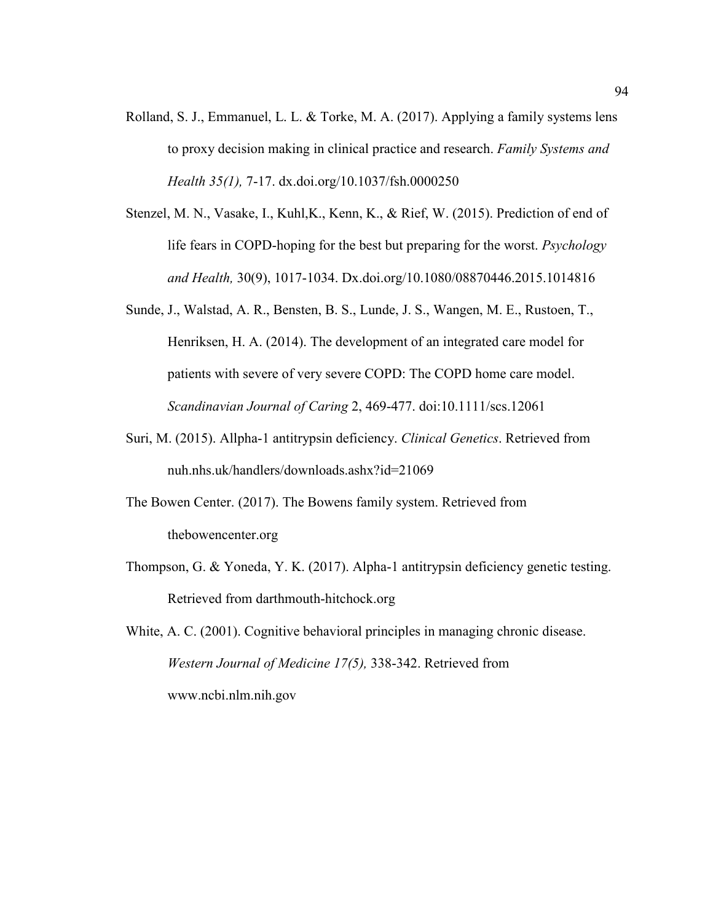- Rolland, S. J., Emmanuel, L. L. & Torke, M. A. (2017). Applying a family systems lens to proxy decision making in clinical practice and research. *Family Systems and Health 35(1),* 7-17. dx.doi.org/10.1037/fsh.0000250
- Stenzel, M. N., Vasake, I., Kuhl,K., Kenn, K., & Rief, W. (2015). Prediction of end of life fears in COPD-hoping for the best but preparing for the worst. *Psychology and Health,* 30(9), 1017-1034. Dx.doi.org/10.1080/08870446.2015.1014816
- Sunde, J., Walstad, A. R., Bensten, B. S., Lunde, J. S., Wangen, M. E., Rustoen, T., Henriksen, H. A. (2014). The development of an integrated care model for patients with severe of very severe COPD: The COPD home care model. *Scandinavian Journal of Caring* 2, 469-477. doi:10.1111/scs.12061
- Suri, M. (2015). Allpha-1 antitrypsin deficiency. *Clinical Genetics*. Retrieved from nuh.nhs.uk/handlers/downloads.ashx?id=21069
- The Bowen Center. (2017). The Bowens family system. Retrieved from thebowencenter.org
- Thompson, G. & Yoneda, Y. K. (2017). Alpha-1 antitrypsin deficiency genetic testing. Retrieved from darthmouth-hitchock.org
- White, A. C. (2001). Cognitive behavioral principles in managing chronic disease. *Western Journal of Medicine 17(5),* 338-342. Retrieved from www.ncbi.nlm.nih.gov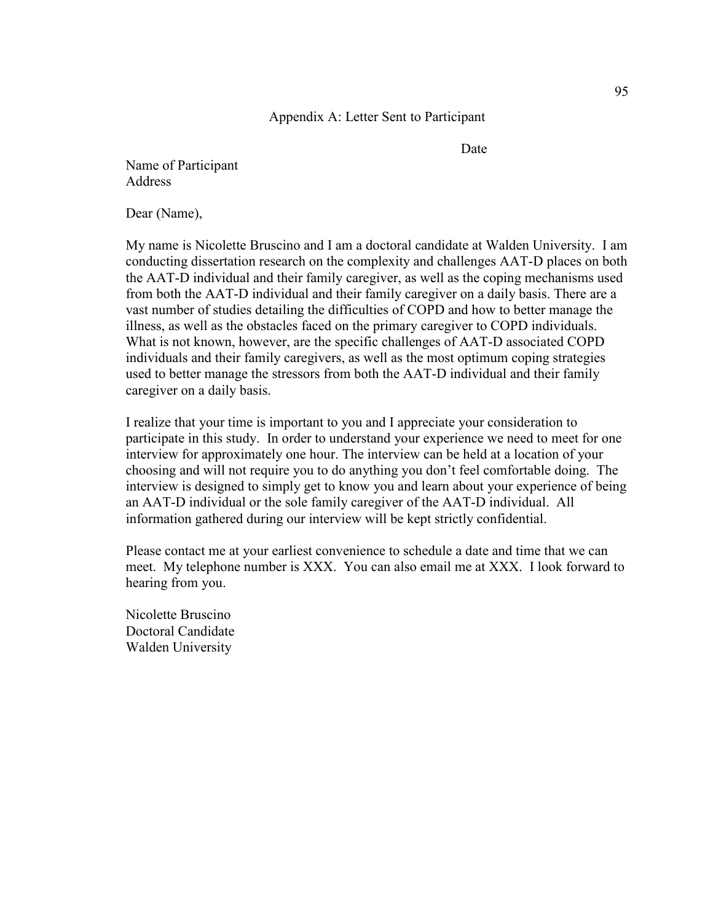**Date** Date

Name of Participant **Address** 

Dear (Name),

My name is Nicolette Bruscino and I am a doctoral candidate at Walden University. I am conducting dissertation research on the complexity and challenges AAT-D places on both the AAT-D individual and their family caregiver, as well as the coping mechanisms used from both the AAT-D individual and their family caregiver on a daily basis. There are a vast number of studies detailing the difficulties of COPD and how to better manage the illness, as well as the obstacles faced on the primary caregiver to COPD individuals. What is not known, however, are the specific challenges of AAT-D associated COPD individuals and their family caregivers, as well as the most optimum coping strategies used to better manage the stressors from both the AAT-D individual and their family caregiver on a daily basis.

I realize that your time is important to you and I appreciate your consideration to participate in this study. In order to understand your experience we need to meet for one interview for approximately one hour. The interview can be held at a location of your choosing and will not require you to do anything you don't feel comfortable doing. The interview is designed to simply get to know you and learn about your experience of being an AAT-D individual or the sole family caregiver of the AAT-D individual. All information gathered during our interview will be kept strictly confidential.

Please contact me at your earliest convenience to schedule a date and time that we can meet. My telephone number is XXX. You can also email me at XXX. I look forward to hearing from you.

Nicolette Bruscino Doctoral Candidate Walden University